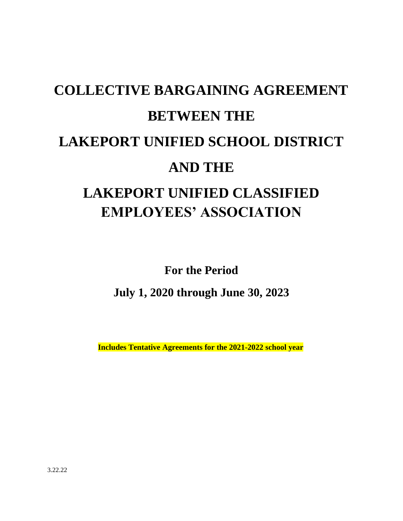# **COLLECTIVE BARGAINING AGREEMENT BETWEEN THE LAKEPORT UNIFIED SCHOOL DISTRICT AND THE LAKEPORT UNIFIED CLASSIFIED EMPLOYEES' ASSOCIATION**

**For the Period**

**July 1, 2020 through June 30, 2023**

 **Includes Tentative Agreements for the 2021-2022 school year**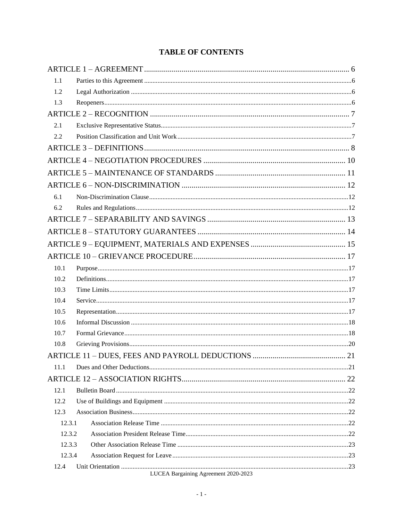# **TABLE OF CONTENTS**

| 1.1    |                                      |  |
|--------|--------------------------------------|--|
| 1.2    |                                      |  |
| 1.3    |                                      |  |
|        |                                      |  |
| 2.1    |                                      |  |
| 2.2    |                                      |  |
|        |                                      |  |
|        |                                      |  |
|        |                                      |  |
|        |                                      |  |
| 6.1    |                                      |  |
| 6.2    |                                      |  |
|        |                                      |  |
|        |                                      |  |
|        |                                      |  |
|        |                                      |  |
| 10.1   |                                      |  |
| 10.2   |                                      |  |
| 10.3   |                                      |  |
| 10.4   |                                      |  |
| 10.5   |                                      |  |
| 10.6   |                                      |  |
| 10.7   |                                      |  |
| 10.8   |                                      |  |
|        |                                      |  |
| 11.1   |                                      |  |
|        |                                      |  |
| 12.1   |                                      |  |
| 12.2   |                                      |  |
| 12.3   |                                      |  |
| 12.3.1 |                                      |  |
| 12.3.2 |                                      |  |
| 12.3.3 |                                      |  |
| 12.3.4 |                                      |  |
| 12.4   | LUCEA Bargaining Agreement 2020-2023 |  |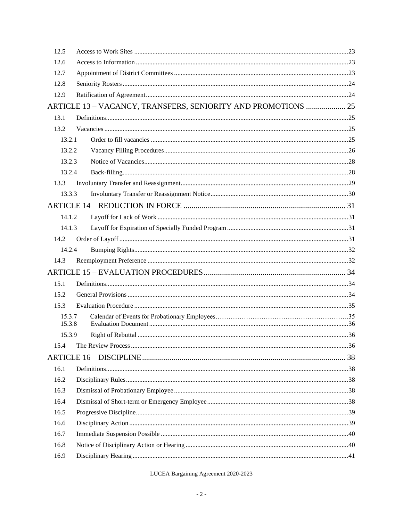| 12.5   |                                                               |  |
|--------|---------------------------------------------------------------|--|
| 12.6   |                                                               |  |
| 12.7   |                                                               |  |
| 12.8   |                                                               |  |
| 12.9   |                                                               |  |
|        | ARTICLE 13 - VACANCY, TRANSFERS, SENIORITY AND PROMOTIONS  25 |  |
| 13.1   |                                                               |  |
| 13.2   |                                                               |  |
| 13.2.1 |                                                               |  |
| 13.2.2 |                                                               |  |
| 13.2.3 |                                                               |  |
| 13.2.4 |                                                               |  |
| 13.3   |                                                               |  |
| 13.3.3 |                                                               |  |
|        |                                                               |  |
| 14.1.2 |                                                               |  |
| 14.1.3 |                                                               |  |
| 14.2   |                                                               |  |
| 14.2.4 |                                                               |  |
| 14.3   |                                                               |  |
|        |                                                               |  |
| 15.1   |                                                               |  |
| 15.2   |                                                               |  |
| 15.3   |                                                               |  |
| 15.3.7 |                                                               |  |
| 15.3.8 |                                                               |  |
| 15.3.9 |                                                               |  |
| 15.4   |                                                               |  |
|        |                                                               |  |
| 16.1   |                                                               |  |
| 16.2   |                                                               |  |
| 16.3   |                                                               |  |
| 16.4   |                                                               |  |
| 16.5   |                                                               |  |
| 16.6   |                                                               |  |
| 16.7   |                                                               |  |
| 16.8   |                                                               |  |
| 16.9   |                                                               |  |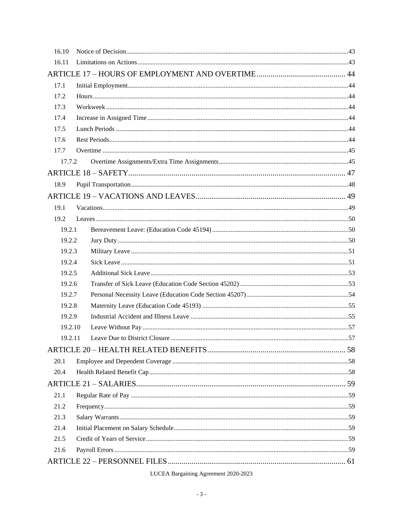| 16.10   |  |  |
|---------|--|--|
| 16.11   |  |  |
|         |  |  |
| 17.1    |  |  |
| 17.2    |  |  |
| 17.3    |  |  |
| 17.4    |  |  |
| 17.5    |  |  |
| 17.6    |  |  |
| 17.7    |  |  |
| 17.7.2  |  |  |
|         |  |  |
| 18.9    |  |  |
|         |  |  |
| 19.1    |  |  |
| 19.2    |  |  |
| 19.2.1  |  |  |
| 19.2.2  |  |  |
| 19.2.3  |  |  |
| 19.2.4  |  |  |
| 19.2.5  |  |  |
| 19.2.6  |  |  |
| 19.2.7  |  |  |
| 19.2.8  |  |  |
| 19.2.9  |  |  |
| 19.2.10 |  |  |
| 19.2.11 |  |  |
|         |  |  |
| 20.1    |  |  |
| 20.4    |  |  |
|         |  |  |
| 21.1    |  |  |
| 21.2    |  |  |
| 21.3    |  |  |
| 21.4    |  |  |
| 21.5    |  |  |
| 21.6    |  |  |
|         |  |  |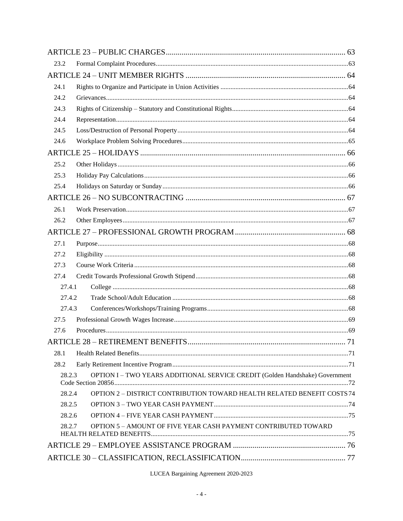| 23.2   |                                                                              |  |
|--------|------------------------------------------------------------------------------|--|
|        |                                                                              |  |
| 24.1   |                                                                              |  |
| 24.2   |                                                                              |  |
| 24.3   |                                                                              |  |
| 24.4   |                                                                              |  |
| 24.5   |                                                                              |  |
| 24.6   |                                                                              |  |
|        |                                                                              |  |
| 25.2   |                                                                              |  |
| 25.3   |                                                                              |  |
| 25.4   |                                                                              |  |
|        |                                                                              |  |
| 26.1   |                                                                              |  |
| 26.2   |                                                                              |  |
|        |                                                                              |  |
| 27.1   |                                                                              |  |
| 27.2   |                                                                              |  |
| 27.3   |                                                                              |  |
| 27.4   |                                                                              |  |
| 27.4.1 |                                                                              |  |
| 27.4.2 |                                                                              |  |
| 27.4.3 |                                                                              |  |
| 27.5   |                                                                              |  |
| 27.6   |                                                                              |  |
|        |                                                                              |  |
| 28.1   |                                                                              |  |
| 28.2   |                                                                              |  |
| 28.2.3 | OPTION I - TWO YEARS ADDITIONAL SERVICE CREDIT (Golden Handshake) Government |  |
| 28.2.4 | OPTION 2 - DISTRICT CONTRIBUTION TOWARD HEALTH RELATED BENEFIT COSTS 74      |  |
| 28.2.5 |                                                                              |  |
| 28.2.6 |                                                                              |  |
| 28.2.7 | <b>OPTION 5 - AMOUNT OF FIVE YEAR CASH PAYMENT CONTRIBUTED TOWARD</b>        |  |
|        |                                                                              |  |
|        |                                                                              |  |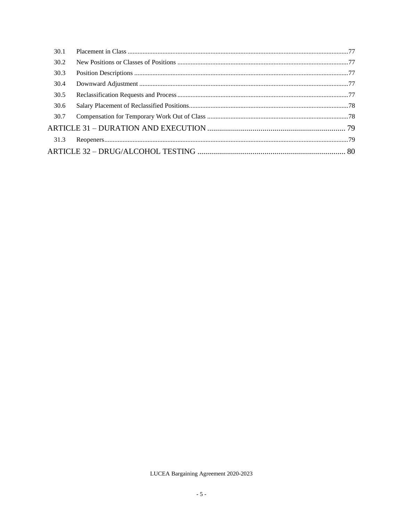| 30.1 |  |
|------|--|
| 30.2 |  |
| 30.3 |  |
| 30.4 |  |
| 30.5 |  |
| 30.6 |  |
| 30.7 |  |
|      |  |
| 31.3 |  |
|      |  |
|      |  |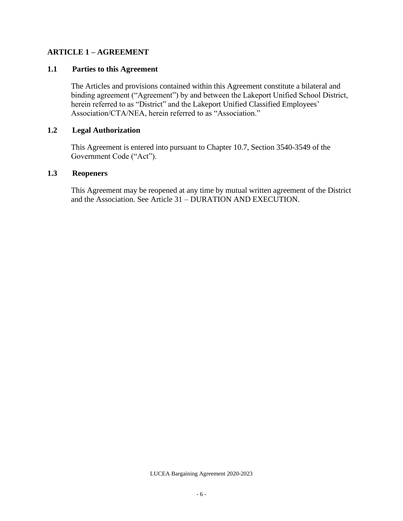# <span id="page-6-0"></span>**ARTICLE 1 – AGREEMENT**

## <span id="page-6-1"></span>**1.1 Parties to this Agreement**

The Articles and provisions contained within this Agreement constitute a bilateral and binding agreement ("Agreement") by and between the Lakeport Unified School District, herein referred to as "District" and the Lakeport Unified Classified Employees' Association/CTA/NEA, herein referred to as "Association."

#### <span id="page-6-2"></span>**1.2 Legal Authorization**

This Agreement is entered into pursuant to Chapter 10.7, Section 3540-3549 of the Government Code ("Act").

#### <span id="page-6-3"></span>**1.3 Reopeners**

This Agreement may be reopened at any time by mutual written agreement of the District and the Association. See Article 31 – DURATION AND EXECUTION.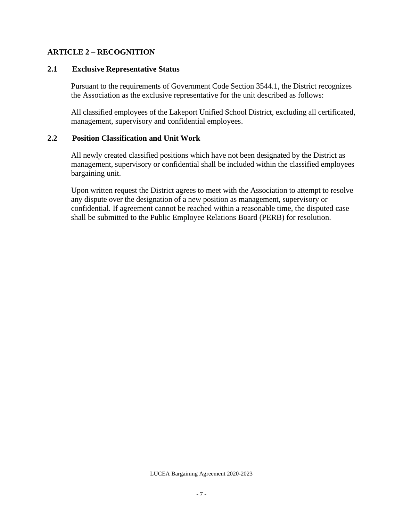# <span id="page-7-0"></span>**ARTICLE 2 – RECOGNITION**

#### <span id="page-7-1"></span>**2.1 Exclusive Representative Status**

Pursuant to the requirements of Government Code Section 3544.1, the District recognizes the Association as the exclusive representative for the unit described as follows:

All classified employees of the Lakeport Unified School District, excluding all certificated, management, supervisory and confidential employees.

## <span id="page-7-2"></span>**2.2 Position Classification and Unit Work**

All newly created classified positions which have not been designated by the District as management, supervisory or confidential shall be included within the classified employees bargaining unit.

Upon written request the District agrees to meet with the Association to attempt to resolve any dispute over the designation of a new position as management, supervisory or confidential. If agreement cannot be reached within a reasonable time, the disputed case shall be submitted to the Public Employee Relations Board (PERB) for resolution.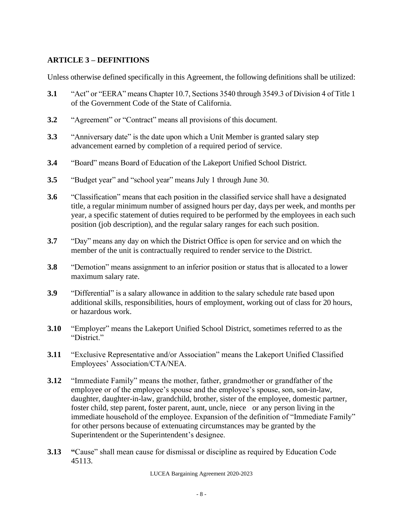# <span id="page-8-0"></span>**ARTICLE 3 – DEFINITIONS**

Unless otherwise defined specifically in this Agreement, the following definitions shall be utilized:

- **3.1** "Act" or "EERA" means Chapter 10.7, Sections 3540 through 3549.3 of Division 4 of Title 1 of the Government Code of the State of California.
- **3.2** "Agreement" or "Contract" means all provisions of this document.
- **3.3** "Anniversary date" is the date upon which a Unit Member is granted salary step advancement earned by completion of a required period of service.
- **3.4** "Board" means Board of Education of the Lakeport Unified School District.
- **3.5** "Budget year" and "school year" means July 1 through June 30.
- **3.6** "Classification" means that each position in the classified service shall have a designated title, a regular minimum number of assigned hours per day, days per week, and months per year, a specific statement of duties required to be performed by the employees in each such position (job description), and the regular salary ranges for each such position.
- **3.7** "Day" means any day on which the District Office is open for service and on which the member of the unit is contractually required to render service to the District.
- **3.8** "Demotion" means assignment to an inferior position or status that is allocated to a lower maximum salary rate.
- **3.9** "Differential" is a salary allowance in addition to the salary schedule rate based upon additional skills, responsibilities, hours of employment, working out of class for 20 hours, or hazardous work.
- **3.10** "Employer" means the Lakeport Unified School District, sometimes referred to as the "District."
- **3.11** "Exclusive Representative and/or Association" means the Lakeport Unified Classified Employees' Association/CTA/NEA.
- **3.12** "Immediate Family" means the mother, father, grandmother or grandfather of the employee or of the employee's spouse and the employee's spouse, son, son-in-law, daughter, daughter-in-law, grandchild, brother, sister of the employee, domestic partner, foster child, step parent, foster parent, aunt, uncle, niece or any person living in the immediate household of the employee. Expansion of the definition of "Immediate Family" for other persons because of extenuating circumstances may be granted by the Superintendent or the Superintendent's designee.
- **3.13 "**Cause" shall mean cause for dismissal or discipline as required by Education Code 45113.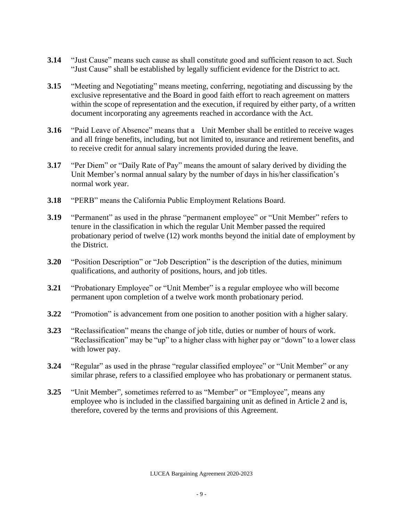- **3.14** "Just Cause" means such cause as shall constitute good and sufficient reason to act. Such "Just Cause" shall be established by legally sufficient evidence for the District to act.
- **3.15** "Meeting and Negotiating" means meeting, conferring, negotiating and discussing by the exclusive representative and the Board in good faith effort to reach agreement on matters within the scope of representation and the execution, if required by either party, of a written document incorporating any agreements reached in accordance with the Act.
- **3.16** "Paid Leave of Absence" means that a Unit Member shall be entitled to receive wages and all fringe benefits, including, but not limited to, insurance and retirement benefits, and to receive credit for annual salary increments provided during the leave.
- **3.17** "Per Diem" or "Daily Rate of Pay" means the amount of salary derived by dividing the Unit Member's normal annual salary by the number of days in his/her classification's normal work year.
- **3.18** "PERB" means the California Public Employment Relations Board.
- **3.19** "Permanent" as used in the phrase "permanent employee" or "Unit Member" refers to tenure in the classification in which the regular Unit Member passed the required probationary period of twelve (12) work months beyond the initial date of employment by the District.
- **3.20** "Position Description" or "Job Description" is the description of the duties, minimum qualifications, and authority of positions, hours, and job titles.
- **3.21** "Probationary Employee" or "Unit Member" is a regular employee who will become permanent upon completion of a twelve work month probationary period.
- **3.22** "Promotion" is advancement from one position to another position with a higher salary.
- **3.23** "Reclassification" means the change of job title, duties or number of hours of work. "Reclassification" may be "up" to a higher class with higher pay or "down" to a lower class with lower pay.
- **3.24** "Regular" as used in the phrase "regular classified employee" or "Unit Member" or any similar phrase, refers to a classified employee who has probationary or permanent status.
- **3.25** "Unit Member", sometimes referred to as "Member" or "Employee", means any employee who is included in the classified bargaining unit as defined in Article 2 and is, therefore, covered by the terms and provisions of this Agreement.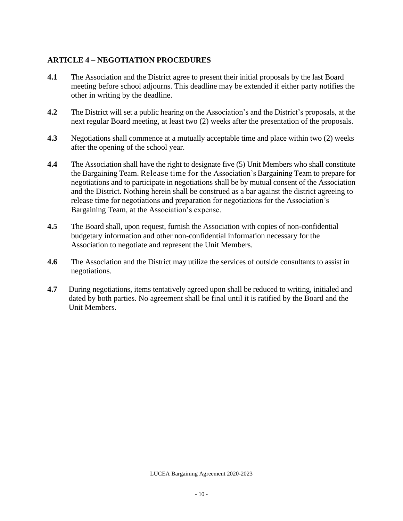# <span id="page-10-0"></span>**ARTICLE 4 – NEGOTIATION PROCEDURES**

- **4.1** The Association and the District agree to present their initial proposals by the last Board meeting before school adjourns. This deadline may be extended if either party notifies the other in writing by the deadline.
- **4.2** The District will set a public hearing on the Association's and the District's proposals, at the next regular Board meeting, at least two (2) weeks after the presentation of the proposals.
- **4.3** Negotiations shall commence at a mutually acceptable time and place within two (2) weeks after the opening of the school year.
- **4.4** The Association shall have the right to designate five (5) Unit Members who shall constitute the Bargaining Team. Release time for the Association's Bargaining Team to prepare for negotiations and to participate in negotiations shall be by mutual consent of the Association and the District. Nothing herein shall be construed as a bar against the district agreeing to release time for negotiations and preparation for negotiations for the Association's Bargaining Team, at the Association's expense.
- **4.5** The Board shall, upon request, furnish the Association with copies of non-confidential budgetary information and other non-confidential information necessary for the Association to negotiate and represent the Unit Members.
- **4.6** The Association and the District may utilize the services of outside consultants to assist in negotiations.
- **4.7** During negotiations, items tentatively agreed upon shall be reduced to writing, initialed and dated by both parties. No agreement shall be final until it is ratified by the Board and the Unit Members.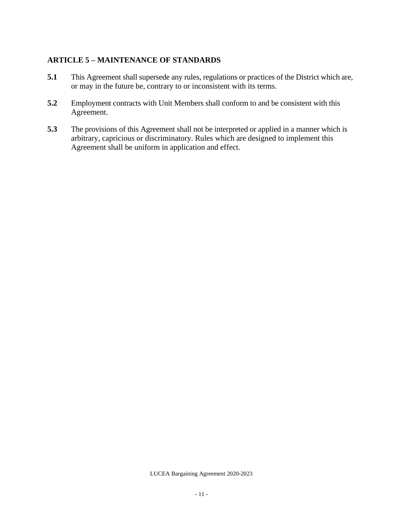# <span id="page-11-0"></span>**ARTICLE 5 – MAINTENANCE OF STANDARDS**

- **5.1** This Agreement shall supersede any rules, regulations or practices of the District which are, or may in the future be, contrary to or inconsistent with its terms.
- **5.2** Employment contracts with Unit Members shall conform to and be consistent with this Agreement.
- **5.3** The provisions of this Agreement shall not be interpreted or applied in a manner which is arbitrary, capricious or discriminatory. Rules which are designed to implement this Agreement shall be uniform in application and effect.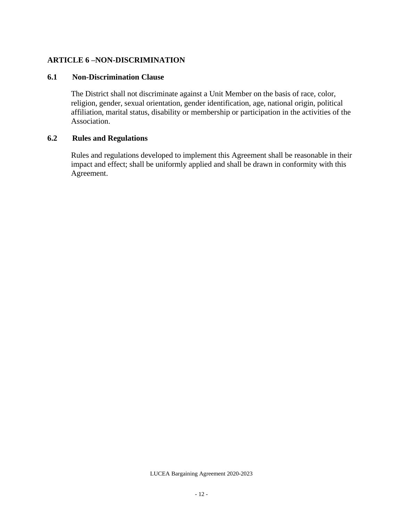# <span id="page-12-0"></span>**ARTICLE 6 –NON-DISCRIMINATION**

## <span id="page-12-1"></span>**6.1 Non-Discrimination Clause**

The District shall not discriminate against a Unit Member on the basis of race, color, religion, gender, sexual orientation, gender identification, age, national origin, political affiliation, marital status, disability or membership or participation in the activities of the Association.

# <span id="page-12-2"></span>**6.2 Rules and Regulations**

Rules and regulations developed to implement this Agreement shall be reasonable in their impact and effect; shall be uniformly applied and shall be drawn in conformity with this Agreement.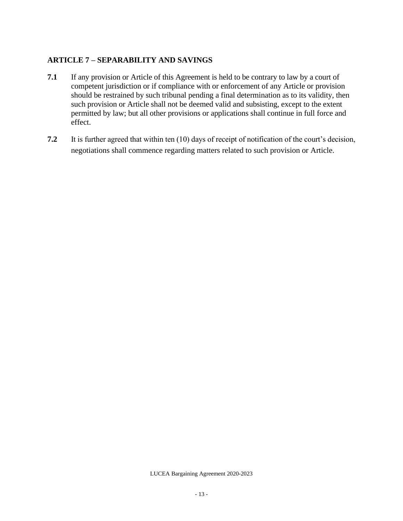# <span id="page-13-0"></span>**ARTICLE 7 – SEPARABILITY AND SAVINGS**

- **7.1** If any provision or Article of this Agreement is held to be contrary to law by a court of competent jurisdiction or if compliance with or enforcement of any Article or provision should be restrained by such tribunal pending a final determination as to its validity, then such provision or Article shall not be deemed valid and subsisting, except to the extent permitted by law; but all other provisions or applications shall continue in full force and effect.
- **7.2** It is further agreed that within ten (10) days of receipt of notification of the court's decision, negotiations shall commence regarding matters related to such provision or Article.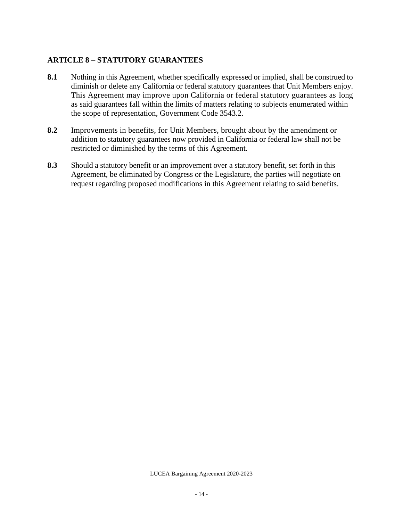# <span id="page-14-0"></span>**ARTICLE 8 – STATUTORY GUARANTEES**

- **8.1** Nothing in this Agreement, whether specifically expressed or implied, shall be construed to diminish or delete any California or federal statutory guarantees that Unit Members enjoy. This Agreement may improve upon California or federal statutory guarantees as long as said guarantees fall within the limits of matters relating to subjects enumerated within the scope of representation, Government Code 3543.2.
- **8.2** Improvements in benefits, for Unit Members, brought about by the amendment or addition to statutory guarantees now provided in California or federal law shall not be restricted or diminished by the terms of this Agreement.
- **8.3** Should a statutory benefit or an improvement over a statutory benefit, set forth in this Agreement, be eliminated by Congress or the Legislature, the parties will negotiate on request regarding proposed modifications in this Agreement relating to said benefits.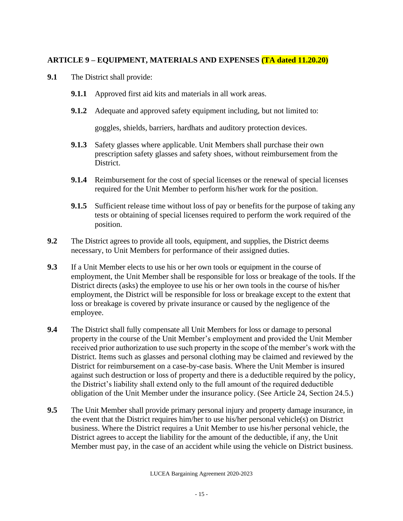# <span id="page-15-0"></span>**ARTICLE 9 – EQUIPMENT, MATERIALS AND EXPENSES (TA dated 11.20.20)**

- **9.1** The District shall provide:
	- **9.1.1** Approved first aid kits and materials in all work areas.
	- **9.1.2** Adequate and approved safety equipment including, but not limited to:

goggles, shields, barriers, hardhats and auditory protection devices.

- **9.1.3** Safety glasses where applicable. Unit Members shall purchase their own prescription safety glasses and safety shoes, without reimbursement from the District.
- **9.1.4** Reimbursement for the cost of special licenses or the renewal of special licenses required for the Unit Member to perform his/her work for the position.
- **9.1.5** Sufficient release time without loss of pay or benefits for the purpose of taking any tests or obtaining of special licenses required to perform the work required of the position.
- **9.2** The District agrees to provide all tools, equipment, and supplies, the District deems necessary, to Unit Members for performance of their assigned duties.
- **9.3** If a Unit Member elects to use his or her own tools or equipment in the course of employment, the Unit Member shall be responsible for loss or breakage of the tools. If the District directs (asks) the employee to use his or her own tools in the course of his/her employment, the District will be responsible for loss or breakage except to the extent that loss or breakage is covered by private insurance or caused by the negligence of the employee.
- **9.4** The District shall fully compensate all Unit Members for loss or damage to personal property in the course of the Unit Member's employment and provided the Unit Member received prior authorization to use such property in the scope of the member's work with the District. Items such as glasses and personal clothing may be claimed and reviewed by the District for reimbursement on a case-by-case basis. Where the Unit Member is insured against such destruction or loss of property and there is a deductible required by the policy, the District's liability shall extend only to the full amount of the required deductible obligation of the Unit Member under the insurance policy. (See Article 24, Section 24.5.)
- **9.5** The Unit Member shall provide primary personal injury and property damage insurance, in the event that the District requires him/her to use his/her personal vehicle(s) on District business. Where the District requires a Unit Member to use his/her personal vehicle, the District agrees to accept the liability for the amount of the deductible, if any, the Unit Member must pay, in the case of an accident while using the vehicle on District business.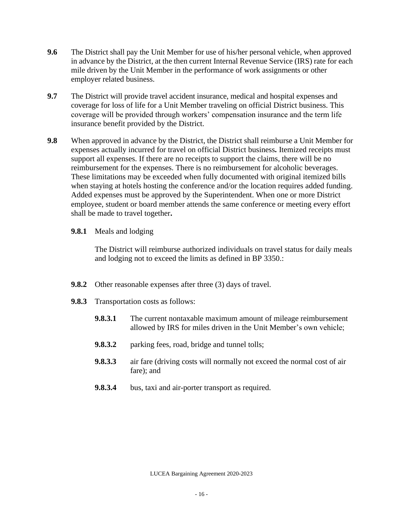- **9.6** The District shall pay the Unit Member for use of his/her personal vehicle, when approved in advance by the District, at the then current Internal Revenue Service (IRS) rate for each mile driven by the Unit Member in the performance of work assignments or other employer related business.
- **9.7** The District will provide travel accident insurance, medical and hospital expenses and coverage for loss of life for a Unit Member traveling on official District business. This coverage will be provided through workers' compensation insurance and the term life insurance benefit provided by the District.
- **9.8** When approved in advance by the District, the District shall reimburse a Unit Member for expenses actually incurred for travel on official District business*.* Itemized receipts must support all expenses. If there are no receipts to support the claims, there will be no reimbursement for the expenses. There is no reimbursement for alcoholic beverages. These limitations may be exceeded when fully documented with original itemized bills when staying at hotels hosting the conference and/or the location requires added funding. Added expenses must be approved by the Superintendent. When one or more District employee, student or board member attends the same conference or meeting every effort shall be made to travel together**.**
	- **9.8.1** Meals and lodging

The District will reimburse authorized individuals on travel status for daily meals and lodging not to exceed the limits as defined in BP 3350.:

- **9.8.2** Other reasonable expenses after three (3) days of travel.
- **9.8.3** Transportation costs as follows:
	- **9.8.3.1** The current nontaxable maximum amount of mileage reimbursement allowed by IRS for miles driven in the Unit Member's own vehicle;
	- **9.8.3.2** parking fees, road, bridge and tunnel tolls;
	- **9.8.3.3** air fare (driving costs will normally not exceed the normal cost of air fare); and
	- **9.8.3.4** bus, taxi and air-porter transport as required.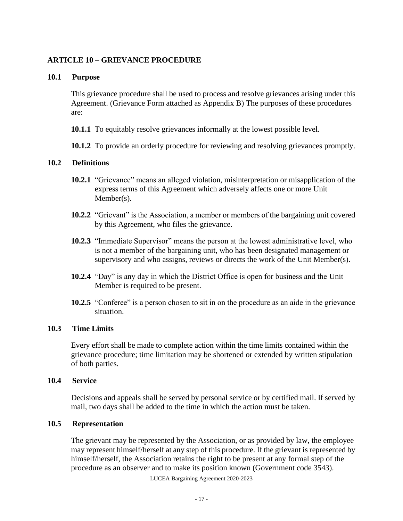# <span id="page-17-0"></span>**ARTICLE 10 – GRIEVANCE PROCEDURE**

### <span id="page-17-1"></span>**10.1 Purpose**

This grievance procedure shall be used to process and resolve grievances arising under this Agreement. (Grievance Form attached as Appendix B) The purposes of these procedures are:

- **10.1.1** To equitably resolve grievances informally at the lowest possible level.
- **10.1.2** To provide an orderly procedure for reviewing and resolving grievances promptly.

#### <span id="page-17-2"></span>**10.2 Definitions**

- **10.2.1** "Grievance" means an alleged violation, misinterpretation or misapplication of the express terms of this Agreement which adversely affects one or more Unit Member(s).
- **10.2.2** "Grievant" is the Association, a member or members of the bargaining unit covered by this Agreement, who files the grievance.
- **10.2.3** "Immediate Supervisor" means the person at the lowest administrative level, who is not a member of the bargaining unit, who has been designated management or supervisory and who assigns, reviews or directs the work of the Unit Member(s).
- **10.2.4** "Day" is any day in which the District Office is open for business and the Unit Member is required to be present.
- **10.2.5** "Conferee" is a person chosen to sit in on the procedure as an aide in the grievance situation.

## <span id="page-17-3"></span>**10.3 Time Limits**

Every effort shall be made to complete action within the time limits contained within the grievance procedure; time limitation may be shortened or extended by written stipulation of both parties.

#### <span id="page-17-4"></span>**10.4 Service**

Decisions and appeals shall be served by personal service or by certified mail. If served by mail, two days shall be added to the time in which the action must be taken.

### <span id="page-17-5"></span>**10.5 Representation**

The grievant may be represented by the Association, or as provided by law, the employee may represent himself/herself at any step of this procedure. If the grievant is represented by himself/herself, the Association retains the right to be present at any formal step of the procedure as an observer and to make its position known (Government code 3543).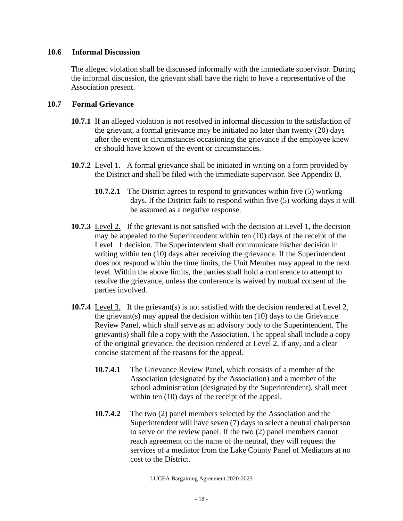## <span id="page-18-0"></span>**10.6 Informal Discussion**

The alleged violation shall be discussed informally with the immediate supervisor. During the informal discussion, the grievant shall have the right to have a representative of the Association present.

# <span id="page-18-1"></span>**10.7 Formal Grievance**

- **10.7.1** If an alleged violation is not resolved in informal discussion to the satisfaction of the grievant, a formal grievance may be initiated no later than twenty (20) days after the event or circumstances occasioning the grievance if the employee knew or should have known of the event or circumstances.
- **10.7.2** Level 1. A formal grievance shall be initiated in writing on a form provided by the District and shall be filed with the immediate supervisor. See Appendix B.
	- **10.7.2.1** The District agrees to respond to grievances within five (5) working days. If the District fails to respond within five (5) working days it will be assumed as a negative response.
- **10.7.3** Level 2. If the grievant is not satisfied with the decision at Level 1, the decision may be appealed to the Superintendent within ten (10) days of the receipt of the Level 1 decision. The Superintendent shall communicate his/her decision in writing within ten (10) days after receiving the grievance. If the Superintendent does not respond within the time limits, the Unit Member may appeal to the next level. Within the above limits, the parties shall hold a conference to attempt to resolve the grievance, unless the conference is waived by mutual consent of the parties involved.
- **10.7.4** Level 3. If the grievant(s) is not satisfied with the decision rendered at Level 2, the grievant(s) may appeal the decision within ten (10) days to the Grievance Review Panel, which shall serve as an advisory body to the Superintendent. The grievant(s) shall file a copy with the Association. The appeal shall include a copy of the original grievance, the decision rendered at Level 2, if any, and a clear concise statement of the reasons for the appeal.
	- **10.7.4.1** The Grievance Review Panel, which consists of a member of the Association (designated by the Association) and a member of the school administration (designated by the Superintendent), shall meet within ten  $(10)$  days of the receipt of the appeal.
	- **10.7.4.2** The two (2) panel members selected by the Association and the Superintendent will have seven (7) days to select a neutral chairperson to serve on the review panel. If the two (2) panel members cannot reach agreement on the name of the neutral, they will request the services of a mediator from the Lake County Panel of Mediators at no cost to the District.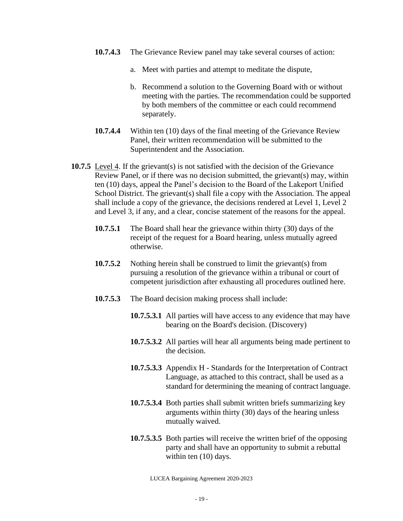- **10.7.4.3** The Grievance Review panel may take several courses of action:
	- a. Meet with parties and attempt to meditate the dispute,
	- b. Recommend a solution to the Governing Board with or without meeting with the parties. The recommendation could be supported by both members of the committee or each could recommend separately.
- **10.7.4.4** Within ten (10) days of the final meeting of the Grievance Review Panel, their written recommendation will be submitted to the Superintendent and the Association.
- **10.7.5** Level 4. If the grievant(s) is not satisfied with the decision of the Grievance Review Panel, or if there was no decision submitted, the grievant(s) may, within ten (10) days, appeal the Panel's decision to the Board of the Lakeport Unified School District. The grievant(s) shall file a copy with the Association. The appeal shall include a copy of the grievance, the decisions rendered at Level 1, Level 2 and Level 3, if any, and a clear, concise statement of the reasons for the appeal.
	- **10.7.5.1** The Board shall hear the grievance within thirty (30) days of the receipt of the request for a Board hearing, unless mutually agreed otherwise.
	- **10.7.5.2** Nothing herein shall be construed to limit the grievant(s) from pursuing a resolution of the grievance within a tribunal or court of competent jurisdiction after exhausting all procedures outlined here.
	- **10.7.5.3** The Board decision making process shall include:
		- **10.7.5.3.1** All parties will have access to any evidence that may have bearing on the Board's decision. (Discovery)
		- **10.7.5.3.2** All parties will hear all arguments being made pertinent to the decision.
		- **10.7.5.3.3** Appendix H Standards for the Interpretation of Contract Language, as attached to this contract, shall be used as a standard for determining the meaning of contract language.
		- **10.7.5.3.4** Both parties shall submit written briefs summarizing key arguments within thirty (30) days of the hearing unless mutually waived.
		- **10.7.5.3.5** Both parties will receive the written brief of the opposing party and shall have an opportunity to submit a rebuttal within ten  $(10)$  days.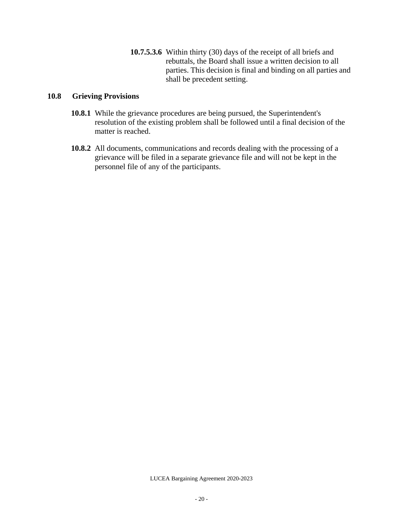**10.7.5.3.6** Within thirty (30) days of the receipt of all briefs and rebuttals, the Board shall issue a written decision to all parties. This decision is final and binding on all parties and shall be precedent setting.

## <span id="page-20-0"></span>**10.8 Grieving Provisions**

- **10.8.1** While the grievance procedures are being pursued, the Superintendent's resolution of the existing problem shall be followed until a final decision of the matter is reached.
- **10.8.2** All documents, communications and records dealing with the processing of a grievance will be filed in a separate grievance file and will not be kept in the personnel file of any of the participants.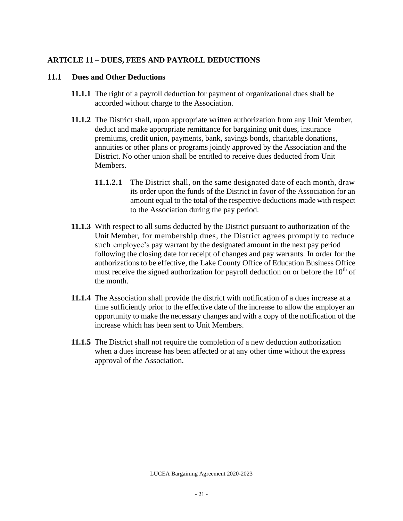# <span id="page-21-0"></span>**ARTICLE 11 – DUES, FEES AND PAYROLL DEDUCTIONS**

### <span id="page-21-1"></span>**11.1 Dues and Other Deductions**

- **11.1.1** The right of a payroll deduction for payment of organizational dues shall be accorded without charge to the Association.
- **11.1.2** The District shall, upon appropriate written authorization from any Unit Member, deduct and make appropriate remittance for bargaining unit dues, insurance premiums, credit union, payments, bank, savings bonds, charitable donations, annuities or other plans or programs jointly approved by the Association and the District. No other union shall be entitled to receive dues deducted from Unit Members.
	- **11.1.2.1** The District shall, on the same designated date of each month, draw its order upon the funds of the District in favor of the Association for an amount equal to the total of the respective deductions made with respect to the Association during the pay period.
- **11.1.3** With respect to all sums deducted by the District pursuant to authorization of the Unit Member, for membership dues, the District agrees promptly to reduce such employee's pay warrant by the designated amount in the next pay period following the closing date for receipt of changes and pay warrants. In order for the authorizations to be effective, the Lake County Office of Education Business Office must receive the signed authorization for payroll deduction on or before the  $10<sup>th</sup>$  of the month.
- **11.1.4** The Association shall provide the district with notification of a dues increase at a time sufficiently prior to the effective date of the increase to allow the employer an opportunity to make the necessary changes and with a copy of the notification of the increase which has been sent to Unit Members.
- <span id="page-21-2"></span>**11.1.5** The District shall not require the completion of a new deduction authorization when a dues increase has been affected or at any other time without the express approval of the Association.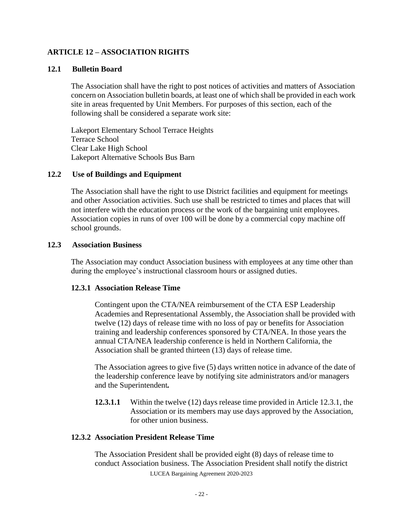# **ARTICLE 12 – ASSOCIATION RIGHTS**

## <span id="page-22-0"></span>**12.1 Bulletin Board**

The Association shall have the right to post notices of activities and matters of Association concern on Association bulletin boards, at least one of which shall be provided in each work site in areas frequented by Unit Members. For purposes of this section, each of the following shall be considered a separate work site:

Lakeport Elementary School Terrace Heights Terrace School Clear Lake High School Lakeport Alternative Schools Bus Barn

#### <span id="page-22-1"></span>**12.2 Use of Buildings and Equipment**

The Association shall have the right to use District facilities and equipment for meetings and other Association activities. Such use shall be restricted to times and places that will not interfere with the education process or the work of the bargaining unit employees. Association copies in runs of over 100 will be done by a commercial copy machine off school grounds.

#### <span id="page-22-2"></span>**12.3 Association Business**

The Association may conduct Association business with employees at any time other than during the employee's instructional classroom hours or assigned duties.

#### <span id="page-22-3"></span>**12.3.1 Association Release Time**

Contingent upon the CTA/NEA reimbursement of the CTA ESP Leadership Academies and Representational Assembly, the Association shall be provided with twelve (12) days of release time with no loss of pay or benefits for Association training and leadership conferences sponsored by CTA/NEA. In those years the annual CTA/NEA leadership conference is held in Northern California, the Association shall be granted thirteen (13) days of release time.

The Association agrees to give five (5) days written notice in advance of the date of the leadership conference leave by notifying site administrators and/or managers and the Superintendent*.*

**12.3.1.1** Within the twelve (12) days release time provided in Article 12.3.1, the Association or its members may use days approved by the Association, for other union business.

## <span id="page-22-4"></span>**12.3.2 Association President Release Time**

LUCEA Bargaining Agreement 2020-2023 The Association President shall be provided eight (8) days of release time to conduct Association business. The Association President shall notify the district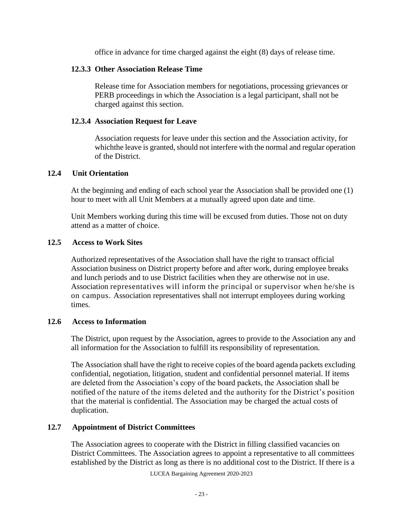office in advance for time charged against the eight (8) days of release time.

## <span id="page-23-0"></span>**12.3.3 Other Association Release Time**

Release time for Association members for negotiations, processing grievances or PERB proceedings in which the Association is a legal participant, shall not be charged against this section.

## <span id="page-23-1"></span>**12.3.4 Association Request for Leave**

Association requests for leave under this section and the Association activity, for whichthe leave is granted, should not interfere with the normal and regular operation of the District.

## <span id="page-23-2"></span>**12.4 Unit Orientation**

At the beginning and ending of each school year the Association shall be provided one (1) hour to meet with all Unit Members at a mutually agreed upon date and time.

Unit Members working during this time will be excused from duties. Those not on duty attend as a matter of choice.

#### <span id="page-23-3"></span>**12.5 Access to Work Sites**

Authorized representatives of the Association shall have the right to transact official Association business on District property before and after work, during employee breaks and lunch periods and to use District facilities when they are otherwise not in use. Association representatives will inform the principal or supervisor when he/she is on campus. Association representatives shall not interrupt employees during working times.

## <span id="page-23-4"></span>**12.6 Access to Information**

The District, upon request by the Association, agrees to provide to the Association any and all information for the Association to fulfill its responsibility of representation.

The Association shall have the right to receive copies of the board agenda packets excluding confidential, negotiation, litigation, student and confidential personnel material. If items are deleted from the Association's copy of the board packets, the Association shall be notified of the nature of the items deleted and the authority for the District's position that the material is confidential. The Association may be charged the actual costs of duplication.

# <span id="page-23-5"></span>**12.7 Appointment of District Committees**

The Association agrees to cooperate with the District in filling classified vacancies on District Committees. The Association agrees to appoint a representative to all committees established by the District as long as there is no additional cost to the District. If there is a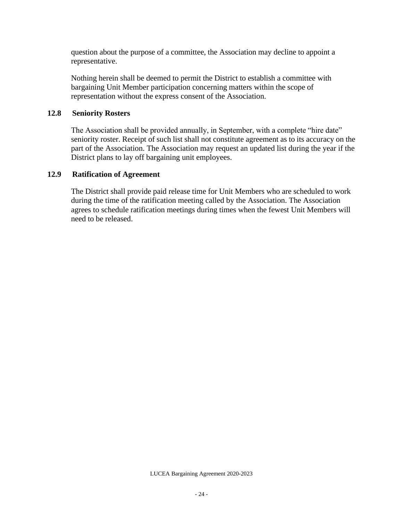question about the purpose of a committee, the Association may decline to appoint a representative.

Nothing herein shall be deemed to permit the District to establish a committee with bargaining Unit Member participation concerning matters within the scope of representation without the express consent of the Association.

## <span id="page-24-0"></span>**12.8 Seniority Rosters**

The Association shall be provided annually, in September, with a complete "hire date" seniority roster. Receipt of such list shall not constitute agreement as to its accuracy on the part of the Association. The Association may request an updated list during the year if the District plans to lay off bargaining unit employees.

# <span id="page-24-1"></span>**12.9 Ratification of Agreement**

The District shall provide paid release time for Unit Members who are scheduled to work during the time of the ratification meeting called by the Association. The Association agrees to schedule ratification meetings during times when the fewest Unit Members will need to be released.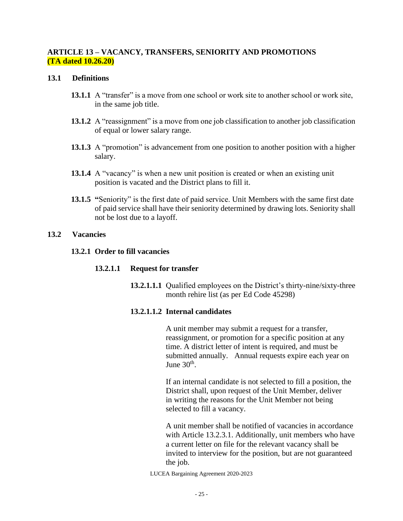# <span id="page-25-0"></span>**ARTICLE 13 – VACANCY, TRANSFERS, SENIORITY AND PROMOTIONS (TA dated 10.26.20)**

#### <span id="page-25-1"></span>**13.1 Definitions**

- **13.1.1** A "transfer" is a move from one school or work site to another school or work site, in the same job title.
- **13.1.2** A "reassignment" is a move from one job classification to another job classification of equal or lower salary range.
- **13.1.3** A "promotion" is advancement from one position to another position with a higher salary.
- **13.1.4** A "vacancy" is when a new unit position is created or when an existing unit position is vacated and the District plans to fill it.
- **13.1.5 "**Seniority" is the first date of paid service. Unit Members with the same first date of paid service shall have their seniority determined by drawing lots. Seniority shall not be lost due to a layoff.

#### <span id="page-25-3"></span><span id="page-25-2"></span>**13.2 Vacancies**

## **13.2.1 Order to fill vacancies**

## **13.2.1.1 Request for transfer**

**13.2.1.1.1** Qualified employees on the District's thirty-nine/sixty-three month rehire list (as per Ed Code 45298)

## **13.2.1.1.2 Internal candidates**

A unit member may submit a request for a transfer, reassignment, or promotion for a specific position at any time. A district letter of intent is required, and must be submitted annually. Annual requests expire each year on June  $30<sup>th</sup>$ .

If an internal candidate is not selected to fill a position, the District shall, upon request of the Unit Member, deliver in writing the reasons for the Unit Member not being selected to fill a vacancy.

A unit member shall be notified of vacancies in accordance with Article 13.2.3.1. Additionally, unit members who have a current letter on file for the relevant vacancy shall be invited to interview for the position, but are not guaranteed the job.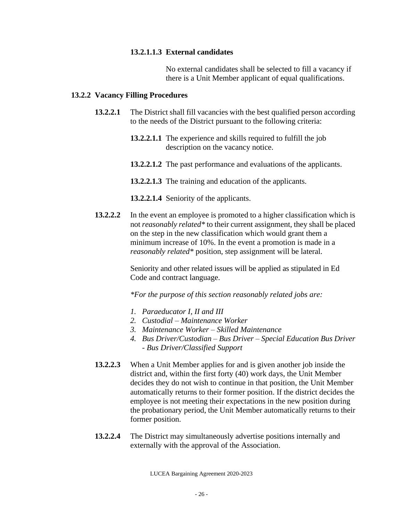## **13.2.1.1.3 External candidates**

No external candidates shall be selected to fill a vacancy if there is a Unit Member applicant of equal qualifications.

#### <span id="page-26-0"></span>**13.2.2 Vacancy Filling Procedures**

- **13.2.2.1** The District shall fill vacancies with the best qualified person according to the needs of the District pursuant to the following criteria:
	- **13.2.2.1.1** The experience and skills required to fulfill the job description on the vacancy notice.
	- **13.2.2.1.2** The past performance and evaluations of the applicants.
	- **13.2.2.1.3** The training and education of the applicants.
	- **13.2.2.1.4** Seniority of the applicants.
- **13.2.2.2** In the event an employee is promoted to a higher classification which is not *reasonably related\** to their current assignment, they shall be placed on the step in the new classification which would grant them a minimum increase of 10%. In the event a promotion is made in a *reasonably related\** position, step assignment will be lateral.

Seniority and other related issues will be applied as stipulated in Ed Code and contract language.

*\*For the purpose of this section reasonably related jobs are:*

- *1. Paraeducator I, II and III*
- *2. Custodial – Maintenance Worker*
- *3. Maintenance Worker – Skilled Maintenance*
- *4. Bus Driver/Custodian – Bus Driver – Special Education Bus Driver - Bus Driver/Classified Support*
- **13.2.2.3** When a Unit Member applies for and is given another job inside the district and, within the first forty (40) work days, the Unit Member decides they do not wish to continue in that position, the Unit Member automatically returns to their former position. If the district decides the employee is not meeting their expectations in the new position during the probationary period, the Unit Member automatically returns to their former position.
- **13.2.2.4** The District may simultaneously advertise positions internally and externally with the approval of the Association.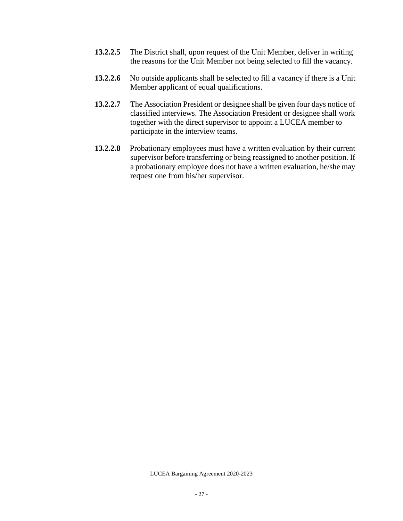- **13.2.2.5** The District shall, upon request of the Unit Member, deliver in writing the reasons for the Unit Member not being selected to fill the vacancy.
- **13.2.2.6** No outside applicants shall be selected to fill a vacancy if there is a Unit Member applicant of equal qualifications.
- **13.2.2.7** The Association President or designee shall be given four days notice of classified interviews. The Association President or designee shall work together with the direct supervisor to appoint a LUCEA member to participate in the interview teams.
- **13.2.2.8** Probationary employees must have a written evaluation by their current supervisor before transferring or being reassigned to another position. If a probationary employee does not have a written evaluation, he/she may request one from his/her supervisor.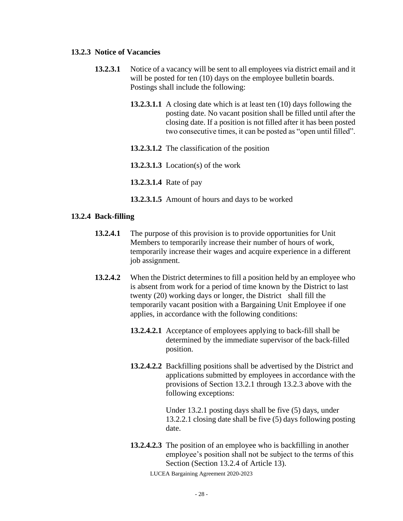#### <span id="page-28-0"></span>**13.2.3 Notice of Vacancies**

- **13.2.3.1** Notice of a vacancy will be sent to all employees via district email and it will be posted for ten (10) days on the employee bulletin boards. Postings shall include the following:
	- **13.2.3.1.1** A closing date which is at least ten (10) days following the posting date. No vacant position shall be filled until after the closing date. If a position is not filled after it has been posted two consecutive times, it can be posted as "open until filled".
	- **13.2.3.1.2** The classification of the position
	- **13.2.3.1.3** Location(s) of the work
	- **13.2.3.1.4** Rate of pay
	- **13.2.3.1.5** Amount of hours and days to be worked

#### <span id="page-28-1"></span>**13.2.4 Back-filling**

- **13.2.4.1** The purpose of this provision is to provide opportunities for Unit Members to temporarily increase their number of hours of work, temporarily increase their wages and acquire experience in a different job assignment.
- **13.2.4.2** When the District determines to fill a position held by an employee who is absent from work for a period of time known by the District to last twenty (20) working days or longer, the District shall fill the temporarily vacant position with a Bargaining Unit Employee if one applies, in accordance with the following conditions:
	- **13.2.4.2.1** Acceptance of employees applying to back-fill shall be determined by the immediate supervisor of the back-filled position.
	- **13.2.4.2.2** Backfilling positions shall be advertised by the District and applications submitted by employees in accordance with the provisions of Section 13.2.1 through 13.2.3 above with the following exceptions:

<span id="page-28-2"></span>Under 13.2.1 posting days shall be five (5) days, under 13.2.2.1 closing date shall be five (5) days following posting date.

**13.2.4.2.3** The position of an employee who is backfilling in another employee's position shall not be subject to the terms of this Section (Section 13.2.4 of Article 13).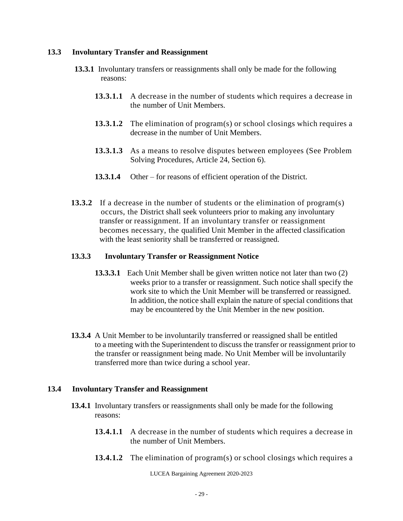## **13.3 Involuntary Transfer and Reassignment**

- **13.3.1** Involuntary transfers or reassignments shall only be made for the following reasons:
	- **13.3.1.1** A decrease in the number of students which requires a decrease in the number of Unit Members.
	- **13.3.1.2** The elimination of program(s) or school closings which requires a decrease in the number of Unit Members.
	- **13.3.1.3** As a means to resolve disputes between employees (See Problem Solving Procedures, Article 24, Section 6).
	- **13.3.1.4** Other for reasons of efficient operation of the District.
- **13.3.2** If a decrease in the number of students or the elimination of program(s) occurs, the District shall seek volunteers prior to making any involuntary transfer or reassignment. If an involuntary transfer or reassignment becomes necessary, the qualified Unit Member in the affected classification with the least seniority shall be transferred or reassigned.

#### **13.3.3 Involuntary Transfer or Reassignment Notice**

- **13.3.3.1** Each Unit Member shall be given written notice not later than two (2) weeks prior to a transfer or reassignment. Such notice shall specify the work site to which the Unit Member will be transferred or reassigned. In addition, the notice shall explain the nature of special conditions that may be encountered by the Unit Member in the new position.
- **13.3.4** A Unit Member to be involuntarily transferred or reassigned shall be entitled to a meeting with the Superintendent to discuss the transfer or reassignment prior to the transfer or reassignment being made. No Unit Member will be involuntarily transferred more than twice during a school year.

## **13.4 Involuntary Transfer and Reassignment**

- **13.4.1** Involuntary transfers or reassignments shall only be made for the following reasons:
	- **13.4.1.1** A decrease in the number of students which requires a decrease in the number of Unit Members.
	- **13.4.1.2** The elimination of program(s) or school closings which requires a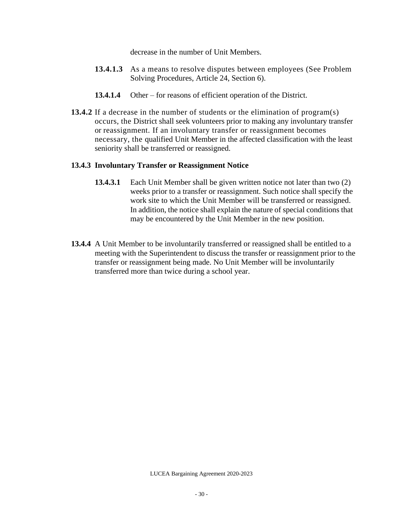decrease in the number of Unit Members.

- **13.4.1.3** As a means to resolve disputes between employees (See Problem Solving Procedures, Article 24, Section 6).
- **13.4.1.4** Other for reasons of efficient operation of the District.
- **13.4.2** If a decrease in the number of students or the elimination of program(s) occurs, the District shall seek volunteers prior to making any involuntary transfer or reassignment. If an involuntary transfer or reassignment becomes necessary, the qualified Unit Member in the affected classification with the least seniority shall be transferred or reassigned.

# <span id="page-30-0"></span>**13.4.3 Involuntary Transfer or Reassignment Notice**

- **13.4.3.1** Each Unit Member shall be given written notice not later than two (2) weeks prior to a transfer or reassignment. Such notice shall specify the work site to which the Unit Member will be transferred or reassigned. In addition, the notice shall explain the nature of special conditions that may be encountered by the Unit Member in the new position.
- **13.4.4** A Unit Member to be involuntarily transferred or reassigned shall be entitled to a meeting with the Superintendent to discuss the transfer or reassignment prior to the transfer or reassignment being made. No Unit Member will be involuntarily transferred more than twice during a school year.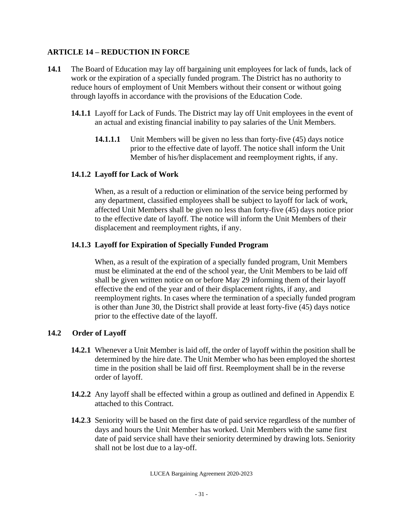# <span id="page-31-0"></span>**ARTICLE 14 – REDUCTION IN FORCE**

- **14.1** The Board of Education may lay off bargaining unit employees for lack of funds, lack of work or the expiration of a specially funded program. The District has no authority to reduce hours of employment of Unit Members without their consent or without going through layoffs in accordance with the provisions of the Education Code.
	- **14.1.1** Layoff for Lack of Funds. The District may lay off Unit employees in the event of an actual and existing financial inability to pay salaries of the Unit Members.
		- **14.1.1.1** Unit Members will be given no less than forty-five (45) days notice prior to the effective date of layoff. The notice shall inform the Unit Member of his/her displacement and reemployment rights, if any.

# <span id="page-31-1"></span>**14.1.2 Layoff for Lack of Work**

When, as a result of a reduction or elimination of the service being performed by any department, classified employees shall be subject to layoff for lack of work, affected Unit Members shall be given no less than forty-five (45) days notice prior to the effective date of layoff. The notice will inform the Unit Members of their displacement and reemployment rights, if any.

# <span id="page-31-2"></span>**14.1.3 Layoff for Expiration of Specially Funded Program**

When, as a result of the expiration of a specially funded program, Unit Members must be eliminated at the end of the school year, the Unit Members to be laid off shall be given written notice on or before May 29 informing them of their layoff effective the end of the year and of their displacement rights, if any, and reemployment rights. In cases where the termination of a specially funded program is other than June 30, the District shall provide at least forty-five (45) days notice prior to the effective date of the layoff.

# <span id="page-31-3"></span>**14.2 Order of Layoff**

- **14.2.1** Whenever a Unit Member is laid off, the order of layoff within the position shall be determined by the hire date. The Unit Member who has been employed the shortest time in the position shall be laid off first. Reemployment shall be in the reverse order of layoff.
- **14.2.2** Any layoff shall be effected within a group as outlined and defined in Appendix E attached to this Contract.
- **14.2**.**3** Seniority will be based on the first date of paid service regardless of the number of days and hours the Unit Member has worked. Unit Members with the same first date of paid service shall have their seniority determined by drawing lots. Seniority shall not be lost due to a lay-off.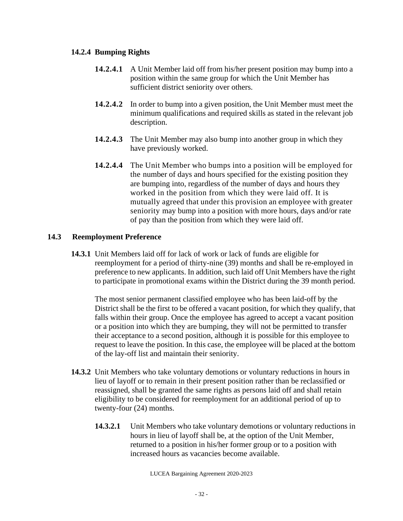# <span id="page-32-0"></span>**14.2.4 Bumping Rights**

- **14.2.4.1** A Unit Member laid off from his/her present position may bump into a position within the same group for which the Unit Member has sufficient district seniority over others.
- **14.2.4.2** In order to bump into a given position, the Unit Member must meet the minimum qualifications and required skills as stated in the relevant job description.
- **14.2.4.3** The Unit Member may also bump into another group in which they have previously worked.
- **14.2.4.4** The Unit Member who bumps into a position will be employed for the number of days and hours specified for the existing position they are bumping into, regardless of the number of days and hours they worked in the position from which they were laid off. It is mutually agreed that under this provision an employee with greater seniority may bump into a position with more hours, days and/or rate of pay than the position from which they were laid off.

# <span id="page-32-1"></span>**14.3 Reemployment Preference**

**14.3.1** Unit Members laid off for lack of work or lack of funds are eligible for reemployment for a period of thirty-nine (39) months and shall be re-employed in preference to new applicants. In addition, such laid off Unit Members have the right to participate in promotional exams within the District during the 39 month period.

The most senior permanent classified employee who has been laid-off by the District shall be the first to be offered a vacant position, for which they qualify, that falls within their group. Once the employee has agreed to accept a vacant position or a position into which they are bumping, they will not be permitted to transfer their acceptance to a second position, although it is possible for this employee to request to leave the position. In this case, the employee will be placed at the bottom of the lay-off list and maintain their seniority.

- **14.3.2** Unit Members who take voluntary demotions or voluntary reductions in hours in lieu of layoff or to remain in their present position rather than be reclassified or reassigned, shall be granted the same rights as persons laid off and shall retain eligibility to be considered for reemployment for an additional period of up to twenty-four (24) months.
	- **14.3.2.1** Unit Members who take voluntary demotions or voluntary reductions in hours in lieu of layoff shall be, at the option of the Unit Member, returned to a position in his/her former group or to a position with increased hours as vacancies become available.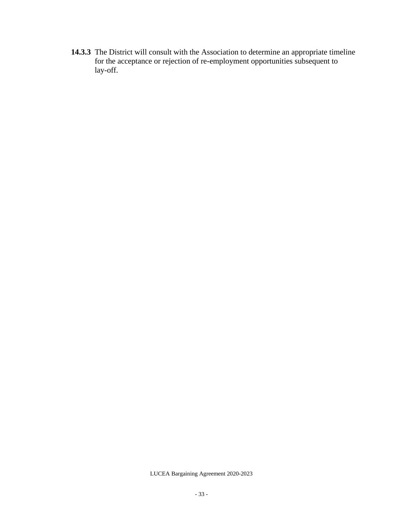**14.3.3** The District will consult with the Association to determine an appropriate timeline for the acceptance or rejection of re-employment opportunities subsequent to lay-off.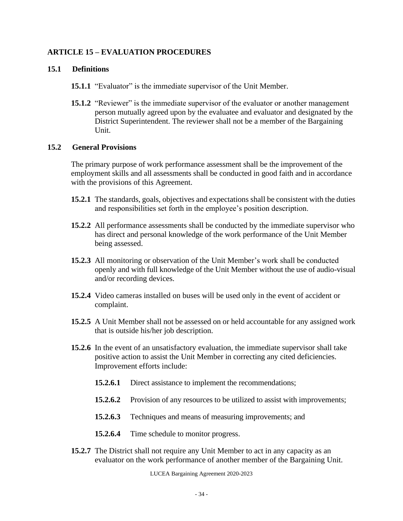# <span id="page-34-0"></span>**ARTICLE 15 – EVALUATION PROCEDURES**

### <span id="page-34-1"></span>**15.1 Definitions**

- **15.1.1** "Evaluator" is the immediate supervisor of the Unit Member.
- **15.1.2** "Reviewer" is the immediate supervisor of the evaluator or another management person mutually agreed upon by the evaluatee and evaluator and designated by the District Superintendent. The reviewer shall not be a member of the Bargaining Unit.

#### <span id="page-34-2"></span>**15.2 General Provisions**

The primary purpose of work performance assessment shall be the improvement of the employment skills and all assessments shall be conducted in good faith and in accordance with the provisions of this Agreement.

- **15.2.1** The standards, goals, objectives and expectations shall be consistent with the duties and responsibilities set forth in the employee's position description.
- **15.2.2** All performance assessments shall be conducted by the immediate supervisor who has direct and personal knowledge of the work performance of the Unit Member being assessed.
- **15.2.3** All monitoring or observation of the Unit Member's work shall be conducted openly and with full knowledge of the Unit Member without the use of audio-visual and/or recording devices.
- **15.2.4** Video cameras installed on buses will be used only in the event of accident or complaint.
- **15.2.5** A Unit Member shall not be assessed on or held accountable for any assigned work that is outside his/her job description.
- **15.2.6** In the event of an unsatisfactory evaluation, the immediate supervisor shall take positive action to assist the Unit Member in correcting any cited deficiencies. Improvement efforts include:
	- **15.2.6.1** Direct assistance to implement the recommendations;
	- **15.2.6.2** Provision of any resources to be utilized to assist with improvements;
	- **15.2.6.3** Techniques and means of measuring improvements; and
	- **15.2.6.4** Time schedule to monitor progress.
- **15.2.7** The District shall not require any Unit Member to act in any capacity as an evaluator on the work performance of another member of the Bargaining Unit.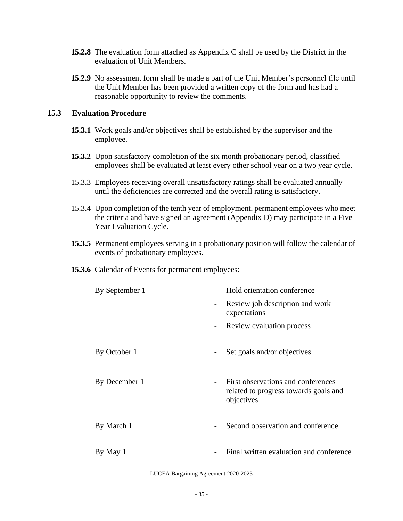- **15.2.8** The evaluation form attached as Appendix C shall be used by the District in the evaluation of Unit Members.
- **15.2.9** No assessment form shall be made a part of the Unit Member's personnel file until the Unit Member has been provided a written copy of the form and has had a reasonable opportunity to review the comments.

### <span id="page-35-0"></span>**15.3 Evaluation Procedure**

- **15.3.1** Work goals and/or objectives shall be established by the supervisor and the employee.
- **15.3.2** Upon satisfactory completion of the six month probationary period, classified employees shall be evaluated at least every other school year on a two year cycle.
- 15.3.3 Employees receiving overall unsatisfactory ratings shall be evaluated annually until the deficiencies are corrected and the overall rating is satisfactory.
- 15.3.4 Upon completion of the tenth year of employment, permanent employees who meet the criteria and have signed an agreement (Appendix D) may participate in a Five Year Evaluation Cycle.
- **15.3.5** Permanent employees serving in a probationary position will follow the calendar of events of probationary employees.
- **15.3.6** Calendar of Events for permanent employees:

| By September 1 |                          | Hold orientation conference                                                               |
|----------------|--------------------------|-------------------------------------------------------------------------------------------|
|                | $\overline{\phantom{a}}$ | Review job description and work<br>expectations                                           |
|                |                          | Review evaluation process                                                                 |
| By October 1   | $\overline{\phantom{a}}$ | Set goals and/or objectives                                                               |
| By December 1  |                          | First observations and conferences<br>related to progress towards goals and<br>objectives |
| By March 1     |                          | Second observation and conference                                                         |
| By May 1       |                          | Final written evaluation and conference                                                   |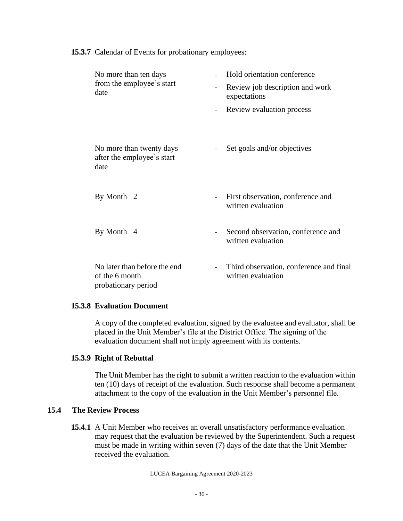**15.3.7** Calendar of Events for probationary employees:

| No more than ten days<br>from the employee's start<br>date            |                          | Hold orientation conference                                   |  |
|-----------------------------------------------------------------------|--------------------------|---------------------------------------------------------------|--|
|                                                                       | $\overline{\phantom{a}}$ | Review job description and work<br>expectations               |  |
|                                                                       | $\overline{a}$           | Review evaluation process                                     |  |
|                                                                       |                          |                                                               |  |
| No more than twenty days<br>after the employee's start<br>date        |                          | Set goals and/or objectives                                   |  |
| By Month 2                                                            | $\overline{\phantom{a}}$ | First observation, conference and<br>written evaluation       |  |
| By Month 4                                                            | $\overline{\phantom{a}}$ | Second observation, conference and<br>written evaluation      |  |
| No later than before the end<br>of the 6 month<br>probationary period |                          | Third observation, conference and final<br>written evaluation |  |

#### **15.3.8 Evaluation Document**

A copy of the completed evaluation, signed by the evaluatee and evaluator, shall be placed in the Unit Member's file at the District Office. The signing of the evaluation document shall not imply agreement with its contents.

#### **15.3.9 Right of Rebuttal**

The Unit Member has the right to submit a written reaction to the evaluation within ten (10) days of receipt of the evaluation. Such response shall become a permanent attachment to the copy of the evaluation in the Unit Member's personnel file.

#### **15.4 The Review Process**

**15.4.1** A Unit Member who receives an overall unsatisfactory performance evaluation may request that the evaluation be reviewed by the Superintendent. Such a request must be made in writing within seven (7) days of the date that the Unit Member received the evaluation.

LUCEA Bargaining Agreement 2020-2023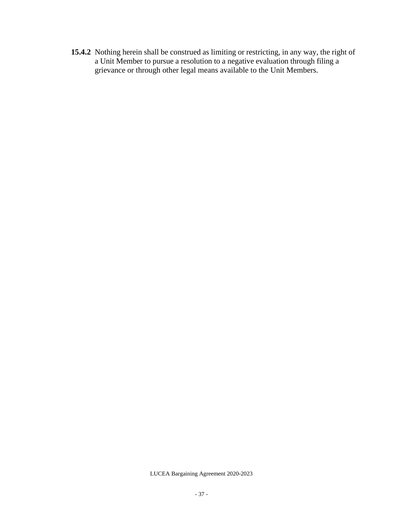**15.4.2** Nothing herein shall be construed as limiting or restricting, in any way, the right of a Unit Member to pursue a resolution to a negative evaluation through filing a grievance or through other legal means available to the Unit Members.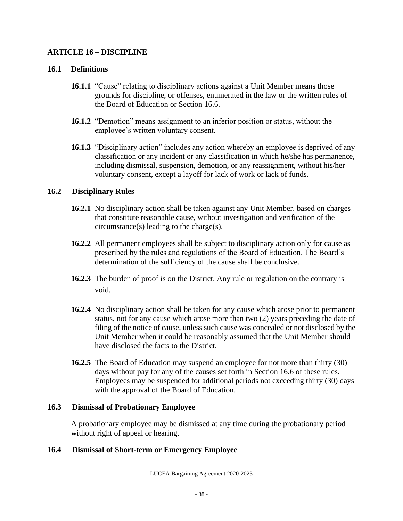### **ARTICLE 16 – DISCIPLINE**

#### **16.1 Definitions**

- **16.1.1** "Cause" relating to disciplinary actions against a Unit Member means those grounds for discipline, or offenses, enumerated in the law or the written rules of the Board of Education or Section 16.6.
- **16.1.2** "Demotion" means assignment to an inferior position or status, without the employee's written voluntary consent.
- **16.1.3** "Disciplinary action" includes any action whereby an employee is deprived of any classification or any incident or any classification in which he/she has permanence, including dismissal, suspension, demotion, or any reassignment, without his/her voluntary consent, except a layoff for lack of work or lack of funds.

#### **16.2 Disciplinary Rules**

- **16.2.1** No disciplinary action shall be taken against any Unit Member, based on charges that constitute reasonable cause, without investigation and verification of the circumstance(s) leading to the charge(s).
- **16.2.2** All permanent employees shall be subject to disciplinary action only for cause as prescribed by the rules and regulations of the Board of Education. The Board's determination of the sufficiency of the cause shall be conclusive.
- **16.2.3** The burden of proof is on the District. Any rule or regulation on the contrary is void.
- **16.2.4** No disciplinary action shall be taken for any cause which arose prior to permanent status, not for any cause which arose more than two (2) years preceding the date of filing of the notice of cause, unless such cause was concealed or not disclosed by the Unit Member when it could be reasonably assumed that the Unit Member should have disclosed the facts to the District.
- **16.2.5** The Board of Education may suspend an employee for not more than thirty (30) days without pay for any of the causes set forth in Section 16.6 of these rules. Employees may be suspended for additional periods not exceeding thirty (30) days with the approval of the Board of Education.

#### **16.3 Dismissal of Probationary Employee**

A probationary employee may be dismissed at any time during the probationary period without right of appeal or hearing.

## **16.4 Dismissal of Short-term or Emergency Employee**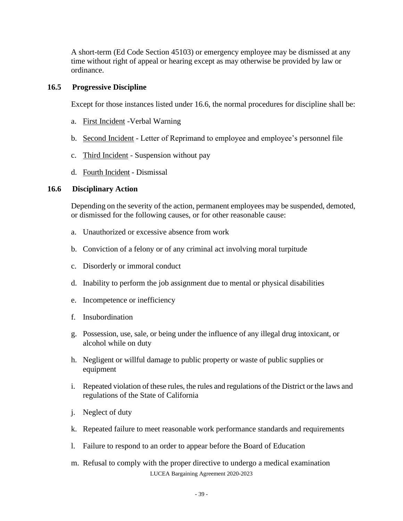A short-term (Ed Code Section 45103) or emergency employee may be dismissed at any time without right of appeal or hearing except as may otherwise be provided by law or ordinance.

#### **16.5 Progressive Discipline**

Except for those instances listed under 16.6, the normal procedures for discipline shall be:

- a. First Incident -Verbal Warning
- b. Second Incident Letter of Reprimand to employee and employee's personnel file
- c. Third Incident Suspension without pay
- d. Fourth Incident Dismissal

#### **16.6 Disciplinary Action**

Depending on the severity of the action, permanent employees may be suspended, demoted, or dismissed for the following causes, or for other reasonable cause:

- a. Unauthorized or excessive absence from work
- b. Conviction of a felony or of any criminal act involving moral turpitude
- c. Disorderly or immoral conduct
- d. Inability to perform the job assignment due to mental or physical disabilities
- e. Incompetence or inefficiency
- f. Insubordination
- g. Possession, use, sale, or being under the influence of any illegal drug intoxicant, or alcohol while on duty
- h. Negligent or willful damage to public property or waste of public supplies or equipment
- i. Repeated violation of these rules, the rules and regulations of the District or the laws and regulations of the State of California
- j. Neglect of duty
- k. Repeated failure to meet reasonable work performance standards and requirements
- l. Failure to respond to an order to appear before the Board of Education
- LUCEA Bargaining Agreement 2020-2023 m. Refusal to comply with the proper directive to undergo a medical examination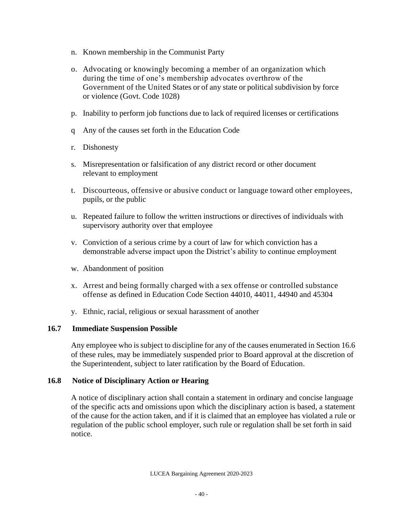- n. Known membership in the Communist Party
- o. Advocating or knowingly becoming a member of an organization which during the time of one's membership advocates overthrow of the Government of the United States or of any state or political subdivision by force or violence (Govt. Code 1028)
- p. Inability to perform job functions due to lack of required licenses or certifications
- q Any of the causes set forth in the Education Code
- r. Dishonesty
- s. Misrepresentation or falsification of any district record or other document relevant to employment
- t. Discourteous, offensive or abusive conduct or language toward other employees, pupils, or the public
- u. Repeated failure to follow the written instructions or directives of individuals with supervisory authority over that employee
- v. Conviction of a serious crime by a court of law for which conviction has a demonstrable adverse impact upon the District's ability to continue employment
- w. Abandonment of position
- x. Arrest and being formally charged with a sex offense or controlled substance offense as defined in Education Code Section 44010, 44011, 44940 and 45304
- y. Ethnic, racial, religious or sexual harassment of another

#### **16.7 Immediate Suspension Possible**

Any employee who is subject to discipline for any of the causes enumerated in Section 16.6 of these rules, may be immediately suspended prior to Board approval at the discretion of the Superintendent, subject to later ratification by the Board of Education.

#### **16.8 Notice of Disciplinary Action or Hearing**

A notice of disciplinary action shall contain a statement in ordinary and concise language of the specific acts and omissions upon which the disciplinary action is based, a statement of the cause for the action taken, and if it is claimed that an employee has violated a rule or regulation of the public school employer, such rule or regulation shall be set forth in said notice.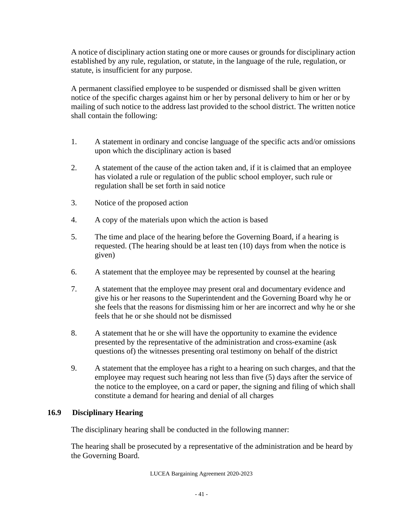A notice of disciplinary action stating one or more causes or grounds for disciplinary action established by any rule, regulation, or statute, in the language of the rule, regulation, or statute, is insufficient for any purpose.

A permanent classified employee to be suspended or dismissed shall be given written notice of the specific charges against him or her by personal delivery to him or her or by mailing of such notice to the address last provided to the school district. The written notice shall contain the following:

- 1. A statement in ordinary and concise language of the specific acts and/or omissions upon which the disciplinary action is based
- 2. A statement of the cause of the action taken and, if it is claimed that an employee has violated a rule or regulation of the public school employer, such rule or regulation shall be set forth in said notice
- 3. Notice of the proposed action
- 4. A copy of the materials upon which the action is based
- 5. The time and place of the hearing before the Governing Board, if a hearing is requested. (The hearing should be at least ten (10) days from when the notice is given)
- 6. A statement that the employee may be represented by counsel at the hearing
- 7. A statement that the employee may present oral and documentary evidence and give his or her reasons to the Superintendent and the Governing Board why he or she feels that the reasons for dismissing him or her are incorrect and why he or she feels that he or she should not be dismissed
- 8. A statement that he or she will have the opportunity to examine the evidence presented by the representative of the administration and cross-examine (ask questions of) the witnesses presenting oral testimony on behalf of the district
- 9. A statement that the employee has a right to a hearing on such charges, and that the employee may request such hearing not less than five (5) days after the service of the notice to the employee, on a card or paper, the signing and filing of which shall constitute a demand for hearing and denial of all charges

## **16.9 Disciplinary Hearing**

The disciplinary hearing shall be conducted in the following manner:

The hearing shall be prosecuted by a representative of the administration and be heard by the Governing Board.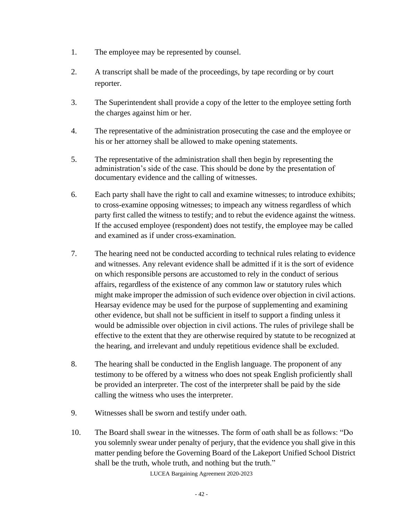- 1. The employee may be represented by counsel.
- 2. A transcript shall be made of the proceedings, by tape recording or by court reporter.
- 3. The Superintendent shall provide a copy of the letter to the employee setting forth the charges against him or her.
- 4. The representative of the administration prosecuting the case and the employee or his or her attorney shall be allowed to make opening statements.
- 5. The representative of the administration shall then begin by representing the administration's side of the case. This should be done by the presentation of documentary evidence and the calling of witnesses.
- 6. Each party shall have the right to call and examine witnesses; to introduce exhibits; to cross-examine opposing witnesses; to impeach any witness regardless of which party first called the witness to testify; and to rebut the evidence against the witness. If the accused employee (respondent) does not testify, the employee may be called and examined as if under cross-examination.
- 7. The hearing need not be conducted according to technical rules relating to evidence and witnesses. Any relevant evidence shall be admitted if it is the sort of evidence on which responsible persons are accustomed to rely in the conduct of serious affairs, regardless of the existence of any common law or statutory rules which might make improper the admission of such evidence over objection in civil actions. Hearsay evidence may be used for the purpose of supplementing and examining other evidence, but shall not be sufficient in itself to support a finding unless it would be admissible over objection in civil actions. The rules of privilege shall be effective to the extent that they are otherwise required by statute to be recognized at the hearing, and irrelevant and unduly repetitious evidence shall be excluded.
- 8. The hearing shall be conducted in the English language. The proponent of any testimony to be offered by a witness who does not speak English proficiently shall be provided an interpreter. The cost of the interpreter shall be paid by the side calling the witness who uses the interpreter.
- 9. Witnesses shall be sworn and testify under oath.
- 10. The Board shall swear in the witnesses. The form of oath shall be as follows: "Do you solemnly swear under penalty of perjury, that the evidence you shall give in this matter pending before the Governing Board of the Lakeport Unified School District shall be the truth, whole truth, and nothing but the truth."

LUCEA Bargaining Agreement 2020-2023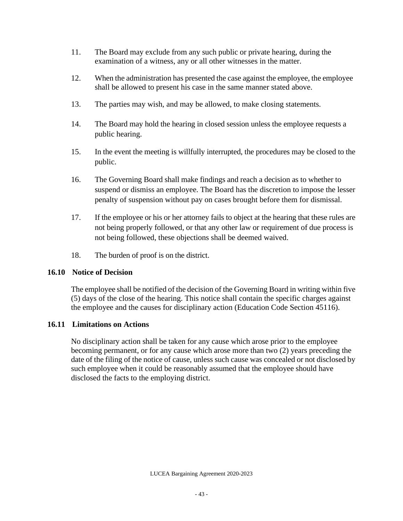- 11. The Board may exclude from any such public or private hearing, during the examination of a witness, any or all other witnesses in the matter.
- 12. When the administration has presented the case against the employee, the employee shall be allowed to present his case in the same manner stated above.
- 13. The parties may wish, and may be allowed, to make closing statements.
- 14. The Board may hold the hearing in closed session unless the employee requests a public hearing.
- 15. In the event the meeting is willfully interrupted, the procedures may be closed to the public.
- 16. The Governing Board shall make findings and reach a decision as to whether to suspend or dismiss an employee. The Board has the discretion to impose the lesser penalty of suspension without pay on cases brought before them for dismissal.
- 17. If the employee or his or her attorney fails to object at the hearing that these rules are not being properly followed, or that any other law or requirement of due process is not being followed, these objections shall be deemed waived.
- 18. The burden of proof is on the district.

## **16.10 Notice of Decision**

The employee shall be notified of the decision of the Governing Board in writing within five (5) days of the close of the hearing. This notice shall contain the specific charges against the employee and the causes for disciplinary action (Education Code Section 45116).

# **16.11 Limitations on Actions**

No disciplinary action shall be taken for any cause which arose prior to the employee becoming permanent, or for any cause which arose more than two (2) years preceding the date of the filing of the notice of cause, unless such cause was concealed or not disclosed by such employee when it could be reasonably assumed that the employee should have disclosed the facts to the employing district.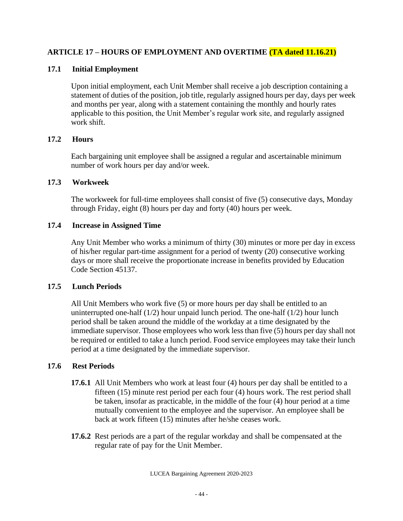# **ARTICLE 17 – HOURS OF EMPLOYMENT AND OVERTIME (TA dated 11.16.21)**

## **17.1 Initial Employment**

Upon initial employment, each Unit Member shall receive a job description containing a statement of duties of the position, job title, regularly assigned hours per day, days per week and months per year, along with a statement containing the monthly and hourly rates applicable to this position, the Unit Member's regular work site, and regularly assigned work shift.

## **17.2 Hours**

Each bargaining unit employee shall be assigned a regular and ascertainable minimum number of work hours per day and/or week.

# **17.3 Workweek**

The workweek for full-time employees shall consist of five (5) consecutive days, Monday through Friday, eight (8) hours per day and forty (40) hours per week.

# **17.4 Increase in Assigned Time**

Any Unit Member who works a minimum of thirty (30) minutes or more per day in excess of his/her regular part-time assignment for a period of twenty (20) consecutive working days or more shall receive the proportionate increase in benefits provided by Education Code Section 45137.

# **17.5 Lunch Periods**

All Unit Members who work five (5) or more hours per day shall be entitled to an uninterrupted one-half  $(1/2)$  hour unpaid lunch period. The one-half  $(1/2)$  hour lunch period shall be taken around the middle of the workday at a time designated by the immediate supervisor. Those employees who work less than five (5) hours per day shall not be required or entitled to take a lunch period. Food service employees may take their lunch period at a time designated by the immediate supervisor.

# **17.6 Rest Periods**

- **17.6.1** All Unit Members who work at least four (4) hours per day shall be entitled to a fifteen (15) minute rest period per each four (4) hours work. The rest period shall be taken, insofar as practicable, in the middle of the four (4) hour period at a time mutually convenient to the employee and the supervisor. An employee shall be back at work fifteen (15) minutes after he/she ceases work.
- **17.6.2** Rest periods are a part of the regular workday and shall be compensated at the regular rate of pay for the Unit Member.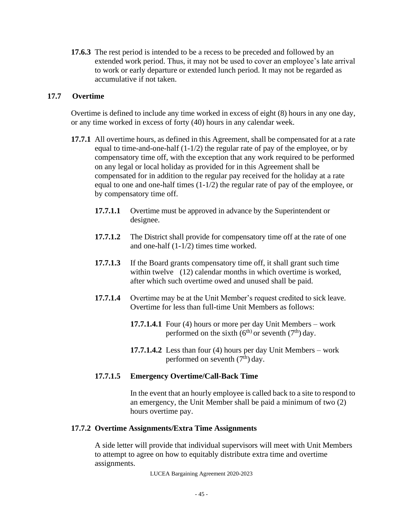**17.6.3** The rest period is intended to be a recess to be preceded and followed by an extended work period. Thus, it may not be used to cover an employee's late arrival to work or early departure or extended lunch period. It may not be regarded as accumulative if not taken.

### **17.7 Overtime**

Overtime is defined to include any time worked in excess of eight (8) hours in any one day, or any time worked in excess of forty (40) hours in any calendar week.

- **17.7.1** All overtime hours, as defined in this Agreement, shall be compensated for at a rate equal to time-and-one-half (1-1/2) the regular rate of pay of the employee, or by compensatory time off, with the exception that any work required to be performed on any legal or local holiday as provided for in this Agreement shall be compensated for in addition to the regular pay received for the holiday at a rate equal to one and one-half times (1-1/2) the regular rate of pay of the employee, or by compensatory time off.
	- **17.7.1.1** Overtime must be approved in advance by the Superintendent or designee.
	- **17.7.1.2** The District shall provide for compensatory time off at the rate of one and one-half (1-1/2) times time worked.
	- **17.7.1.3** If the Board grants compensatory time off, it shall grant such time within twelve (12) calendar months in which overtime is worked, after which such overtime owed and unused shall be paid.
	- **17.7.1.4** Overtime may be at the Unit Member's request credited to sick leave. Overtime for less than full-time Unit Members as follows:
		- **17.7.1.4.1** Four (4) hours or more per day Unit Members work performed on the sixth  $(6^{th})$  or seventh  $(7^{th})$  day.
		- **17.7.1.4.2** Less than four (4) hours per day Unit Members work performed on seventh  $(7<sup>th</sup>)$  day.

## **17.7.1.5 Emergency Overtime/Call-Back Time**

In the event that an hourly employee is called back to a site to respond to an emergency, the Unit Member shall be paid a minimum of two (2) hours overtime pay.

#### **17.7.2 Overtime Assignments/Extra Time Assignments**

A side letter will provide that individual supervisors will meet with Unit Members to attempt to agree on how to equitably distribute extra time and overtime assignments.

LUCEA Bargaining Agreement 2020-2023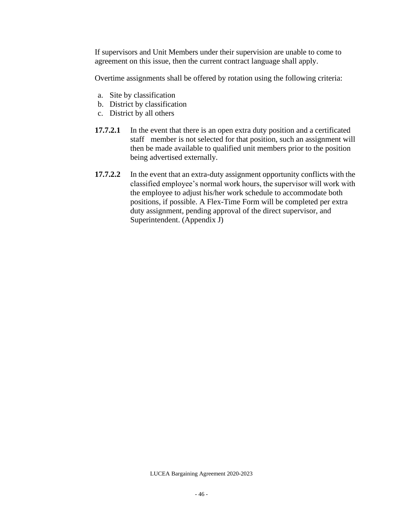If supervisors and Unit Members under their supervision are unable to come to agreement on this issue, then the current contract language shall apply.

Overtime assignments shall be offered by rotation using the following criteria:

- a. Site by classification
- b. District by classification
- c. District by all others
- **17.7.2.1** In the event that there is an open extra duty position and a certificated staff member is not selected for that position, such an assignment will then be made available to qualified unit members prior to the position being advertised externally.
- **17.7.2.2** In the event that an extra-duty assignment opportunity conflicts with the classified employee's normal work hours, the supervisor will work with the employee to adjust his/her work schedule to accommodate both positions, if possible. A Flex-Time Form will be completed per extra duty assignment, pending approval of the direct supervisor, and Superintendent. (Appendix J)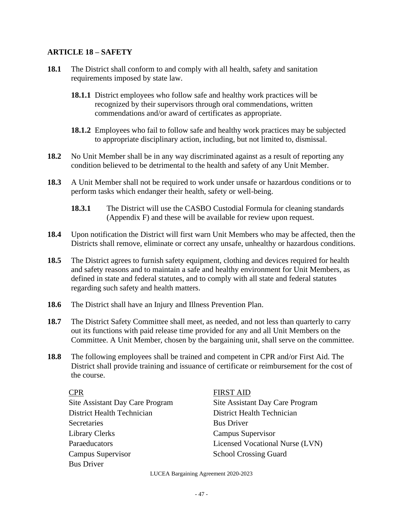#### **ARTICLE 18 – SAFETY**

- **18.1** The District shall conform to and comply with all health, safety and sanitation requirements imposed by state law.
	- **18.1.1** District employees who follow safe and healthy work practices will be recognized by their supervisors through oral commendations, written commendations and/or award of certificates as appropriate.
	- **18.1.2** Employees who fail to follow safe and healthy work practices may be subjected to appropriate disciplinary action, including, but not limited to, dismissal.
- **18.2** No Unit Member shall be in any way discriminated against as a result of reporting any condition believed to be detrimental to the health and safety of any Unit Member.
- **18.3** A Unit Member shall not be required to work under unsafe or hazardous conditions or to perform tasks which endanger their health, safety or well-being.
	- **18.3.1** The District will use the CASBO Custodial Formula for cleaning standards (Appendix F) and these will be available for review upon request.
- **18.4** Upon notification the District will first warn Unit Members who may be affected, then the Districts shall remove, eliminate or correct any unsafe, unhealthy or hazardous conditions.
- **18.5** The District agrees to furnish safety equipment, clothing and devices required for health and safety reasons and to maintain a safe and healthy environment for Unit Members, as defined in state and federal statutes, and to comply with all state and federal statutes regarding such safety and health matters.
- **18.6** The District shall have an Injury and Illness Prevention Plan.
- **18.7** The District Safety Committee shall meet, as needed, and not less than quarterly to carry out its functions with paid release time provided for any and all Unit Members on the Committee. A Unit Member, chosen by the bargaining unit, shall serve on the committee.
- **18.8** The following employees shall be trained and competent in CPR and/or First Aid. The District shall provide training and issuance of certificate or reimbursement for the cost of the course.

District Health Technician District Health Technician Secretaries Bus Driver Library Clerks Campus Supervisor Campus Supervisor School Crossing Guard Bus Driver

CPR FIRST AID

Site Assistant Day Care Program Site Assistant Day Care Program Paraeducators Licensed Vocational Nurse (LVN)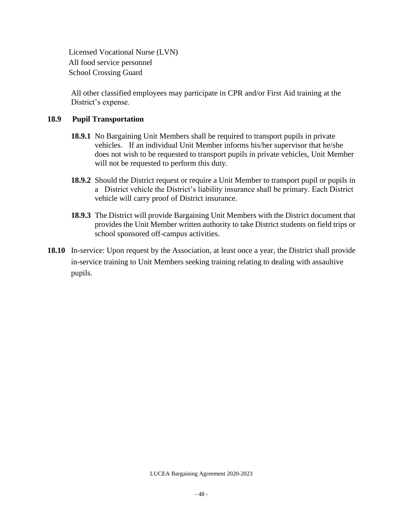Licensed Vocational Nurse (LVN) All food service personnel School Crossing Guard

All other classified employees may participate in CPR and/or First Aid training at the District's expense.

#### **18.9 Pupil Transportation**

- **18.9.1** No Bargaining Unit Members shall be required to transport pupils in private vehicles. If an individual Unit Member informs his/her supervisor that he/she does not wish to be requested to transport pupils in private vehicles, Unit Member will not be requested to perform this duty.
- **18.9.2** Should the District request or require a Unit Member to transport pupil or pupils in a District vehicle the District's liability insurance shall be primary. Each District vehicle will carry proof of District insurance.
- **18.9.3** The District will provide Bargaining Unit Members with the District document that provides the Unit Member written authority to take District students on field trips or school sponsored off-campus activities.
- **18.10** In-service: Upon request by the Association, at least once a year, the District shall provide in-service training to Unit Members seeking training relating to dealing with assaultive pupils.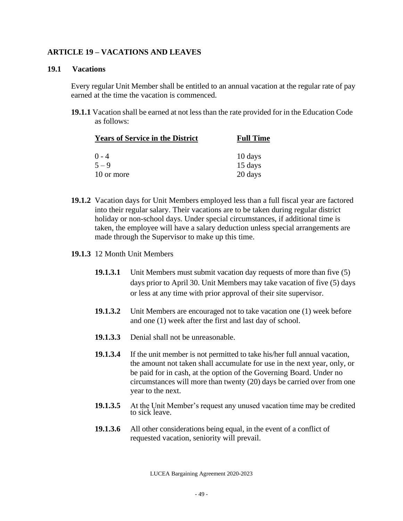### **ARTICLE 19 – VACATIONS AND LEAVES**

#### **19.1 Vacations**

Every regular Unit Member shall be entitled to an annual vacation at the regular rate of pay earned at the time the vacation is commenced.

**19.1.1** Vacation shall be earned at not less than the rate provided for in the Education Code as follows:

| <b>Years of Service in the District</b> | <b>Full Time</b> |  |
|-----------------------------------------|------------------|--|
| $0 - 4$                                 | 10 days          |  |
| $5 - 9$                                 | 15 days          |  |
| 10 or more                              | 20 days          |  |

- **19.1.2** Vacation days for Unit Members employed less than a full fiscal year are factored into their regular salary. Their vacations are to be taken during regular district holiday or non-school days. Under special circumstances, if additional time is taken, the employee will have a salary deduction unless special arrangements are made through the Supervisor to make up this time.
- **19.1.3** 12 Month Unit Members
	- **19.1.3.1** Unit Members must submit vacation day requests of more than five (5) days prior to April 30. Unit Members may take vacation of five (5) days or less at any time with prior approval of their site supervisor.
	- **19.1.3.2** Unit Members are encouraged not to take vacation one (1) week before and one (1) week after the first and last day of school.
	- **19.1.3.3** Denial shall not be unreasonable.
	- **19.1.3.4** If the unit member is not permitted to take his/her full annual vacation, the amount not taken shall accumulate for use in the next year, only, or be paid for in cash, at the option of the Governing Board. Under no circumstances will more than twenty (20) days be carried over from one year to the next.
	- **19.1.3.5** At the Unit Member's request any unused vacation time may be credited to sick leave.
	- **19.1.3.6** All other considerations being equal, in the event of a conflict of requested vacation, seniority will prevail.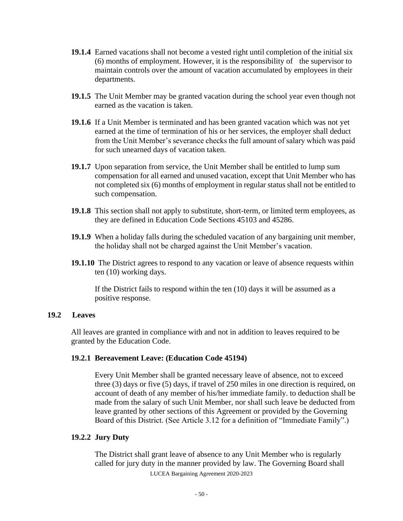- **19.1.4** Earned vacations shall not become a vested right until completion of the initial six (6) months of employment. However, it is the responsibility of the supervisor to maintain controls over the amount of vacation accumulated by employees in their departments.
- **19.1.5** The Unit Member may be granted vacation during the school year even though not earned as the vacation is taken.
- **19.1.6** If a Unit Member is terminated and has been granted vacation which was not yet earned at the time of termination of his or her services, the employer shall deduct from the Unit Member's severance checks the full amount of salary which was paid for such unearned days of vacation taken.
- **19.1.7** Upon separation from service, the Unit Member shall be entitled to lump sum compensation for all earned and unused vacation, except that Unit Member who has not completed six (6) months of employment in regular status shall not be entitled to such compensation.
- **19.1.8** This section shall not apply to substitute, short-term, or limited term employees, as they are defined in Education Code Sections 45103 and 45286.
- **19.1.9** When a holiday falls during the scheduled vacation of any bargaining unit member, the holiday shall not be charged against the Unit Member's vacation.
- **19.1.10** The District agrees to respond to any vacation or leave of absence requests within ten (10) working days.

If the District fails to respond within the ten (10) days it will be assumed as a positive response.

#### **19.2 Leaves**

All leaves are granted in compliance with and not in addition to leaves required to be granted by the Education Code.

#### **19.2.1 Bereavement Leave: (Education Code 45194)**

Every Unit Member shall be granted necessary leave of absence, not to exceed three (3) days or five (5) days, if travel of 250 miles in one direction is required, on account of death of any member of his/her immediate family. to deduction shall be made from the salary of such Unit Member, nor shall such leave be deducted from leave granted by other sections of this Agreement or provided by the Governing Board of this District. (See Article 3.12 for a definition of "Immediate Family".)

#### **19.2.2 Jury Duty**

LUCEA Bargaining Agreement 2020-2023 The District shall grant leave of absence to any Unit Member who is regularly called for jury duty in the manner provided by law. The Governing Board shall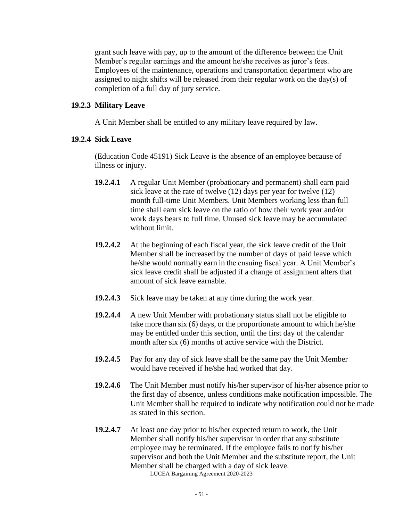grant such leave with pay, up to the amount of the difference between the Unit Member's regular earnings and the amount he/she receives as juror's fees. Employees of the maintenance, operations and transportation department who are assigned to night shifts will be released from their regular work on the day(s) of completion of a full day of jury service.

#### **19.2.3 Military Leave**

A Unit Member shall be entitled to any military leave required by law.

#### **19.2.4 Sick Leave**

(Education Code 45191) Sick Leave is the absence of an employee because of illness or injury.

- **19.2.4.1** A regular Unit Member (probationary and permanent) shall earn paid sick leave at the rate of twelve (12) days per year for twelve (12) month full-time Unit Members. Unit Members working less than full time shall earn sick leave on the ratio of how their work year and/or work days bears to full time. Unused sick leave may be accumulated without limit.
- **19.2.4.2** At the beginning of each fiscal year, the sick leave credit of the Unit Member shall be increased by the number of days of paid leave which he/she would normally earn in the ensuing fiscal year. A Unit Member's sick leave credit shall be adjusted if a change of assignment alters that amount of sick leave earnable.
- **19.2.4.3** Sick leave may be taken at any time during the work year.
- **19.2.4.4** A new Unit Member with probationary status shall not be eligible to take more than six (6) days, or the proportionate amount to which he/she may be entitled under this section, until the first day of the calendar month after six (6) months of active service with the District.
- **19.2.4.5** Pay for any day of sick leave shall be the same pay the Unit Member would have received if he/she had worked that day.
- **19.2.4.6** The Unit Member must notify his/her supervisor of his/her absence prior to the first day of absence, unless conditions make notification impossible. The Unit Member shall be required to indicate why notification could not be made as stated in this section.
- LUCEA Bargaining Agreement 2020-2023 **19.2.4.7** At least one day prior to his/her expected return to work, the Unit Member shall notify his/her supervisor in order that any substitute employee may be terminated. If the employee fails to notify his/her supervisor and both the Unit Member and the substitute report, the Unit Member shall be charged with a day of sick leave.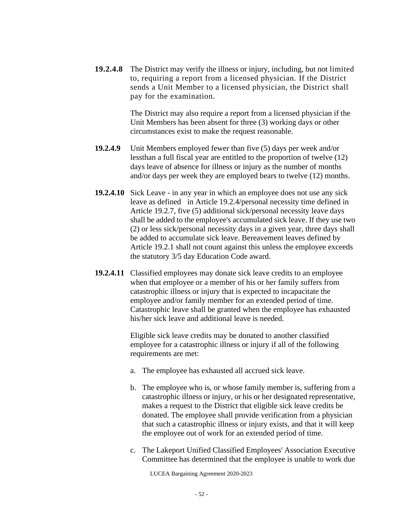**19.2.4.8** The District may verify the illness or injury, including, but not limited to, requiring a report from a licensed physician. If the District sends a Unit Member to a licensed physician, the District shall pay for the examination.

> The District may also require a report from a licensed physician if the Unit Members has been absent for three (3) working days or other circumstances exist to make the request reasonable.

- **19.2.4.9** Unit Members employed fewer than five (5) days per week and/or lessthan a full fiscal year are entitled to the proportion of twelve (12) days leave of absence for illness or injury as the number of months and/or days per week they are employed bears to twelve (12) months.
- **19.2.4.10** Sick Leave in any year in which an employee does not use any sick leave as defined in Article 19.2.4/personal necessity time defined in Article 19.2.7, five (5) additional sick/personal necessity leave days shall be added to the employee's accumulated sick leave. If they use two (2) or less sick/personal necessity days in a given year, three days shall be added to accumulate sick leave. Bereavement leaves defined by Article 19.2.1 shall not count against this unless the employee exceeds the statutory 3/5 day Education Code award.
- **19.2.4.11** Classified employees may donate sick leave credits to an employee when that employee or a member of his or her family suffers from catastrophic illness or injury that is expected to incapacitate the employee and/or family member for an extended period of time. Catastrophic leave shall be granted when the employee has exhausted his/her sick leave and additional leave is needed.

Eligible sick leave credits may be donated to another classified employee for a catastrophic illness or injury if all of the following requirements are met:

- a. The employee has exhausted all accrued sick leave.
- b. The employee who is, or whose family member is, suffering from a catastrophic illness or injury, or his or her designated representative, makes a request to the District that eligible sick leave credits be donated. The employee shall provide verification from a physician that such a catastrophic illness or injury exists, and that it will keep the employee out of work for an extended period of time.
- c. The Lakeport Unified Classified Employees' Association Executive Committee has determined that the employee is unable to work due

LUCEA Bargaining Agreement 2020-2023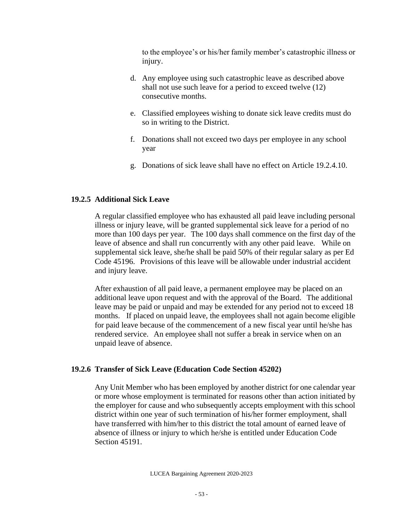to the employee's or his/her family member's catastrophic illness or injury.

- d. Any employee using such catastrophic leave as described above shall not use such leave for a period to exceed twelve (12) consecutive months.
- e. Classified employees wishing to donate sick leave credits must do so in writing to the District.
- f. Donations shall not exceed two days per employee in any school year
- g. Donations of sick leave shall have no effect on Article 19.2.4.10.

## **19.2.5 Additional Sick Leave**

A regular classified employee who has exhausted all paid leave including personal illness or injury leave, will be granted supplemental sick leave for a period of no more than 100 days per year. The 100 days shall commence on the first day of the leave of absence and shall run concurrently with any other paid leave. While on supplemental sick leave, she/he shall be paid 50% of their regular salary as per Ed Code 45196. Provisions of this leave will be allowable under industrial accident and injury leave.

After exhaustion of all paid leave, a permanent employee may be placed on an additional leave upon request and with the approval of the Board. The additional leave may be paid or unpaid and may be extended for any period not to exceed 18 months. If placed on unpaid leave, the employees shall not again become eligible for paid leave because of the commencement of a new fiscal year until he/she has rendered service. An employee shall not suffer a break in service when on an unpaid leave of absence.

## **19.2.6 Transfer of Sick Leave (Education Code Section 45202)**

Any Unit Member who has been employed by another district for one calendar year or more whose employment is terminated for reasons other than action initiated by the employer for cause and who subsequently accepts employment with this school district within one year of such termination of his/her former employment, shall have transferred with him/her to this district the total amount of earned leave of absence of illness or injury to which he/she is entitled under Education Code Section 45191.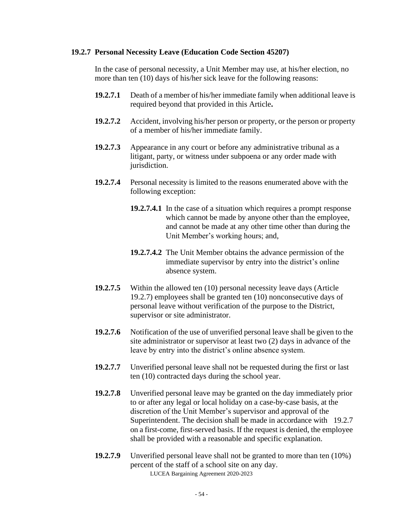#### **19.2.7 Personal Necessity Leave (Education Code Section 45207)**

In the case of personal necessity, a Unit Member may use, at his/her election, no more than ten (10) days of his/her sick leave for the following reasons:

- **19.2.7.1** Death of a member of his/her immediate family when additional leave is required beyond that provided in this Article**.**
- **19.2.7.2** Accident, involving his/her person or property, or the person or property of a member of his/her immediate family.
- **19.2.7.3** Appearance in any court or before any administrative tribunal as a litigant, party, or witness under subpoena or any order made with jurisdiction.
- **19.2.7.4** Personal necessity is limited to the reasons enumerated above with the following exception:
	- **19.2.7.4.1** In the case of a situation which requires a prompt response which cannot be made by anyone other than the employee, and cannot be made at any other time other than during the Unit Member's working hours; and,
	- **19.2.7.4.2** The Unit Member obtains the advance permission of the immediate supervisor by entry into the district's online absence system.
- **19.2.7.5** Within the allowed ten (10) personal necessity leave days (Article 19.2.7) employees shall be granted ten (10) nonconsecutive days of personal leave without verification of the purpose to the District, supervisor or site administrator.
- **19.2.7.6** Notification of the use of unverified personal leave shall be given to the site administrator or supervisor at least two (2) days in advance of the leave by entry into the district's online absence system.
- **19.2.7.7** Unverified personal leave shall not be requested during the first or last ten (10) contracted days during the school year.
- **19.2.7.8** Unverified personal leave may be granted on the day immediately prior to or after any legal or local holiday on a case-by-case basis, at the discretion of the Unit Member's supervisor and approval of the Superintendent. The decision shall be made in accordance with 19.2.7 on a first-come, first-served basis. If the request is denied, the employee shall be provided with a reasonable and specific explanation.
- LUCEA Bargaining Agreement 2020-2023 **19.2.7.9** Unverified personal leave shall not be granted to more than ten (10%) percent of the staff of a school site on any day.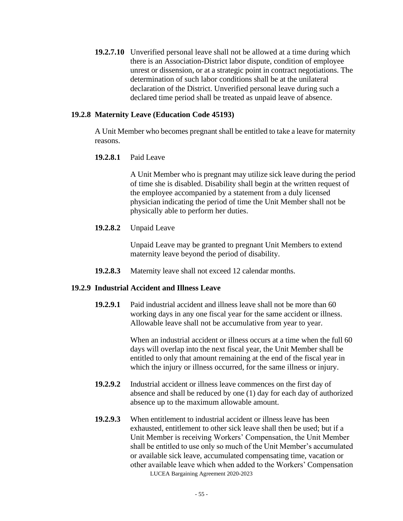**19.2.7.10** Unverified personal leave shall not be allowed at a time during which there is an Association-District labor dispute, condition of employee unrest or dissension, or at a strategic point in contract negotiations. The determination of such labor conditions shall be at the unilateral declaration of the District. Unverified personal leave during such a declared time period shall be treated as unpaid leave of absence.

#### **19.2.8 Maternity Leave (Education Code 45193)**

A Unit Member who becomes pregnant shall be entitled to take a leave for maternity reasons.

#### **19.2.8.1** Paid Leave

A Unit Member who is pregnant may utilize sick leave during the period of time she is disabled. Disability shall begin at the written request of the employee accompanied by a statement from a duly licensed physician indicating the period of time the Unit Member shall not be physically able to perform her duties.

#### **19.2.8.2** Unpaid Leave

Unpaid Leave may be granted to pregnant Unit Members to extend maternity leave beyond the period of disability.

**19.2.8.3** Maternity leave shall not exceed 12 calendar months.

#### **19.2.9 Industrial Accident and Illness Leave**

**19.2.9.1** Paid industrial accident and illness leave shall not be more than 60 working days in any one fiscal year for the same accident or illness. Allowable leave shall not be accumulative from year to year.

> When an industrial accident or illness occurs at a time when the full 60 days will overlap into the next fiscal year, the Unit Member shall be entitled to only that amount remaining at the end of the fiscal year in which the injury or illness occurred, for the same illness or injury.

- **19.2.9.2** Industrial accident or illness leave commences on the first day of absence and shall be reduced by one (1) day for each day of authorized absence up to the maximum allowable amount.
- LUCEA Bargaining Agreement 2020-2023 **19.2.9.3** When entitlement to industrial accident or illness leave has been exhausted, entitlement to other sick leave shall then be used; but if a Unit Member is receiving Workers' Compensation, the Unit Member shall be entitled to use only so much of the Unit Member's accumulated or available sick leave, accumulated compensating time, vacation or other available leave which when added to the Workers' Compensation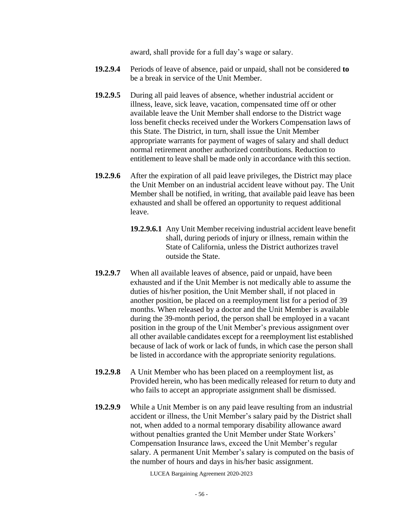award, shall provide for a full day's wage or salary.

- **19.2.9.4** Periods of leave of absence, paid or unpaid, shall not be considered **to** be a break in service of the Unit Member.
- **19.2.9.5** During all paid leaves of absence, whether industrial accident or illness, leave, sick leave, vacation, compensated time off or other available leave the Unit Member shall endorse to the District wage loss benefit checks received under the Workers Compensation laws of this State. The District, in turn, shall issue the Unit Member appropriate warrants for payment of wages of salary and shall deduct normal retirement another authorized contributions. Reduction to entitlement to leave shall be made only in accordance with this section.
- **19.2.9.6** After the expiration of all paid leave privileges, the District may place the Unit Member on an industrial accident leave without pay. The Unit Member shall be notified, in writing, that available paid leave has been exhausted and shall be offered an opportunity to request additional leave.
	- **19.2.9.6.1** Any Unit Member receiving industrial accident leave benefit shall, during periods of injury or illness, remain within the State of California, unless the District authorizes travel outside the State.
- **19.2.9.7** When all available leaves of absence, paid or unpaid, have been exhausted and if the Unit Member is not medically able to assume the duties of his/her position, the Unit Member shall, if not placed in another position, be placed on a reemployment list for a period of 39 months. When released by a doctor and the Unit Member is available during the 39-month period, the person shall be employed in a vacant position in the group of the Unit Member's previous assignment over all other available candidates except for a reemployment list established because of lack of work or lack of funds, in which case the person shall be listed in accordance with the appropriate seniority regulations.
- **19.2.9.8** A Unit Member who has been placed on a reemployment list, as Provided herein, who has been medically released for return to duty and who fails to accept an appropriate assignment shall be dismissed.
- **19.2.9.9** While a Unit Member is on any paid leave resulting from an industrial accident or illness, the Unit Member's salary paid by the District shall not, when added to a normal temporary disability allowance award without penalties granted the Unit Member under State Workers' Compensation Insurance laws, exceed the Unit Member's regular salary. A permanent Unit Member's salary is computed on the basis of the number of hours and days in his/her basic assignment.

LUCEA Bargaining Agreement 2020-2023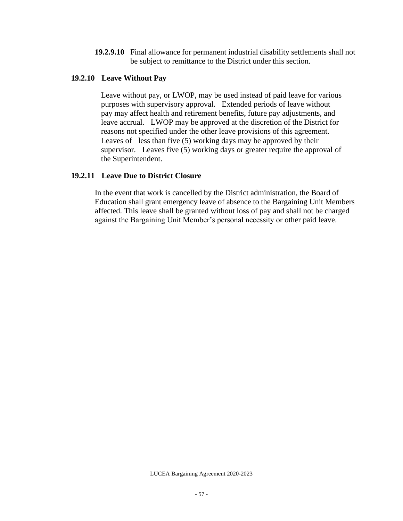**19.2.9.10** Final allowance for permanent industrial disability settlements shall not be subject to remittance to the District under this section.

### **19.2.10 Leave Without Pay**

 Leave without pay, or LWOP, may be used instead of paid leave for various purposes with supervisory approval. Extended periods of leave without pay may affect health and retirement benefits, future pay adjustments, and leave accrual. LWOP may be approved at the discretion of the District for reasons not specified under the other leave provisions of this agreement. Leaves of less than five (5) working days may be approved by their supervisor. Leaves five (5) working days or greater require the approval of the Superintendent.

#### **19.2.11 Leave Due to District Closure**

In the event that work is cancelled by the District administration, the Board of Education shall grant emergency leave of absence to the Bargaining Unit Members affected. This leave shall be granted without loss of pay and shall not be charged against the Bargaining Unit Member's personal necessity or other paid leave.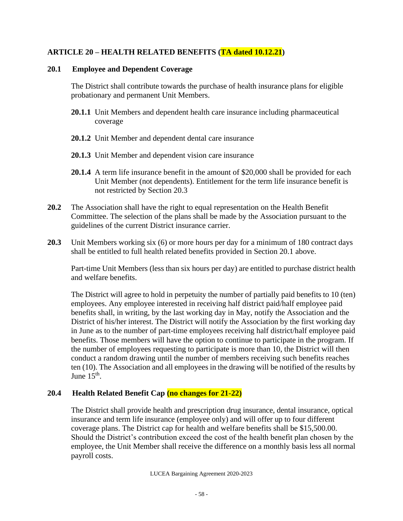## **ARTICLE 20 – HEALTH RELATED BENEFITS (TA dated 10.12.21)**

#### **20.1 Employee and Dependent Coverage**

The District shall contribute towards the purchase of health insurance plans for eligible probationary and permanent Unit Members.

- **20.1.1** Unit Members and dependent health care insurance including pharmaceutical coverage
- **20.1.2** Unit Member and dependent dental care insurance
- **20.1.3** Unit Member and dependent vision care insurance
- **20.1.4** A term life insurance benefit in the amount of \$20,000 shall be provided for each Unit Member (not dependents). Entitlement for the term life insurance benefit is not restricted by Section 20.3
- **20.2** The Association shall have the right to equal representation on the Health Benefit Committee. The selection of the plans shall be made by the Association pursuant to the guidelines of the current District insurance carrier.
- **20.3** Unit Members working six (6) or more hours per day for a minimum of 180 contract days shall be entitled to full health related benefits provided in Section 20.1 above.

Part-time Unit Members (less than six hours per day) are entitled to purchase district health and welfare benefits.

The District will agree to hold in perpetuity the number of partially paid benefits to 10 (ten) employees. Any employee interested in receiving half district paid/half employee paid benefits shall, in writing, by the last working day in May, notify the Association and the District of his/her interest. The District will notify the Association by the first working day in June as to the number of part-time employees receiving half district/half employee paid benefits. Those members will have the option to continue to participate in the program. If the number of employees requesting to participate is more than 10, the District will then conduct a random drawing until the number of members receiving such benefits reaches ten (10). The Association and all employees in the drawing will be notified of the results by June  $15^{\text{th}}$ .

## **20.4 Health Related Benefit Cap (no changes for 21-22)**

The District shall provide health and prescription drug insurance, dental insurance, optical insurance and term life insurance (employee only) and will offer up to four different coverage plans. The District cap for health and welfare benefits shall be \$15,500.00. Should the District's contribution exceed the cost of the health benefit plan chosen by the employee, the Unit Member shall receive the difference on a monthly basis less all normal payroll costs.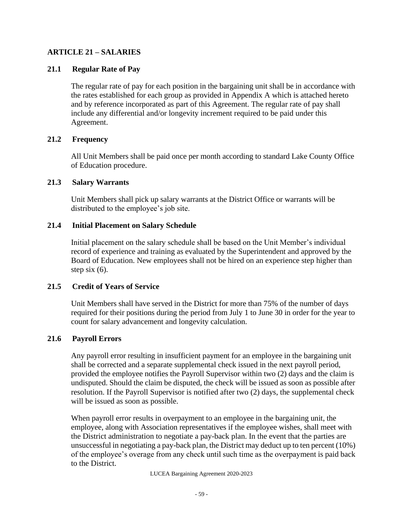## **ARTICLE 21 – SALARIES**

## **21.1 Regular Rate of Pay**

The regular rate of pay for each position in the bargaining unit shall be in accordance with the rates established for each group as provided in Appendix A which is attached hereto and by reference incorporated as part of this Agreement. The regular rate of pay shall include any differential and/or longevity increment required to be paid under this Agreement.

## **21.2 Frequency**

All Unit Members shall be paid once per month according to standard Lake County Office of Education procedure.

## **21.3 Salary Warrants**

Unit Members shall pick up salary warrants at the District Office or warrants will be distributed to the employee's job site.

# **21.4 Initial Placement on Salary Schedule**

Initial placement on the salary schedule shall be based on the Unit Member's individual record of experience and training as evaluated by the Superintendent and approved by the Board of Education. New employees shall not be hired on an experience step higher than step six  $(6)$ .

## **21.5 Credit of Years of Service**

Unit Members shall have served in the District for more than 75% of the number of days required for their positions during the period from July 1 to June 30 in order for the year to count for salary advancement and longevity calculation.

## **21.6 Payroll Errors**

Any payroll error resulting in insufficient payment for an employee in the bargaining unit shall be corrected and a separate supplemental check issued in the next payroll period, provided the employee notifies the Payroll Supervisor within two (2) days and the claim is undisputed. Should the claim be disputed, the check will be issued as soon as possible after resolution. If the Payroll Supervisor is notified after two (2) days, the supplemental check will be issued as soon as possible.

When payroll error results in overpayment to an employee in the bargaining unit, the employee, along with Association representatives if the employee wishes, shall meet with the District administration to negotiate a pay-back plan. In the event that the parties are unsuccessful in negotiating a pay-back plan, the District may deduct up to ten percent (10%) of the employee's overage from any check until such time as the overpayment is paid back to the District.

LUCEA Bargaining Agreement 2020-2023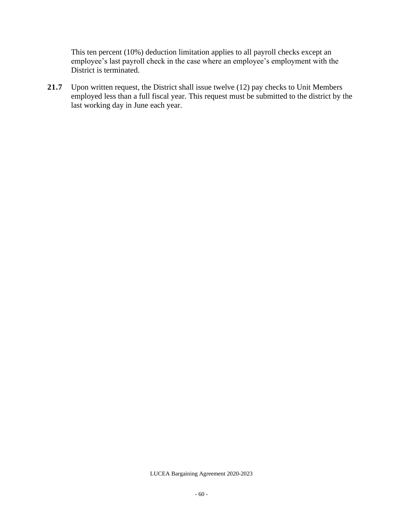This ten percent (10%) deduction limitation applies to all payroll checks except an employee's last payroll check in the case where an employee's employment with the District is terminated.

21.7 Upon written request, the District shall issue twelve (12) pay checks to Unit Members employed less than a full fiscal year. This request must be submitted to the district by the last working day in June each year.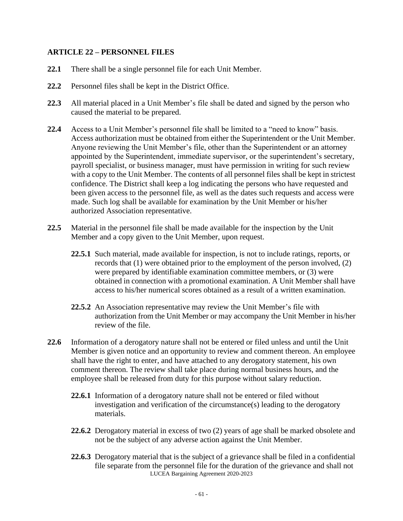## **ARTICLE 22 – PERSONNEL FILES**

- **22.1** There shall be a single personnel file for each Unit Member.
- **22.2** Personnel files shall be kept in the District Office.
- **22.3** All material placed in a Unit Member's file shall be dated and signed by the person who caused the material to be prepared.
- **22.4** Access to a Unit Member's personnel file shall be limited to a "need to know" basis. Access authorization must be obtained from either the Superintendent or the Unit Member. Anyone reviewing the Unit Member's file, other than the Superintendent or an attorney appointed by the Superintendent, immediate supervisor, or the superintendent's secretary, payroll specialist, or business manager, must have permission in writing for such review with a copy to the Unit Member. The contents of all personnel files shall be kept in strictest confidence. The District shall keep a log indicating the persons who have requested and been given access to the personnel file, as well as the dates such requests and access were made. Such log shall be available for examination by the Unit Member or his/her authorized Association representative.
- **22.5** Material in the personnel file shall be made available for the inspection by the Unit Member and a copy given to the Unit Member, upon request.
	- **22.5.1** Such material, made available for inspection, is not to include ratings, reports, or records that (1) were obtained prior to the employment of the person involved, (2) were prepared by identifiable examination committee members, or (3) were obtained in connection with a promotional examination. A Unit Member shall have access to his/her numerical scores obtained as a result of a written examination.
	- **22.5.2** An Association representative may review the Unit Member's file with authorization from the Unit Member or may accompany the Unit Member in his/her review of the file.
- **22.6** Information of a derogatory nature shall not be entered or filed unless and until the Unit Member is given notice and an opportunity to review and comment thereon. An employee shall have the right to enter, and have attached to any derogatory statement, his own comment thereon. The review shall take place during normal business hours, and the employee shall be released from duty for this purpose without salary reduction.
	- **22.6.1** Information of a derogatory nature shall not be entered or filed without investigation and verification of the circumstance(s) leading to the derogatory materials.
	- **22.6.2** Derogatory material in excess of two (2) years of age shall be marked obsolete and not be the subject of any adverse action against the Unit Member.
	- LUCEA Bargaining Agreement 2020-2023 **22.6.3** Derogatory material that is the subject of a grievance shall be filed in a confidential file separate from the personnel file for the duration of the grievance and shall not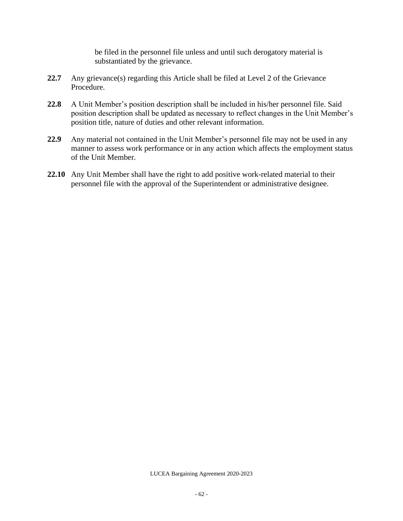be filed in the personnel file unless and until such derogatory material is substantiated by the grievance.

- **22.7** Any grievance(s) regarding this Article shall be filed at Level 2 of the Grievance Procedure.
- **22.8** A Unit Member's position description shall be included in his/her personnel file. Said position description shall be updated as necessary to reflect changes in the Unit Member's position title, nature of duties and other relevant information.
- **22.9** Any material not contained in the Unit Member's personnel file may not be used in any manner to assess work performance or in any action which affects the employment status of the Unit Member.
- **22.10** Any Unit Member shall have the right to add positive work-related material to their personnel file with the approval of the Superintendent or administrative designee.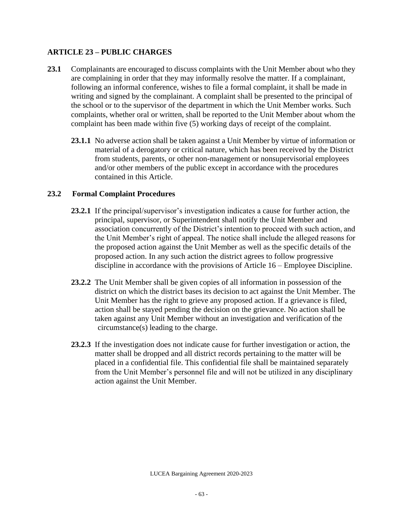## **ARTICLE 23 – PUBLIC CHARGES**

- **23.1** Complainants are encouraged to discuss complaints with the Unit Member about who they are complaining in order that they may informally resolve the matter. If a complainant, following an informal conference, wishes to file a formal complaint, it shall be made in writing and signed by the complainant. A complaint shall be presented to the principal of the school or to the supervisor of the department in which the Unit Member works. Such complaints, whether oral or written, shall be reported to the Unit Member about whom the complaint has been made within five (5) working days of receipt of the complaint.
	- **23.1.1** No adverse action shall be taken against a Unit Member by virtue of information or material of a derogatory or critical nature, which has been received by the District from students, parents, or other non-management or nonsupervisorial employees and/or other members of the public except in accordance with the procedures contained in this Article.

## **23.2 Formal Complaint Procedures**

- **23.2.1** If the principal/supervisor's investigation indicates a cause for further action, the principal, supervisor, or Superintendent shall notify the Unit Member and association concurrently of the District's intention to proceed with such action, and the Unit Member's right of appeal. The notice shall include the alleged reasons for the proposed action against the Unit Member as well as the specific details of the proposed action. In any such action the district agrees to follow progressive discipline in accordance with the provisions of Article 16 – Employee Discipline.
- **23.2.2** The Unit Member shall be given copies of all information in possession of the district on which the district bases its decision to act against the Unit Member. The Unit Member has the right to grieve any proposed action. If a grievance is filed, action shall be stayed pending the decision on the grievance. No action shall be taken against any Unit Member without an investigation and verification of the circumstance(s) leading to the charge.
- **23.2.3** If the investigation does not indicate cause for further investigation or action, the matter shall be dropped and all district records pertaining to the matter will be placed in a confidential file. This confidential file shall be maintained separately from the Unit Member's personnel file and will not be utilized in any disciplinary action against the Unit Member.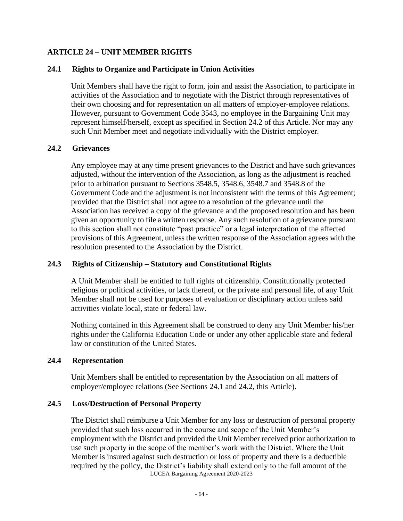### **ARTICLE 24 – UNIT MEMBER RIGHTS**

#### **24.1 Rights to Organize and Participate in Union Activities**

Unit Members shall have the right to form, join and assist the Association, to participate in activities of the Association and to negotiate with the District through representatives of their own choosing and for representation on all matters of employer-employee relations. However, pursuant to Government Code 3543, no employee in the Bargaining Unit may represent himself/herself, except as specified in Section 24.2 of this Article. Nor may any such Unit Member meet and negotiate individually with the District employer.

#### **24.2 Grievances**

Any employee may at any time present grievances to the District and have such grievances adjusted, without the intervention of the Association, as long as the adjustment is reached prior to arbitration pursuant to Sections 3548.5, 3548.6, 3548.7 and 3548.8 of the Government Code and the adjustment is not inconsistent with the terms of this Agreement; provided that the District shall not agree to a resolution of the grievance until the Association has received a copy of the grievance and the proposed resolution and has been given an opportunity to file a written response. Any such resolution of a grievance pursuant to this section shall not constitute "past practice" or a legal interpretation of the affected provisions of this Agreement, unless the written response of the Association agrees with the resolution presented to the Association by the District.

#### **24.3 Rights of Citizenship – Statutory and Constitutional Rights**

A Unit Member shall be entitled to full rights of citizenship. Constitutionally protected religious or political activities, or lack thereof, or the private and personal life, of any Unit Member shall not be used for purposes of evaluation or disciplinary action unless said activities violate local, state or federal law.

Nothing contained in this Agreement shall be construed to deny any Unit Member his/her rights under the California Education Code or under any other applicable state and federal law or constitution of the United States.

#### **24.4 Representation**

Unit Members shall be entitled to representation by the Association on all matters of employer/employee relations (See Sections 24.1 and 24.2, this Article).

#### **24.5 Loss/Destruction of Personal Property**

LUCEA Bargaining Agreement 2020-2023 The District shall reimburse a Unit Member for any loss or destruction of personal property provided that such loss occurred in the course and scope of the Unit Member's employment with the District and provided the Unit Member received prior authorization to use such property in the scope of the member's work with the District. Where the Unit Member is insured against such destruction or loss of property and there is a deductible required by the policy, the District's liability shall extend only to the full amount of the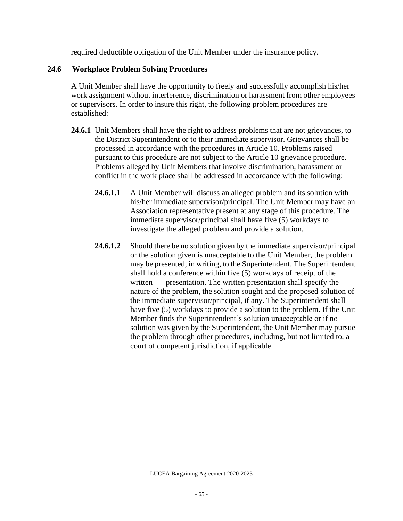required deductible obligation of the Unit Member under the insurance policy.

## **24.6 Workplace Problem Solving Procedures**

A Unit Member shall have the opportunity to freely and successfully accomplish his/her work assignment without interference, discrimination or harassment from other employees or supervisors. In order to insure this right, the following problem procedures are established:

- **24.6.1** Unit Members shall have the right to address problems that are not grievances, to the District Superintendent or to their immediate supervisor. Grievances shall be processed in accordance with the procedures in Article 10. Problems raised pursuant to this procedure are not subject to the Article 10 grievance procedure. Problems alleged by Unit Members that involve discrimination, harassment or conflict in the work place shall be addressed in accordance with the following:
	- **24.6.1.1** A Unit Member will discuss an alleged problem and its solution with his/her immediate supervisor/principal. The Unit Member may have an Association representative present at any stage of this procedure. The immediate supervisor/principal shall have five (5) workdays to investigate the alleged problem and provide a solution.
	- **24.6.1.2** Should there be no solution given by the immediate supervisor/principal or the solution given is unacceptable to the Unit Member, the problem may be presented, in writing, to the Superintendent. The Superintendent shall hold a conference within five (5) workdays of receipt of the written presentation. The written presentation shall specify the nature of the problem, the solution sought and the proposed solution of the immediate supervisor/principal, if any. The Superintendent shall have five (5) workdays to provide a solution to the problem. If the Unit Member finds the Superintendent's solution unacceptable or if no solution was given by the Superintendent, the Unit Member may pursue the problem through other procedures, including, but not limited to, a court of competent jurisdiction, if applicable.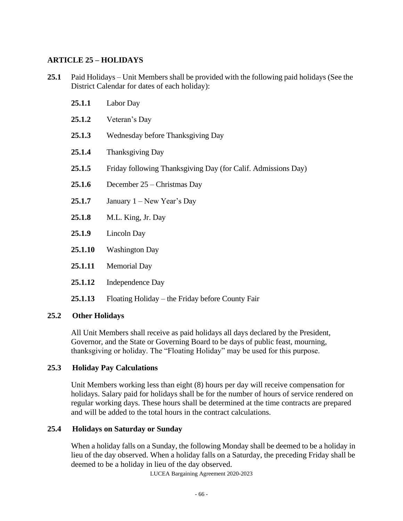## **ARTICLE 25 – HOLIDAYS**

- **25.1** Paid Holidays Unit Members shall be provided with the following paid holidays (See the District Calendar for dates of each holiday):
	- **25.1.1** Labor Day
	- **25.1.2** Veteran's Day
	- **25.1.3** Wednesday before Thanksgiving Day
	- **25.1.4** Thanksgiving Day
	- **25.1.5** Friday following Thanksgiving Day (for Calif. Admissions Day)
	- **25.1.6** December 25 Christmas Day
	- **25.1.7** January 1 New Year's Day
	- **25.1.8** M.L. King, Jr. Day
	- **25.1.9** Lincoln Day
	- **25.1.10** Washington Day
	- **25.1.11** Memorial Day
	- **25.1.12** Independence Day
	- **25.1.13** Floating Holiday the Friday before County Fair

## **25.2 Other Holidays**

All Unit Members shall receive as paid holidays all days declared by the President, Governor, and the State or Governing Board to be days of public feast, mourning, thanksgiving or holiday. The "Floating Holiday" may be used for this purpose.

## **25.3 Holiday Pay Calculations**

Unit Members working less than eight (8) hours per day will receive compensation for holidays. Salary paid for holidays shall be for the number of hours of service rendered on regular working days. These hours shall be determined at the time contracts are prepared and will be added to the total hours in the contract calculations.

## **25.4 Holidays on Saturday or Sunday**

When a holiday falls on a Sunday, the following Monday shall be deemed to be a holiday in lieu of the day observed. When a holiday falls on a Saturday, the preceding Friday shall be deemed to be a holiday in lieu of the day observed.

LUCEA Bargaining Agreement 2020-2023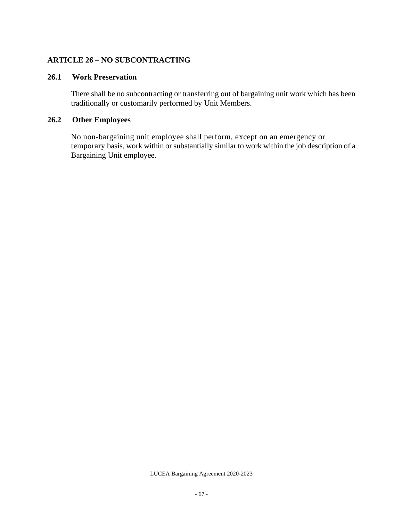#### **ARTICLE 26 – NO SUBCONTRACTING**

#### **26.1 Work Preservation**

There shall be no subcontracting or transferring out of bargaining unit work which has been traditionally or customarily performed by Unit Members.

## **26.2 Other Employees**

No non-bargaining unit employee shall perform, except on an emergency or temporary basis, work within or substantially similar to work within the job description of a Bargaining Unit employee.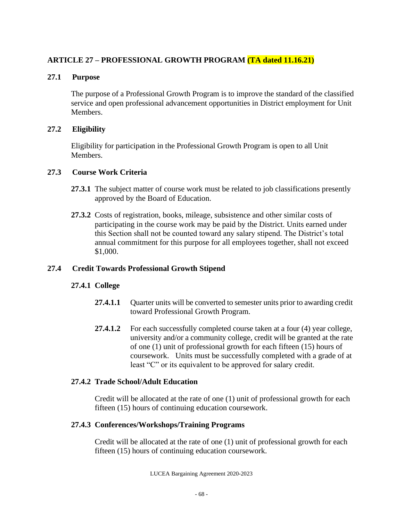# **ARTICLE 27 – PROFESSIONAL GROWTH PROGRAM (TA dated 11.16.21)**

### **27.1 Purpose**

The purpose of a Professional Growth Program is to improve the standard of the classified service and open professional advancement opportunities in District employment for Unit Members.

### **27.2 Eligibility**

Eligibility for participation in the Professional Growth Program is open to all Unit Members.

#### **27.3 Course Work Criteria**

- **27.3.1** The subject matter of course work must be related to job classifications presently approved by the Board of Education.
- **27.3.2** Costs of registration, books, mileage, subsistence and other similar costs of participating in the course work may be paid by the District. Units earned under this Section shall not be counted toward any salary stipend. The District's total annual commitment for this purpose for all employees together, shall not exceed \$1,000.

## **27.4 Credit Towards Professional Growth Stipend**

## **27.4.1 College**

- **27.4.1.1** Quarter units will be converted to semester units prior to awarding credit toward Professional Growth Program.
- **27.4.1.2** For each successfully completed course taken at a four (4) year college, university and/or a community college, credit will be granted at the rate of one (1) unit of professional growth for each fifteen (15) hours of coursework. Units must be successfully completed with a grade of at least "C" or its equivalent to be approved for salary credit.

#### **27.4.2 Trade School/Adult Education**

Credit will be allocated at the rate of one (1) unit of professional growth for each fifteen (15) hours of continuing education coursework.

## **27.4.3 Conferences/Workshops/Training Programs**

Credit will be allocated at the rate of one (1) unit of professional growth for each fifteen (15) hours of continuing education coursework.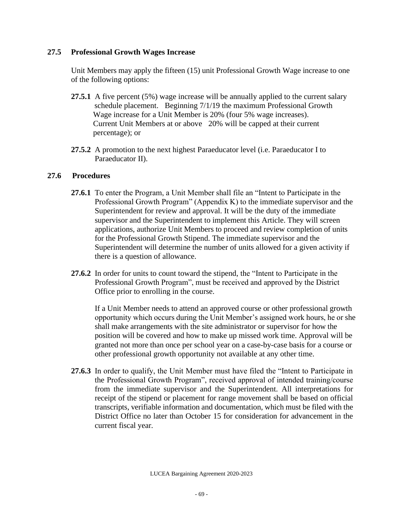#### **27.5 Professional Growth Wages Increase**

Unit Members may apply the fifteen (15) unit Professional Growth Wage increase to one of the following options:

- **27.5.1** A five percent (5%) wage increase will be annually applied to the current salary schedule placement. Beginning 7/1/19 the maximum Professional Growth Wage increase for a Unit Member is 20% (four 5% wage increases). Current Unit Members at or above 20% will be capped at their current percentage); or
- **27.5.2** A promotion to the next highest Paraeducator level (i.e. Paraeducator I to Paraeducator II).

#### **27.6 Procedures**

- **27.6.1** To enter the Program, a Unit Member shall file an "Intent to Participate in the Professional Growth Program" (Appendix K) to the immediate supervisor and the Superintendent for review and approval. It will be the duty of the immediate supervisor and the Superintendent to implement this Article. They will screen applications, authorize Unit Members to proceed and review completion of units for the Professional Growth Stipend. The immediate supervisor and the Superintendent will determine the number of units allowed for a given activity if there is a question of allowance.
- **27.6.2** In order for units to count toward the stipend, the "Intent to Participate in the Professional Growth Program", must be received and approved by the District Office prior to enrolling in the course.

If a Unit Member needs to attend an approved course or other professional growth opportunity which occurs during the Unit Member's assigned work hours, he or she shall make arrangements with the site administrator or supervisor for how the position will be covered and how to make up missed work time. Approval will be granted not more than once per school year on a case-by-case basis for a course or other professional growth opportunity not available at any other time.

**27.6.3** In order to qualify, the Unit Member must have filed the "Intent to Participate in the Professional Growth Program", received approval of intended training/course from the immediate supervisor and the Superintendent. All interpretations for receipt of the stipend or placement for range movement shall be based on official transcripts, verifiable information and documentation, which must be filed with the District Office no later than October 15 for consideration for advancement in the current fiscal year.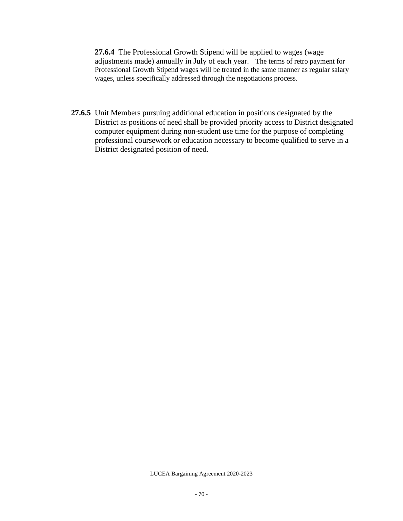**27.6.4** The Professional Growth Stipend will be applied to wages (wage adjustments made) annually in July of each year. The terms of retro payment for Professional Growth Stipend wages will be treated in the same manner as regular salary wages, unless specifically addressed through the negotiations process.

**27.6.5** Unit Members pursuing additional education in positions designated by the District as positions of need shall be provided priority access to District designated computer equipment during non-student use time for the purpose of completing professional coursework or education necessary to become qualified to serve in a District designated position of need.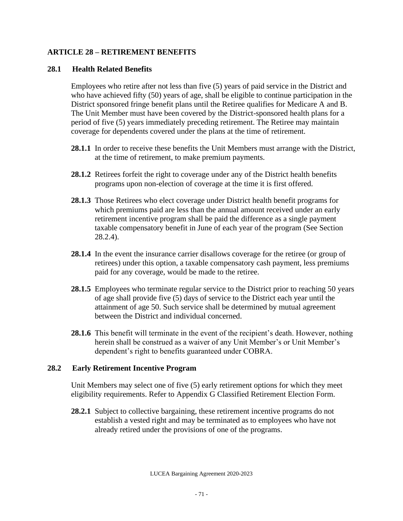## **ARTICLE 28 – RETIREMENT BENEFITS**

## **28.1 Health Related Benefits**

Employees who retire after not less than five (5) years of paid service in the District and who have achieved fifty (50) years of age, shall be eligible to continue participation in the District sponsored fringe benefit plans until the Retiree qualifies for Medicare A and B. The Unit Member must have been covered by the District-sponsored health plans for a period of five (5) years immediately preceding retirement. The Retiree may maintain coverage for dependents covered under the plans at the time of retirement.

- 28.1.1 In order to receive these benefits the Unit Members must arrange with the District, at the time of retirement, to make premium payments.
- **28.1.2** Retirees forfeit the right to coverage under any of the District health benefits programs upon non-election of coverage at the time it is first offered.
- **28.1.3** Those Retirees who elect coverage under District health benefit programs for which premiums paid are less than the annual amount received under an early retirement incentive program shall be paid the difference as a single payment taxable compensatory benefit in June of each year of the program (See Section 28.2.4).
- **28.1.4** In the event the insurance carrier disallows coverage for the retiree (or group of retirees) under this option, a taxable compensatory cash payment, less premiums paid for any coverage, would be made to the retiree.
- **28.1.5** Employees who terminate regular service to the District prior to reaching 50 years of age shall provide five (5) days of service to the District each year until the attainment of age 50. Such service shall be determined by mutual agreement between the District and individual concerned.
- **28.1.6** This benefit will terminate in the event of the recipient's death. However, nothing herein shall be construed as a waiver of any Unit Member's or Unit Member's dependent's right to benefits guaranteed under COBRA.

## **28.2 Early Retirement Incentive Program**

Unit Members may select one of five (5) early retirement options for which they meet eligibility requirements. Refer to Appendix G Classified Retirement Election Form.

**28.2.1** Subject to collective bargaining, these retirement incentive programs do not establish a vested right and may be terminated as to employees who have not already retired under the provisions of one of the programs.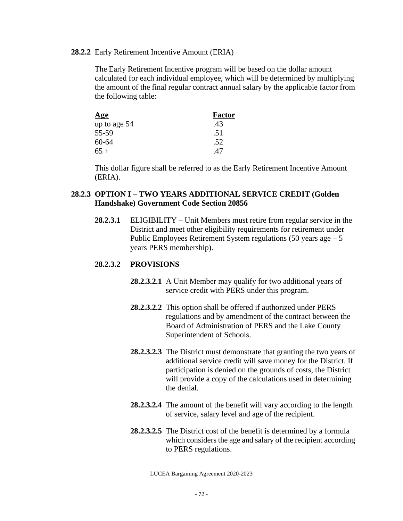#### **28.2.2** Early Retirement Incentive Amount (ERIA)

The Early Retirement Incentive program will be based on the dollar amount calculated for each individual employee, which will be determined by multiplying the amount of the final regular contract annual salary by the applicable factor from the following table:

| <u>Age</u>   | <b>Factor</b> |
|--------------|---------------|
| up to age 54 | .43           |
| 55-59        | .51           |
| 60-64        | .52           |
| $65+$        | 47            |

This dollar figure shall be referred to as the Early Retirement Incentive Amount (ERIA).

### **28.2.3 OPTION I – TWO YEARS ADDITIONAL SERVICE CREDIT (Golden Handshake) Government Code Section 20856**

**28.2.3.1** ELIGIBILITY – Unit Members must retire from regular service in the District and meet other eligibility requirements for retirement under Public Employees Retirement System regulations  $(50 \text{ years} a$ ge – 5 years PERS membership).

#### **28.2.3.2 PROVISIONS**

- **28.2.3.2.1** A Unit Member may qualify for two additional years of service credit with PERS under this program.
- **28.2.3.2.2** This option shall be offered if authorized under PERS regulations and by amendment of the contract between the Board of Administration of PERS and the Lake County Superintendent of Schools.
- **28.2.3.2.3** The District must demonstrate that granting the two years of additional service credit will save money for the District. If participation is denied on the grounds of costs, the District will provide a copy of the calculations used in determining the denial.
- **28.2.3.2.4** The amount of the benefit will vary according to the length of service, salary level and age of the recipient.
- **28.2.3.2.5** The District cost of the benefit is determined by a formula which considers the age and salary of the recipient according to PERS regulations.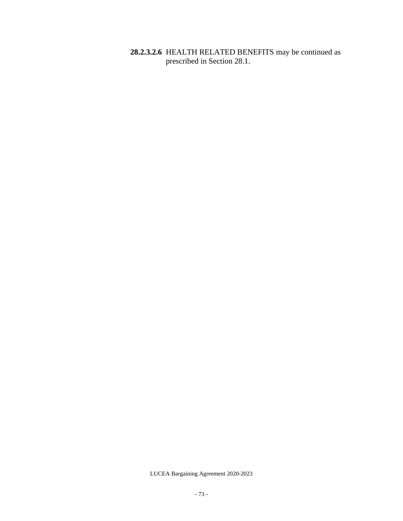**28.2.3.2.6** HEALTH RELATED BENEFITS may be continued as prescribed in Section 28.1.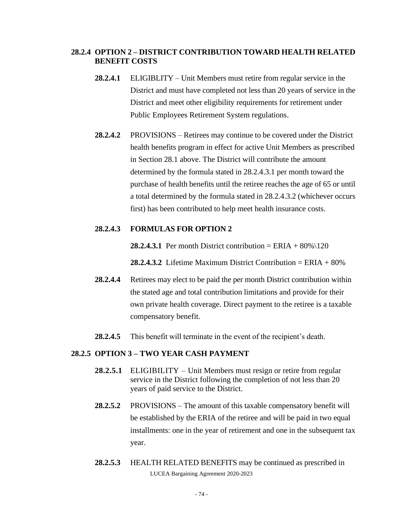#### **28.2.4 OPTION 2 – DISTRICT CONTRIBUTION TOWARD HEALTH RELATED BENEFIT COSTS**

- **28.2.4.1** ELIGIBLITY Unit Members must retire from regular service in the District and must have completed not less than 20 years of service in the District and meet other eligibility requirements for retirement under Public Employees Retirement System regulations.
- **28.2.4.2** PROVISIONS Retirees may continue to be covered under the District health benefits program in effect for active Unit Members as prescribed in Section 28.1 above. The District will contribute the amount determined by the formula stated in 28.2.4.3.1 per month toward the purchase of health benefits until the retiree reaches the age of 65 or until a total determined by the formula stated in 28.2.4.3.2 (whichever occurs first) has been contributed to help meet health insurance costs.

#### **28.2.4.3 FORMULAS FOR OPTION 2**

**28.2.4.3.1** Per month District contribution = ERIA +  $80\%$  (120)

**28.2.4.3.2** Lifetime Maximum District Contribution  $=$  ERIA  $+$  80%

- **28.2.4.4** Retirees may elect to be paid the per month District contribution within the stated age and total contribution limitations and provide for their own private health coverage. Direct payment to the retiree is a taxable compensatory benefit.
- **28.2.4.5** This benefit will terminate in the event of the recipient's death.

#### **28.2.5 OPTION 3 – TWO YEAR CASH PAYMENT**

- **28.2.5.1** ELIGIBILITY Unit Members must resign or retire from regular service in the District following the completion of not less than 20 years of paid service to the District.
- **28.2.5.2** PROVISIONS The amount of this taxable compensatory benefit will be established by the ERIA of the retiree and will be paid in two equal installments: one in the year of retirement and one in the subsequent tax year.
- LUCEA Bargaining Agreement 2020-2023 **28.2.5.3** HEALTH RELATED BENEFITS may be continued as prescribed in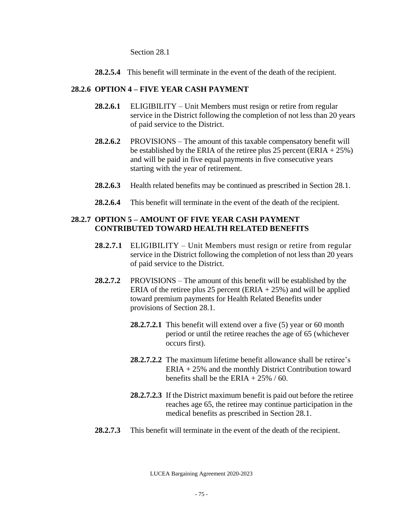Section 28.1

**28.2.5.4** This benefit will terminate in the event of the death of the recipient.

### **28.2.6 OPTION 4 – FIVE YEAR CASH PAYMENT**

- **28.2.6.1** ELIGIBILITY Unit Members must resign or retire from regular service in the District following the completion of not less than 20 years of paid service to the District.
- **28.2.6.2** PROVISIONS The amount of this taxable compensatory benefit will be established by the ERIA of the retiree plus 25 percent (ERIA  $+ 25\%$ ) and will be paid in five equal payments in five consecutive years starting with the year of retirement.
- **28.2.6.3** Health related benefits may be continued as prescribed in Section 28.1.
- **28.2.6.4** This benefit will terminate in the event of the death of the recipient.

### **28.2.7 OPTION 5 – AMOUNT OF FIVE YEAR CASH PAYMENT CONTRIBUTED TOWARD HEALTH RELATED BENEFITS**

- **28.2.7.1** ELIGIBILITY Unit Members must resign or retire from regular service in the District following the completion of not less than 20 years of paid service to the District.
- **28.2.7.2** PROVISIONS The amount of this benefit will be established by the ERIA of the retiree plus 25 percent (ERIA  $+ 25\%$ ) and will be applied toward premium payments for Health Related Benefits under provisions of Section 28.1.
	- **28.2.7.2.1** This benefit will extend over a five (5) year or 60 month period or until the retiree reaches the age of 65 (whichever occurs first).
	- **28.2.7.2.2** The maximum lifetime benefit allowance shall be retiree's ERIA + 25% and the monthly District Contribution toward benefits shall be the ERIA  $+ 25\%$  / 60.
	- **28.2.7.2.3** If the District maximum benefit is paid out before the retiree reaches age 65, the retiree may continue participation in the medical benefits as prescribed in Section 28.1.
- **28.2.7.3** This benefit will terminate in the event of the death of the recipient.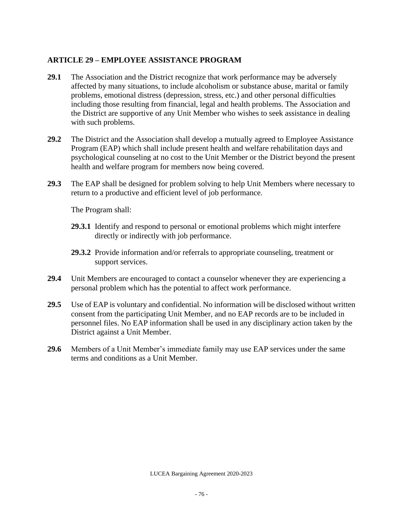### **ARTICLE 29 – EMPLOYEE ASSISTANCE PROGRAM**

- **29.1** The Association and the District recognize that work performance may be adversely affected by many situations, to include alcoholism or substance abuse, marital or family problems, emotional distress (depression, stress, etc.) and other personal difficulties including those resulting from financial, legal and health problems. The Association and the District are supportive of any Unit Member who wishes to seek assistance in dealing with such problems.
- **29.2** The District and the Association shall develop a mutually agreed to Employee Assistance Program (EAP) which shall include present health and welfare rehabilitation days and psychological counseling at no cost to the Unit Member or the District beyond the present health and welfare program for members now being covered.
- **29.3** The EAP shall be designed for problem solving to help Unit Members where necessary to return to a productive and efficient level of job performance.

The Program shall:

- **29.3.1** Identify and respond to personal or emotional problems which might interfere directly or indirectly with job performance.
- **29.3.2** Provide information and/or referrals to appropriate counseling, treatment or support services.
- **29.4** Unit Members are encouraged to contact a counselor whenever they are experiencing a personal problem which has the potential to affect work performance.
- **29.5** Use of EAP is voluntary and confidential. No information will be disclosed without written consent from the participating Unit Member, and no EAP records are to be included in personnel files. No EAP information shall be used in any disciplinary action taken by the District against a Unit Member.
- **29.6** Members of a Unit Member's immediate family may use EAP services under the same terms and conditions as a Unit Member.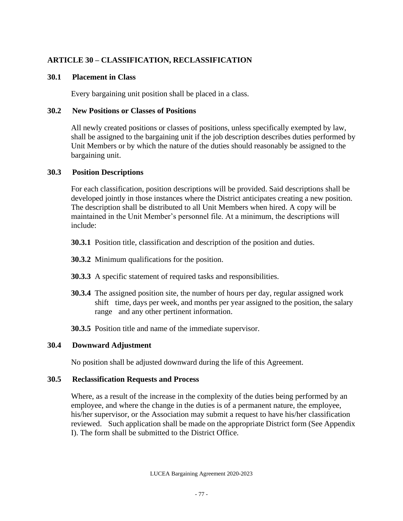### **ARTICLE 30 – CLASSIFICATION, RECLASSIFICATION**

### **30.1 Placement in Class**

Every bargaining unit position shall be placed in a class.

#### **30.2 New Positions or Classes of Positions**

All newly created positions or classes of positions, unless specifically exempted by law, shall be assigned to the bargaining unit if the job description describes duties performed by Unit Members or by which the nature of the duties should reasonably be assigned to the bargaining unit.

### **30.3 Position Descriptions**

For each classification, position descriptions will be provided. Said descriptions shall be developed jointly in those instances where the District anticipates creating a new position. The description shall be distributed to all Unit Members when hired. A copy will be maintained in the Unit Member's personnel file. At a minimum, the descriptions will include:

- **30.3.1** Position title, classification and description of the position and duties.
- **30.3.2** Minimum qualifications for the position.
- **30.3.3** A specific statement of required tasks and responsibilities.
- **30.3.4** The assigned position site, the number of hours per day, regular assigned work shift time, days per week, and months per year assigned to the position, the salary range and any other pertinent information.

**30.3.5** Position title and name of the immediate supervisor.

### **30.4 Downward Adjustment**

No position shall be adjusted downward during the life of this Agreement.

### **30.5 Reclassification Requests and Process**

Where, as a result of the increase in the complexity of the duties being performed by an employee, and where the change in the duties is of a permanent nature, the employee, his/her supervisor, or the Association may submit a request to have his/her classification reviewed. Such application shall be made on the appropriate District form (See Appendix I). The form shall be submitted to the District Office.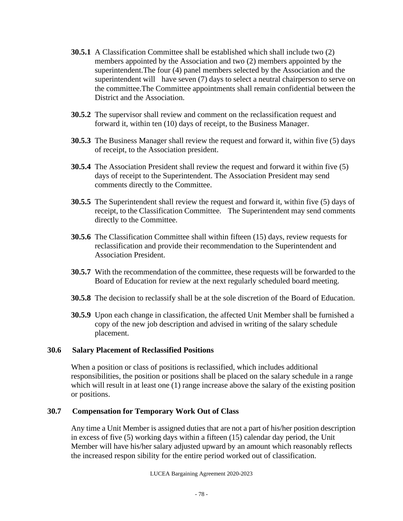- **30.5.1** A Classification Committee shall be established which shall include two (2) members appointed by the Association and two (2) members appointed by the superintendent.The four (4) panel members selected by the Association and the superintendent will have seven (7) days to select a neutral chairperson to serve on the committee.The Committee appointments shall remain confidential between the District and the Association.
- **30.5.2** The supervisor shall review and comment on the reclassification request and forward it, within ten (10) days of receipt, to the Business Manager.
- **30.5.3** The Business Manager shall review the request and forward it, within five (5) days of receipt, to the Association president.
- **30.5.4** The Association President shall review the request and forward it within five (5) days of receipt to the Superintendent. The Association President may send comments directly to the Committee.
- **30.5.5** The Superintendent shall review the request and forward it, within five (5) days of receipt, to the Classification Committee. The Superintendent may send comments directly to the Committee.
- **30.5.6** The Classification Committee shall within fifteen (15) days, review requests for reclassification and provide their recommendation to the Superintendent and Association President.
- **30.5.7** With the recommendation of the committee, these requests will be forwarded to the Board of Education for review at the next regularly scheduled board meeting.
- **30.5.8** The decision to reclassify shall be at the sole discretion of the Board of Education.
- **30.5.9** Upon each change in classification, the affected Unit Member shall be furnished a copy of the new job description and advised in writing of the salary schedule placement.

### **30.6 Salary Placement of Reclassified Positions**

When a position or class of positions is reclassified, which includes additional responsibilities, the position or positions shall be placed on the salary schedule in a range which will result in at least one (1) range increase above the salary of the existing position or positions.

### **30.7 Compensation for Temporary Work Out of Class**

Any time a Unit Member is assigned duties that are not a part of his/her position description in excess of five (5) working days within a fifteen (15) calendar day period, the Unit Member will have his/her salary adjusted upward by an amount which reasonably reflects the increased respon sibility for the entire period worked out of classification.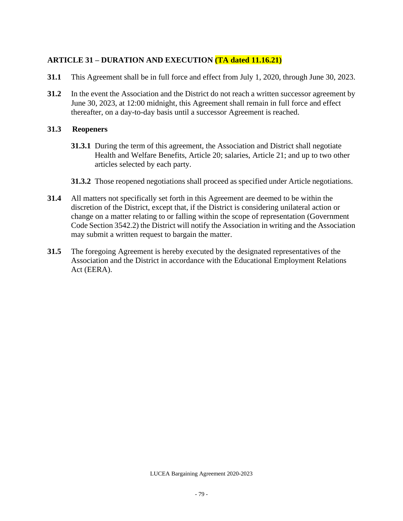### **ARTICLE 31 – DURATION AND EXECUTION (TA dated 11.16.21)**

- **31.1** This Agreement shall be in full force and effect from July 1, 2020, through June 30, 2023.
- **31.2** In the event the Association and the District do not reach a written successor agreement by June 30, 2023, at 12:00 midnight, this Agreement shall remain in full force and effect thereafter, on a day-to-day basis until a successor Agreement is reached.

#### **31.3 Reopeners**

- **31.3.1** During the term of this agreement, the Association and District shall negotiate Health and Welfare Benefits, Article 20; salaries, Article 21; and up to two other articles selected by each party.
- **31.3.2** Those reopened negotiations shall proceed as specified under Article negotiations.
- **31.4** All matters not specifically set forth in this Agreement are deemed to be within the discretion of the District, except that, if the District is considering unilateral action or change on a matter relating to or falling within the scope of representation (Government Code Section 3542.2) the District will notify the Association in writing and the Association may submit a written request to bargain the matter.
- **31.5** The foregoing Agreement is hereby executed by the designated representatives of the Association and the District in accordance with the Educational Employment Relations Act (EERA).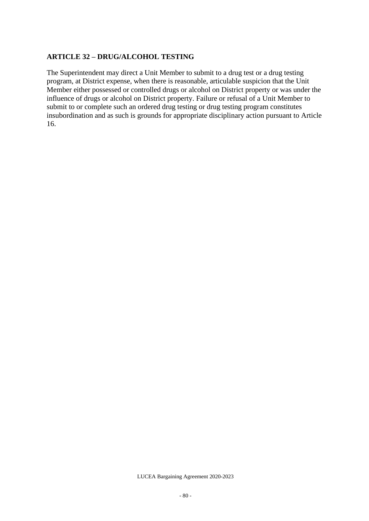### **ARTICLE 32 – DRUG/ALCOHOL TESTING**

The Superintendent may direct a Unit Member to submit to a drug test or a drug testing program, at District expense, when there is reasonable, articulable suspicion that the Unit Member either possessed or controlled drugs or alcohol on District property or was under the influence of drugs or alcohol on District property. Failure or refusal of a Unit Member to submit to or complete such an ordered drug testing or drug testing program constitutes insubordination and as such is grounds for appropriate disciplinary action pursuant to Article 16.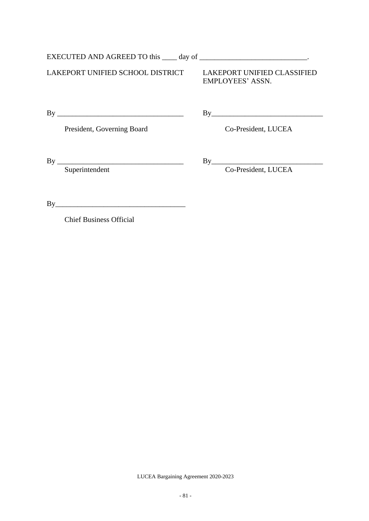|    | EXECUTED AND AGREED TO this ____ day of ___________________________. |                                                        |
|----|----------------------------------------------------------------------|--------------------------------------------------------|
|    | LAKEPORT UNIFIED SCHOOL DISTRICT                                     | <b>LAKEPORT UNIFIED CLASSIFIED</b><br>EMPLOYEES' ASSN. |
| By |                                                                      | By                                                     |
|    | President, Governing Board                                           | Co-President, LUCEA                                    |
| By |                                                                      | By                                                     |
|    | Superintendent                                                       | Co-President, LUCEA                                    |

Chief Business Official

By\_\_\_\_\_\_\_\_\_\_\_\_\_\_\_\_\_\_\_\_\_\_\_\_\_\_\_\_\_\_\_\_\_\_\_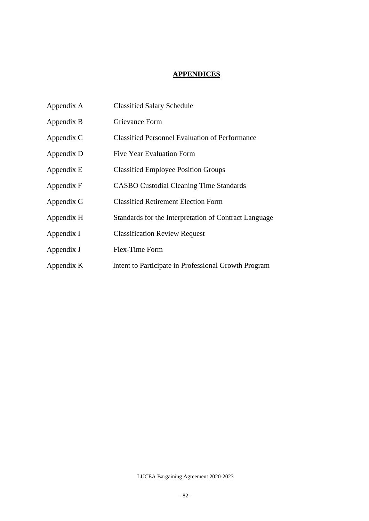### **APPENDICES**

| Appendix A | <b>Classified Salary Schedule</b>                     |
|------------|-------------------------------------------------------|
| Appendix B | Grievance Form                                        |
| Appendix C | <b>Classified Personnel Evaluation of Performance</b> |
| Appendix D | <b>Five Year Evaluation Form</b>                      |
| Appendix E | <b>Classified Employee Position Groups</b>            |
| Appendix F | <b>CASBO Custodial Cleaning Time Standards</b>        |
| Appendix G | <b>Classified Retirement Election Form</b>            |
| Appendix H | Standards for the Interpretation of Contract Language |
| Appendix I | <b>Classification Review Request</b>                  |
| Appendix J | Flex-Time Form                                        |
| Appendix K | Intent to Participate in Professional Growth Program  |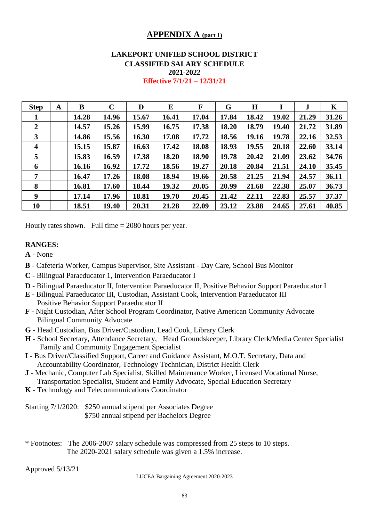### **APPENDIX A (part 1)**

### **LAKEPORT UNIFIED SCHOOL DISTRICT CLASSIFIED SALARY SCHEDULE 2021-2022**

| <b>Step</b>             | A | B     | $\mathbf C$ | D     | E     | F     | G     | $\bf H$ |       | J     | K     |
|-------------------------|---|-------|-------------|-------|-------|-------|-------|---------|-------|-------|-------|
| 1                       |   | 14.28 | 14.96       | 15.67 | 16.41 | 17.04 | 17.84 | 18.42   | 19.02 | 21.29 | 31.26 |
| $\overline{2}$          |   | 14.57 | 15.26       | 15.99 | 16.75 | 17.38 | 18.20 | 18.79   | 19.40 | 21.72 | 31.89 |
| $\mathbf{3}$            |   | 14.86 | 15.56       | 16.30 | 17.08 | 17.72 | 18.56 | 19.16   | 19.78 | 22.16 | 32.53 |
| $\overline{\mathbf{4}}$ |   | 15.15 | 15.87       | 16.63 | 17.42 | 18.08 | 18.93 | 19.55   | 20.18 | 22.60 | 33.14 |
| 5                       |   | 15.83 | 16.59       | 17.38 | 18.20 | 18.90 | 19.78 | 20.42   | 21.09 | 23.62 | 34.76 |
| 6                       |   | 16.16 | 16.92       | 17.72 | 18.56 | 19.27 | 20.18 | 20.84   | 21.51 | 24.10 | 35.45 |
| 7                       |   | 16.47 | 17.26       | 18.08 | 18.94 | 19.66 | 20.58 | 21.25   | 21.94 | 24.57 | 36.11 |
| 8                       |   | 16.81 | 17.60       | 18.44 | 19.32 | 20.05 | 20.99 | 21.68   | 22.38 | 25.07 | 36.73 |
| 9                       |   | 17.14 | 17.96       | 18.81 | 19.70 | 20.45 | 21.42 | 22.11   | 22.83 | 25.57 | 37.37 |
| 10                      |   | 18.51 | 19.40       | 20.31 | 21.28 | 22.09 | 23.12 | 23.88   | 24.65 | 27.61 | 40.85 |

**Effective 7/1/21 – 12/31/21**

Hourly rates shown. Full time = 2080 hours per year.

#### **RANGES:**

**A** - None

- **B** Cafeteria Worker, Campus Supervisor, Site Assistant Day Care, School Bus Monitor
- **C** Bilingual Paraeducator 1, Intervention Paraeducator I
- **D** Bilingual Paraeducator II, Intervention Paraeducator II, Positive Behavior Support Paraeducator I
- **E** Bilingual Paraeducator III, Custodian, Assistant Cook, Intervention Paraeducator III Positive Behavior Support Paraeducator II
- **F** Night Custodian, After School Program Coordinator, Native American Community Advocate Bilingual Community Advocate
- **G** Head Custodian, Bus Driver/Custodian, Lead Cook, Library Clerk
- **H** School Secretary, Attendance Secretary, Head Groundskeeper, Library Clerk/Media Center Specialist Family and Community Engagement Specialist
- **I** Bus Driver/Classified Support, Career and Guidance Assistant, M.O.T. Secretary, Data and Accountability Coordinator, Technology Technician, District Health Clerk
- **J** Mechanic, Computer Lab Specialist, Skilled Maintenance Worker, Licensed Vocational Nurse, Transportation Specialist, Student and Family Advocate, Special Education Secretary
- **K** Technology and Telecommunications Coordinator

Starting 7/1/2020: \$250 annual stipend per Associates Degree \$750 annual stipend per Bachelors Degree

\* Footnotes: The 2006-2007 salary schedule was compressed from 25 steps to 10 steps. The 2020-2021 salary schedule was given a 1.5% increase.

Approved 5/13/21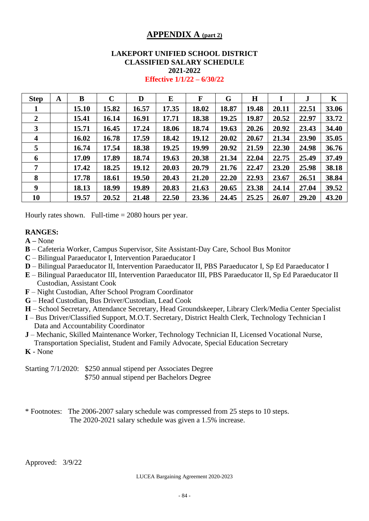### **APPENDIX A (part 2)**

### **LAKEPORT UNIFIED SCHOOL DISTRICT CLASSIFIED SALARY SCHEDULE 2021-2022**

#### **Effective 1/1/22 – 6/30/22**

| <b>Step</b>             | A | B     | $\mathbf C$ | D     | E     | F     | G     | H     | I     | J     | K     |
|-------------------------|---|-------|-------------|-------|-------|-------|-------|-------|-------|-------|-------|
|                         |   | 15.10 | 15.82       | 16.57 | 17.35 | 18.02 | 18.87 | 19.48 | 20.11 | 22.51 | 33.06 |
| $\overline{2}$          |   | 15.41 | 16.14       | 16.91 | 17.71 | 18.38 | 19.25 | 19.87 | 20.52 | 22.97 | 33.72 |
| 3                       |   | 15.71 | 16.45       | 17.24 | 18.06 | 18.74 | 19.63 | 20.26 | 20.92 | 23.43 | 34.40 |
| $\overline{\mathbf{4}}$ |   | 16.02 | 16.78       | 17.59 | 18.42 | 19.12 | 20.02 | 20.67 | 21.34 | 23.90 | 35.05 |
| 5                       |   | 16.74 | 17.54       | 18.38 | 19.25 | 19.99 | 20.92 | 21.59 | 22.30 | 24.98 | 36.76 |
| 6                       |   | 17.09 | 17.89       | 18.74 | 19.63 | 20.38 | 21.34 | 22.04 | 22.75 | 25.49 | 37.49 |
| 7                       |   | 17.42 | 18.25       | 19.12 | 20.03 | 20.79 | 21.76 | 22.47 | 23.20 | 25.98 | 38.18 |
| 8                       |   | 17.78 | 18.61       | 19.50 | 20.43 | 21.20 | 22.20 | 22.93 | 23.67 | 26.51 | 38.84 |
| 9                       |   | 18.13 | 18.99       | 19.89 | 20.83 | 21.63 | 20.65 | 23.38 | 24.14 | 27.04 | 39.52 |
| 10                      |   | 19.57 | 20.52       | 21.48 | 22.50 | 23.36 | 24.45 | 25.25 | 26.07 | 29.20 | 43.20 |

Hourly rates shown. Full-time = 2080 hours per year.

### **RANGES:**

**A –** None

- **B** Cafeteria Worker, Campus Supervisor, Site Assistant-Day Care, School Bus Monitor
- **C** Bilingual Paraeducator I, Intervention Paraeducator I
- **D** Bilingual Paraeducator II, Intervention Paraeducator II, PBS Paraeducator I, Sp Ed Paraeducator I
- **E** Bilingual Paraeducator III, Intervention Paraeducator III, PBS Paraeducator II, Sp Ed Paraeducator II Custodian, Assistant Cook
- **F** Night Custodian, After School Program Coordinator
- **G** Head Custodian, Bus Driver/Custodian, Lead Cook
- **H** School Secretary, Attendance Secretary, Head Groundskeeper, Library Clerk/Media Center Specialist
- **I** Bus Driver/Classified Support, M.O.T. Secretary, District Health Clerk, Technology Technician I Data and Accountability Coordinator
- **J** Mechanic, Skilled Maintenance Worker, Technology Technician II, Licensed Vocational Nurse, Transportation Specialist, Student and Family Advocate, Special Education Secretary

**K** - None

Starting 7/1/2020: \$250 annual stipend per Associates Degree \$750 annual stipend per Bachelors Degree

\* Footnotes: The 2006-2007 salary schedule was compressed from 25 steps to 10 steps. The 2020-2021 salary schedule was given a 1.5% increase.

Approved: 3/9/22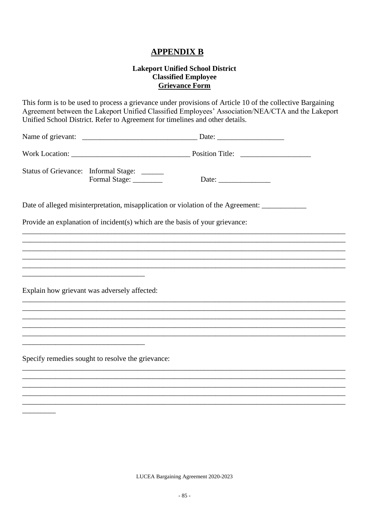### **APPENDIX B**

# **Lakeport Unified School District<br>Classified Employee Grievance Form**

|                                                                       | This form is to be used to process a grievance under provisions of Article 10 of the collective Bargaining<br>Agreement between the Lakeport Unified Classified Employees' Association/NEA/CTA and the Lakeport<br>Unified School District. Refer to Agreement for timelines and other details. |  |
|-----------------------------------------------------------------------|-------------------------------------------------------------------------------------------------------------------------------------------------------------------------------------------------------------------------------------------------------------------------------------------------|--|
|                                                                       |                                                                                                                                                                                                                                                                                                 |  |
|                                                                       |                                                                                                                                                                                                                                                                                                 |  |
| Status of Grievance: Informal Stage: _____<br>Formal Stage: _________ |                                                                                                                                                                                                                                                                                                 |  |
|                                                                       |                                                                                                                                                                                                                                                                                                 |  |
|                                                                       | Provide an explanation of incident(s) which are the basis of your grievance:                                                                                                                                                                                                                    |  |
|                                                                       |                                                                                                                                                                                                                                                                                                 |  |
|                                                                       |                                                                                                                                                                                                                                                                                                 |  |
|                                                                       |                                                                                                                                                                                                                                                                                                 |  |
|                                                                       |                                                                                                                                                                                                                                                                                                 |  |
|                                                                       |                                                                                                                                                                                                                                                                                                 |  |
| Explain how grievant was adversely affected:                          |                                                                                                                                                                                                                                                                                                 |  |
|                                                                       |                                                                                                                                                                                                                                                                                                 |  |
|                                                                       |                                                                                                                                                                                                                                                                                                 |  |
|                                                                       |                                                                                                                                                                                                                                                                                                 |  |
|                                                                       |                                                                                                                                                                                                                                                                                                 |  |
|                                                                       |                                                                                                                                                                                                                                                                                                 |  |
| Specify remedies sought to resolve the grievance:                     |                                                                                                                                                                                                                                                                                                 |  |
|                                                                       |                                                                                                                                                                                                                                                                                                 |  |
|                                                                       |                                                                                                                                                                                                                                                                                                 |  |
|                                                                       |                                                                                                                                                                                                                                                                                                 |  |
|                                                                       |                                                                                                                                                                                                                                                                                                 |  |
|                                                                       |                                                                                                                                                                                                                                                                                                 |  |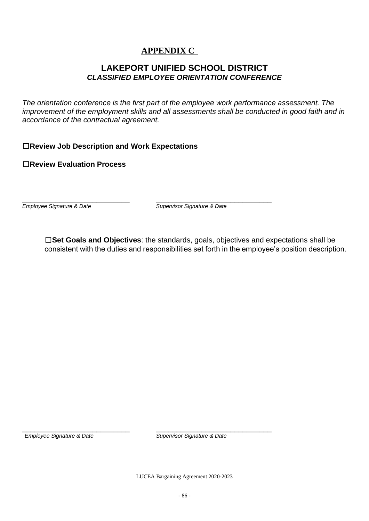### **APPENDIX C**

### **LAKEPORT UNIFIED SCHOOL DISTRICT** *CLASSIFIED EMPLOYEE ORIENTATION CONFERENCE*

*The orientation conference is the first part of the employee work performance assessment. The improvement of the employment skills and all assessments shall be conducted in good faith and in accordance of the contractual agreement.* 

☐**Review Job Description and Work Expectations**

☐**Review Evaluation Process** 

**\_\_\_\_\_\_\_\_\_\_\_\_\_\_\_\_\_\_\_\_\_\_\_\_\_\_ \_\_\_\_\_\_\_\_\_\_\_\_\_\_\_\_\_\_\_\_\_\_\_\_\_\_\_\_** *Employee Signature & Date Supervisor Signature & Date*

☐**Set Goals and Objectives**: the standards, goals, objectives and expectations shall be consistent with the duties and responsibilities set forth in the employee's position description.

\_\_\_\_\_\_\_\_\_\_\_\_\_\_\_\_\_\_\_\_\_\_\_\_\_\_ \_\_\_\_\_\_\_\_\_\_\_\_\_\_\_\_\_\_\_\_\_\_\_\_\_\_\_\_ *Employee Signature & Date Supervisor Signature & Date*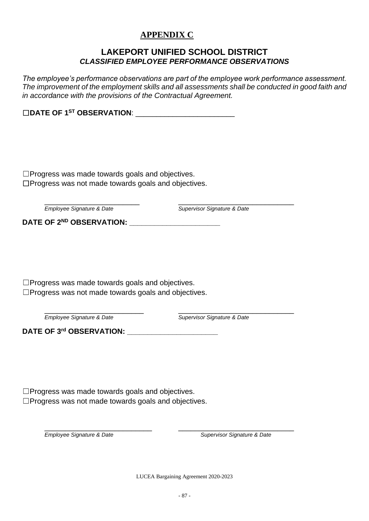### **APPENDIX C**

### **LAKEPORT UNIFIED SCHOOL DISTRICT** *CLASSIFIED EMPLOYEE PERFORMANCE OBSERVATIONS*

*The employee's performance observations are part of the employee work performance assessment. The improvement of the employment skills and all assessments shall be conducted in good faith and in accordance with the provisions of the Contractual Agreement.*

☐**DATE OF 1ST OBSERVATION**: \_\_\_\_\_\_\_\_\_\_\_\_\_\_\_\_\_\_\_\_\_\_\_\_

☐Progress was made towards goals and objectives. ☐Progress was not made towards goals and objectives.

\_\_\_\_\_\_\_\_\_\_\_\_\_\_\_\_\_\_\_\_\_\_\_ \_\_\_\_\_\_\_\_\_\_\_\_\_\_\_\_\_\_\_\_\_\_\_\_\_\_\_\_

*Employee Signature & Date Supervisor Signature & Date*

**DATE OF 2ND OBSERVATION: \_\_\_\_\_\_\_\_\_\_\_\_\_\_\_\_\_\_\_\_\_\_**

☐Progress was made towards goals and objectives. ☐Progress was not made towards goals and objectives.

\_\_\_\_\_\_\_\_\_\_\_\_\_\_\_\_\_\_\_\_\_\_\_\_ \_\_\_\_\_\_\_\_\_\_\_\_\_\_\_\_\_\_\_\_\_\_\_\_\_\_\_\_

*Employee Signature & Date Supervisor Signature & Date*

**DATE OF 3rd OBSERVATION: \_\_\_\_\_\_\_\_\_\_\_\_\_\_\_\_\_\_\_\_\_\_**

☐Progress was made towards goals and objectives. ☐Progress was not made towards goals and objectives.

\_\_\_\_\_\_\_\_\_\_\_\_\_\_\_\_\_\_\_\_\_\_\_\_\_\_ \_\_\_\_\_\_\_\_\_\_\_\_\_\_\_\_\_\_\_\_\_\_\_\_\_\_\_\_ *Employee Signature & Date Supervisor Signature & Date*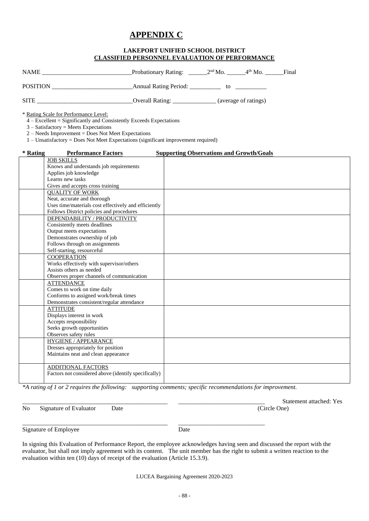### **APPENDIX C**

#### **LAKEPORT UNIFIED SCHOOL DISTRICT CLASSIFIED PERSONNEL EVALUATION OF PERFORMANCE**

| <b>NAME</b>     | <b>Probationary Rating:</b>  | $2nd$ Mo.            | $4th$ Mo. | Final |
|-----------------|------------------------------|----------------------|-----------|-------|
| <b>POSITION</b> | <b>Annual Rating Period:</b> | tΩ                   |           |       |
| <b>SITE</b>     | <b>Overall Rating:</b>       | (average of ratings) |           |       |

 $\overline{4 - \text{Excellent}} =$  Significantly and Consistently Exceeds Expectations

3 – Satisfactory = Meets Expectations

2 – Needs Improvement = Does Not Meet Expectations

1 – Unsatisfactory = Does Not Meet Expectations (significant improvement required)

#### **\* Rating Performance Factors Supporting Observations and Growth/Goals** JOB SKILLS Knows and understands job requirements Applies job knowledge Learns new tasks Gives and accepts cross training QUALITY OF WORK Neat, accurate and thorough Uses time/materials cost effectively and efficiently Follows District policies and procedures DEPENDABILITY / PRODUCTIVITY Consistently meets deadlines Output meets expectations Demonstrates ownership of job Follows through on assignments Self-starting, resourceful **COOPERATION** Works effectively with supervisor/others Assists others as needed Observes proper channels of communication **ATTENDANCE** Comes to work on time daily Conforms to assigned work/break times Demonstrates consistent/regular attendance **ATTITUDE** Displays interest in work Accepts responsibility Seeks growth opportunities Observes safety rules HYGIENE / APPEARANCE Dresses appropriately for position Maintains neat and clean appearance ADDITIONAL FACTORS Factors not considered above (identify specifically)

*\*A rating of 1 or 2 requires the following: supporting comments; specific recommendations for improvement.*

No Signature of Evaluator Date (Circle One)

Statement attached: Yes

\_\_\_\_\_\_\_\_\_\_\_\_\_\_\_\_\_\_\_\_\_\_\_\_\_\_\_\_\_\_\_\_\_\_\_\_\_\_\_\_\_\_\_\_\_\_\_ \_\_\_\_\_\_\_\_\_\_\_\_\_\_\_\_\_\_\_\_\_\_\_\_\_\_\_\_ Signature of Employee Date

In signing this Evaluation of Performance Report, the employee acknowledges having seen and discussed the report with the evaluator, but shall not imply agreement with its content. The unit member has the right to submit a written reaction to the evaluation within ten (10) days of receipt of the evaluation (Article 15.3.9).

<sup>\*</sup> Rating Scale for Performance Level: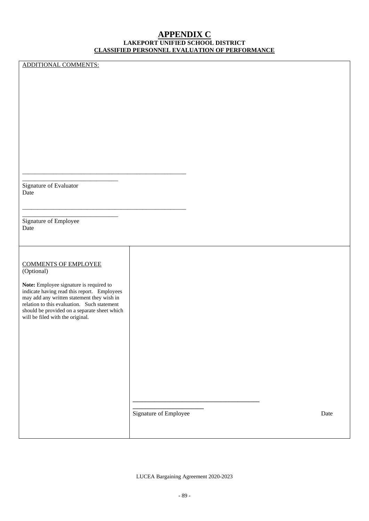#### **APPENDIX C LAKEPORT UNIFIED SCHOOL DISTRICT CLASSIFIED PERSONNEL EVALUATION OF PERFORMANCE**

ADDITIONAL COMMENTS:

\_\_\_\_\_\_\_\_\_\_\_\_\_\_\_\_\_\_\_\_\_\_\_\_\_\_\_\_\_\_\_ Signature of Evaluator Date

\_\_\_\_\_\_\_\_\_\_\_\_\_\_\_\_\_\_\_\_\_\_\_\_\_\_\_\_\_\_\_\_\_\_\_\_\_\_\_\_\_\_\_\_\_\_\_\_\_\_\_\_\_

\_\_\_\_\_\_\_\_\_\_\_\_\_\_\_\_\_\_\_\_\_\_\_\_\_\_\_\_\_\_\_\_\_\_\_\_\_\_\_\_\_\_\_\_\_\_\_\_\_\_\_\_\_

Signature of Employee Date

### COMMENTS OF EMPLOYEE

\_\_\_\_\_\_\_\_\_\_\_\_\_\_\_\_\_\_\_\_\_\_\_\_\_\_\_\_\_\_\_

(Optional)

**Note:** Employee signature is required to indicate having read this report. Employees may add any written statement they wish in relation to this evaluation. Such statement should be provided on a separate sheet which will be filed with the original.

Signature of Employee Date

**\_\_\_\_\_\_\_\_\_\_\_\_\_\_\_\_\_\_\_\_\_\_\_**

**\_\_\_\_\_\_\_\_\_\_\_\_\_\_\_\_\_\_\_\_\_\_\_\_\_\_\_\_\_\_\_\_\_\_\_\_\_\_\_\_\_**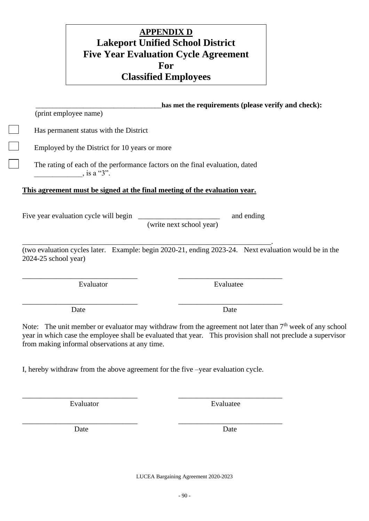# Employed by the District for 10 years or more The rating of each of the performance factors on the final evaluation, dated

### **This agreement must be signed at the final meeting of the evaluation year.**

Five year evaluation cycle will begin \_\_\_\_\_\_\_\_\_\_\_\_\_\_\_\_\_\_\_\_\_\_\_\_\_\_\_ and ending

 $\lambda$  is a "3".

(print employee name)

Has permanent status with the District

(write next school year)

(two evaluation cycles later. Example: begin 2020-21, ending 2023-24. Next evaluation would be in the 2024-25 school year)

Date Date Date

\_\_\_\_\_\_\_\_\_\_\_\_\_\_\_\_\_\_\_\_\_\_\_\_\_\_\_\_\_\_\_\_\_\_\_\_\_**has met the requirements (please verify and check):**

Note: The unit member or evaluator may withdraw from the agreement not later than 7<sup>th</sup> week of any school year in which case the employee shall be evaluated that year. This provision shall not preclude a supervisor from making informal observations at any time.

I, hereby withdraw from the above agreement for the five –year evaluation cycle.

\_\_\_\_\_\_\_\_\_\_\_\_\_\_\_\_\_\_\_\_\_\_\_\_\_\_\_\_\_\_\_ \_\_\_\_\_\_\_\_\_\_\_\_\_\_\_\_\_\_\_\_\_\_\_\_\_\_\_\_ Evaluator Evaluatee

\_\_\_\_\_\_\_\_\_\_\_\_\_\_\_\_\_\_\_\_\_\_\_\_\_\_\_\_\_\_\_ \_\_\_\_\_\_\_\_\_\_\_\_\_\_\_\_\_\_\_\_\_\_\_\_\_\_\_\_

Date Date Date

LUCEA Bargaining Agreement 2020-2023

## **APPENDIX D Lakeport Unified School District Five Year Evaluation Cycle Agreement For Classified Employees**

\_\_\_\_\_\_\_\_\_\_\_\_\_\_\_\_\_\_\_\_\_\_\_\_\_\_\_\_\_\_\_ \_\_\_\_\_\_\_\_\_\_\_\_\_\_\_\_\_\_\_\_\_\_\_\_\_\_\_\_ Evaluator Evaluatee

\_\_\_\_\_\_\_\_\_\_\_\_\_\_\_\_\_\_\_\_\_\_\_\_\_\_\_\_\_\_\_ \_\_\_\_\_\_\_\_\_\_\_\_\_\_\_\_\_\_\_\_\_\_\_\_\_\_\_\_

\_\_\_\_\_\_\_\_\_\_\_\_\_\_\_\_\_\_\_\_\_\_\_\_\_\_\_\_\_\_\_\_\_\_\_\_\_\_\_\_\_\_\_\_\_\_\_\_\_\_\_\_\_\_\_\_\_\_\_\_\_\_\_\_\_\_\_.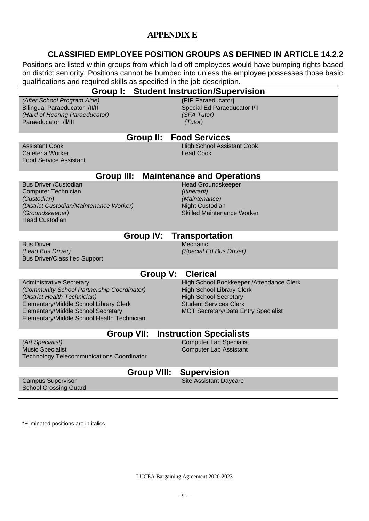### **APPENDIX E**

### **CLASSIFIED EMPLOYEE POSITION GROUPS AS DEFINED IN ARTICLE 14.2.2**

Positions are listed within groups from which laid off employees would have bumping rights based on district seniority. Positions cannot be bumped into unless the employee possesses those basic qualifications and required skills as specified in the job description.

| <b>Group I: Student Instruction/Supervision</b>                                                                                                                                                                                                    |                    |                                                                                                                                                                                              |  |  |  |
|----------------------------------------------------------------------------------------------------------------------------------------------------------------------------------------------------------------------------------------------------|--------------------|----------------------------------------------------------------------------------------------------------------------------------------------------------------------------------------------|--|--|--|
| (After School Program Aide)<br><b>Bilingual Paraeducator I/II/II</b><br>(Hard of Hearing Paraeducator)<br>Paraeducator I/II/III                                                                                                                    |                    | (PIP Paraeducator)<br>Special Ed Paraeducator I/II<br>(SFA Tutor)<br>(Tutor)                                                                                                                 |  |  |  |
|                                                                                                                                                                                                                                                    | Group II:          | <b>Food Services</b>                                                                                                                                                                         |  |  |  |
| <b>Assistant Cook</b><br>Cafeteria Worker<br><b>Food Service Assistant</b>                                                                                                                                                                         |                    | <b>High School Assistant Cook</b><br><b>Lead Cook</b>                                                                                                                                        |  |  |  |
| <b>Group III:</b>                                                                                                                                                                                                                                  |                    | <b>Maintenance and Operations</b>                                                                                                                                                            |  |  |  |
| <b>Bus Driver /Custodian</b><br><b>Computer Technician</b><br>(Custodian)<br>(District Custodian/Maintenance Worker)<br>(Groundskeeper)<br><b>Head Custodian</b>                                                                                   |                    | <b>Head Groundskeeper</b><br>(Itinerant)<br>(Maintenance)<br>Night Custodian<br><b>Skilled Maintenance Worker</b>                                                                            |  |  |  |
|                                                                                                                                                                                                                                                    | <b>Group IV:</b>   | <b>Transportation</b>                                                                                                                                                                        |  |  |  |
| <b>Bus Driver</b><br>(Lead Bus Driver)<br><b>Bus Driver/Classified Support</b>                                                                                                                                                                     |                    | Mechanic<br>(Special Ed Bus Driver)                                                                                                                                                          |  |  |  |
|                                                                                                                                                                                                                                                    | Group V:           | <b>Clerical</b>                                                                                                                                                                              |  |  |  |
| <b>Administrative Secretary</b><br>(Community School Partnership Coordinator)<br>(District Health Technician)<br>Elementary/Middle School Library Clerk<br><b>Elementary/Middle School Secretary</b><br>Elementary/Middle School Health Technician |                    | High School Bookkeeper / Attendance Clerk<br><b>High School Library Clerk</b><br><b>High School Secretary</b><br><b>Student Services Clerk</b><br><b>MOT Secretary/Data Entry Specialist</b> |  |  |  |
| <b>Group VII:</b>                                                                                                                                                                                                                                  |                    | <b>Instruction Specialists</b>                                                                                                                                                               |  |  |  |
| (Art Specialist)<br><b>Music Specialist</b><br><b>Technology Telecommunications Coordinator</b>                                                                                                                                                    |                    | <b>Computer Lab Specialist</b><br><b>Computer Lab Assistant</b>                                                                                                                              |  |  |  |
|                                                                                                                                                                                                                                                    | <b>Group VIII:</b> | <b>Supervision</b>                                                                                                                                                                           |  |  |  |

Campus Supervisor School Crossing Guard Site Assistant Daycare

\*Eliminated positions are in italics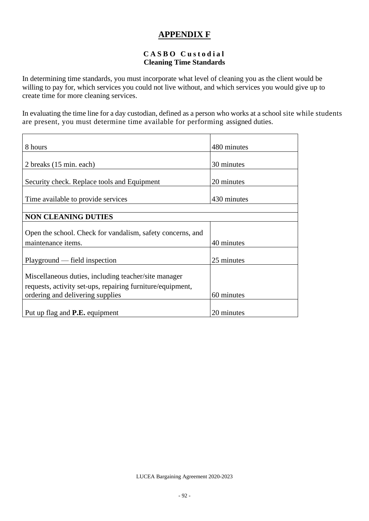### **APPENDIX F**

#### **C A S B O C u s t o d i a l Cleaning Time Standards**

In determining time standards, you must incorporate what level of cleaning you as the client would be willing to pay for, which services you could not live without, and which services you would give up to create time for more cleaning services.

In evaluating the time line for a day custodian, defined as a person who works at a school site while students are present, you must determine time available for performing assigned duties.

| 8 hours                                                    | 480 minutes |
|------------------------------------------------------------|-------------|
|                                                            |             |
| 2 breaks (15 min. each)                                    | 30 minutes  |
|                                                            |             |
| Security check. Replace tools and Equipment                | 20 minutes  |
|                                                            |             |
| Time available to provide services                         | 430 minutes |
|                                                            |             |
| <b>NON CLEANING DUTIES</b>                                 |             |
|                                                            |             |
| Open the school. Check for vandalism, safety concerns, and |             |
| maintenance items.                                         | 40 minutes  |
|                                                            |             |
| Playground — field inspection                              | 25 minutes  |
|                                                            |             |
| Miscellaneous duties, including teacher/site manager       |             |
| requests, activity set-ups, repairing furniture/equipment, |             |
| ordering and delivering supplies                           | 60 minutes  |
|                                                            |             |
| Put up flag and <b>P.E.</b> equipment                      | 20 minutes  |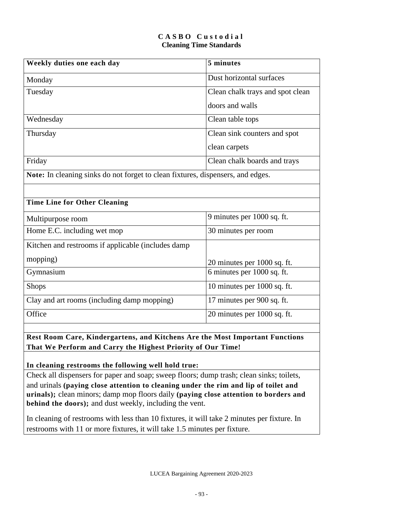#### **C A S B O C u s t o d i a l Cleaning Time Standards**

| Weekly duties one each day                                                      | 5 minutes                        |
|---------------------------------------------------------------------------------|----------------------------------|
| Monday                                                                          | Dust horizontal surfaces         |
| Tuesday                                                                         | Clean chalk trays and spot clean |
|                                                                                 | doors and walls                  |
| Wednesday                                                                       | Clean table tops                 |
| Thursday                                                                        | Clean sink counters and spot     |
|                                                                                 | clean carpets                    |
| Friday                                                                          | Clean chalk boards and trays     |
| Note: In cleaning sinks do not forget to clean fixtures, dispensers, and edges. |                                  |
|                                                                                 |                                  |
| <b>Time Line for Other Cleaning</b>                                             |                                  |
| Multipurpose room                                                               | 9 minutes per 1000 sq. ft.       |
| Home E.C. including wet mop                                                     | 30 minutes per room              |
| Kitchen and restrooms if applicable (includes damp                              |                                  |
| mopping)                                                                        | 20 minutes per 1000 sq. ft.      |
| Gymnasium                                                                       | 6 minutes per 1000 sq. ft.       |
| <b>Shops</b>                                                                    | 10 minutes per 1000 sq. ft.      |
| Clay and art rooms (including damp mopping)                                     | 17 minutes per 900 sq. ft.       |
| Office                                                                          | 20 minutes per 1000 sq. ft.      |
|                                                                                 |                                  |
| Rest Room Care, Kindergartens, and Kitchens Are the Most Important Functions    |                                  |

**That We Perform and Carry the Highest Priority of Our Time!**

**In cleaning restrooms the following well hold true:**

Check all dispensers for paper and soap; sweep floors; dump trash; clean sinks; toilets, and urinals **(paying close attention to cleaning under the rim and lip of toilet and urinals);** clean minors; damp mop floors daily **(paying close attention to borders and behind the doors);** and dust weekly, including the vent.

In cleaning of restrooms with less than 10 fixtures, it will take 2 minutes per fixture. In restrooms with 11 or more fixtures, it will take 1.5 minutes per fixture.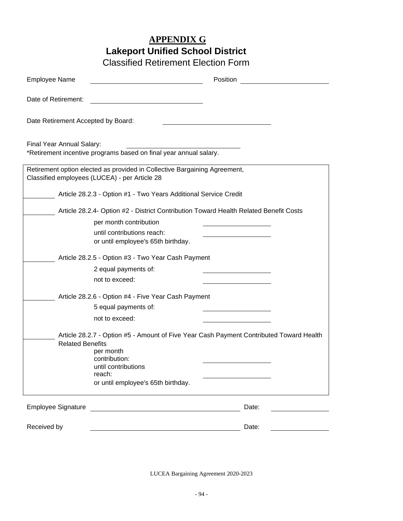## **APPENDIX G Lakeport Unified School District**

Classified Retirement Election Form

| <b>Employee Name</b>                          |                                                                                                                        | Position                                                                                |
|-----------------------------------------------|------------------------------------------------------------------------------------------------------------------------|-----------------------------------------------------------------------------------------|
|                                               |                                                                                                                        |                                                                                         |
| Date of Retirement:                           |                                                                                                                        |                                                                                         |
| Date Retirement Accepted by Board:            |                                                                                                                        |                                                                                         |
| Final Year Annual Salary:                     | *Retirement incentive programs based on final year annual salary.                                                      |                                                                                         |
| Classified employees (LUCEA) - per Article 28 | Retirement option elected as provided in Collective Bargaining Agreement,                                              |                                                                                         |
|                                               | Article 28.2.3 - Option #1 - Two Years Additional Service Credit                                                       |                                                                                         |
|                                               | Article 28.2.4- Option #2 - District Contribution Toward Health Related Benefit Costs                                  |                                                                                         |
|                                               | per month contribution                                                                                                 |                                                                                         |
|                                               | until contributions reach:<br>or until employee's 65th birthday.                                                       |                                                                                         |
|                                               | Article 28.2.5 - Option #3 - Two Year Cash Payment                                                                     |                                                                                         |
|                                               | 2 equal payments of:                                                                                                   |                                                                                         |
|                                               | not to exceed:                                                                                                         |                                                                                         |
|                                               | Article 28.2.6 - Option #4 - Five Year Cash Payment                                                                    |                                                                                         |
|                                               | 5 equal payments of:                                                                                                   |                                                                                         |
|                                               | not to exceed:                                                                                                         |                                                                                         |
| <b>Related Benefits</b>                       | per month                                                                                                              | Article 28.2.7 - Option #5 - Amount of Five Year Cash Payment Contributed Toward Health |
|                                               | contribution:                                                                                                          |                                                                                         |
|                                               | until contributions<br>reach:                                                                                          |                                                                                         |
|                                               | or until employee's 65th birthday.                                                                                     |                                                                                         |
| <b>Employee Signature</b>                     | <u> 1989 - Johann Stoff, deutscher Stoffen und der Stoffen und der Stoffen und der Stoffen und der Stoffen und der</u> | Date:                                                                                   |
| Received by                                   |                                                                                                                        | Date:                                                                                   |
|                                               |                                                                                                                        |                                                                                         |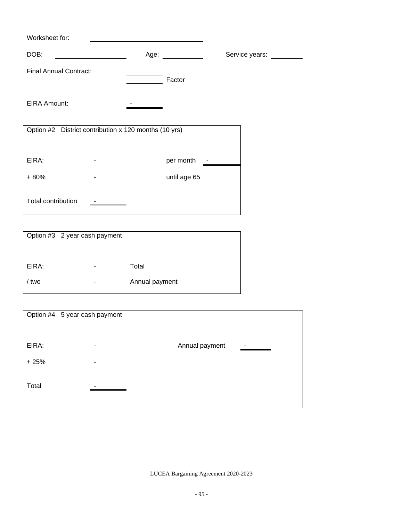| Worksheet for:                                        |                                                                                                                                                                                                                                |                |
|-------------------------------------------------------|--------------------------------------------------------------------------------------------------------------------------------------------------------------------------------------------------------------------------------|----------------|
| DOB:                                                  | Age: and the state of the state of the state of the state of the state of the state of the state of the state of the state of the state of the state of the state of the state of the state of the state of the state of the s | Service years: |
| <b>Final Annual Contract:</b>                         | Factor                                                                                                                                                                                                                         |                |
| <b>EIRA Amount:</b>                                   |                                                                                                                                                                                                                                |                |
| Option #2 District contribution x 120 months (10 yrs) |                                                                                                                                                                                                                                |                |
| EIRA:                                                 | per month                                                                                                                                                                                                                      |                |
| $+80%$                                                | until age 65                                                                                                                                                                                                                   |                |
| Total contribution                                    |                                                                                                                                                                                                                                |                |

|       | Option #3 2 year cash payment |                |
|-------|-------------------------------|----------------|
|       |                               |                |
| EIRA: | -                             | Total          |
| / two |                               | Annual payment |
|       |                               |                |

|        | Option #4 5 year cash payment |                |   |
|--------|-------------------------------|----------------|---|
|        |                               |                |   |
| EIRA:  | ٠                             | Annual payment | - |
| $+25%$ |                               |                |   |
| Total  |                               |                |   |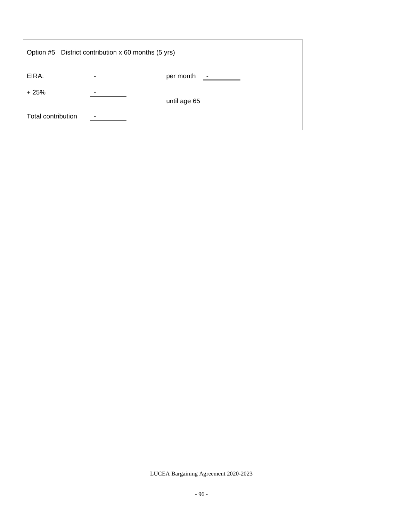|                    | Option #5 District contribution x 60 months (5 yrs) |                                       |
|--------------------|-----------------------------------------------------|---------------------------------------|
| EIRA:              | ۰                                                   | per month<br>$\overline{\phantom{a}}$ |
| $+25%$             | -                                                   | until age 65                          |
| Total contribution |                                                     |                                       |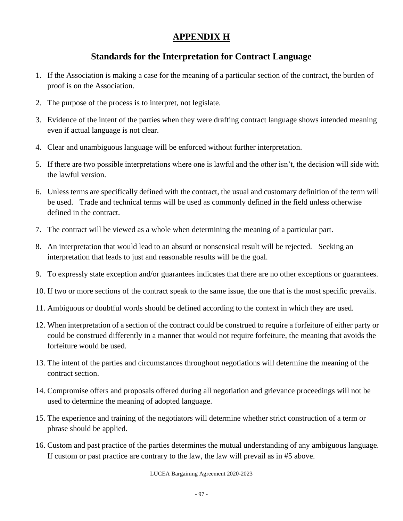### **APPENDIX H**

### **Standards for the Interpretation for Contract Language**

- 1. If the Association is making a case for the meaning of a particular section of the contract, the burden of proof is on the Association.
- 2. The purpose of the process is to interpret, not legislate.
- 3. Evidence of the intent of the parties when they were drafting contract language shows intended meaning even if actual language is not clear.
- 4. Clear and unambiguous language will be enforced without further interpretation.
- 5. If there are two possible interpretations where one is lawful and the other isn't, the decision will side with the lawful version.
- 6. Unless terms are specifically defined with the contract, the usual and customary definition of the term will be used. Trade and technical terms will be used as commonly defined in the field unless otherwise defined in the contract.
- 7. The contract will be viewed as a whole when determining the meaning of a particular part.
- 8. An interpretation that would lead to an absurd or nonsensical result will be rejected. Seeking an interpretation that leads to just and reasonable results will be the goal.
- 9. To expressly state exception and/or guarantees indicates that there are no other exceptions or guarantees.
- 10. If two or more sections of the contract speak to the same issue, the one that is the most specific prevails.
- 11. Ambiguous or doubtful words should be defined according to the context in which they are used.
- 12. When interpretation of a section of the contract could be construed to require a forfeiture of either party or could be construed differently in a manner that would not require forfeiture, the meaning that avoids the forfeiture would be used.
- 13. The intent of the parties and circumstances throughout negotiations will determine the meaning of the contract section.
- 14. Compromise offers and proposals offered during all negotiation and grievance proceedings will not be used to determine the meaning of adopted language.
- 15. The experience and training of the negotiators will determine whether strict construction of a term or phrase should be applied.
- 16. Custom and past practice of the parties determines the mutual understanding of any ambiguous language. If custom or past practice are contrary to the law, the law will prevail as in #5 above.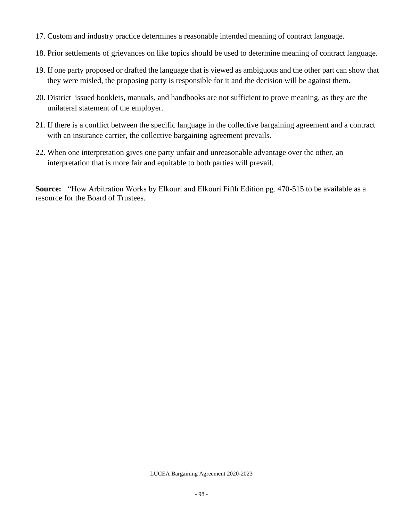- 17. Custom and industry practice determines a reasonable intended meaning of contract language.
- 18. Prior settlements of grievances on like topics should be used to determine meaning of contract language.
- 19. If one party proposed or drafted the language that is viewed as ambiguous and the other part can show that they were misled, the proposing party is responsible for it and the decision will be against them.
- 20. District–issued booklets, manuals, and handbooks are not sufficient to prove meaning, as they are the unilateral statement of the employer.
- 21. If there is a conflict between the specific language in the collective bargaining agreement and a contract with an insurance carrier, the collective bargaining agreement prevails.
- 22. When one interpretation gives one party unfair and unreasonable advantage over the other, an interpretation that is more fair and equitable to both parties will prevail.

**Source:** "How Arbitration Works by Elkouri and Elkouri Fifth Edition pg. 470-515 to be available as a resource for the Board of Trustees.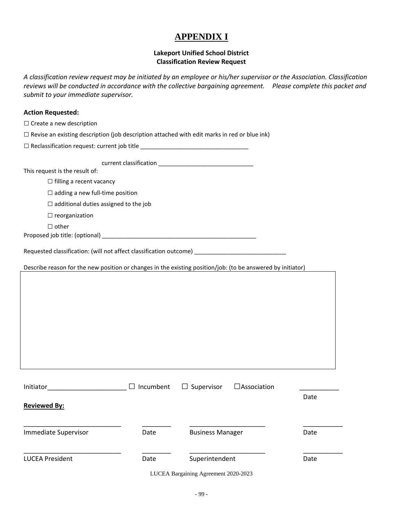### **APPENDIX I**

#### **Lakeport Unified School District Classification Review Request**

*A classification review request may be initiated by an employee or his/her supervisor or the Association. Classification reviews will be conducted in accordance with the collective bargaining agreement. Please complete this packet and submit to your immediate supervisor.* 

#### **Action Requested:**

| $\Box$ Create a new description |  |  |  |  |  |
|---------------------------------|--|--|--|--|--|
|---------------------------------|--|--|--|--|--|

| $\Box$ Revise an existing description (job description attached with edit marks in red or blue ink) |  |  |
|-----------------------------------------------------------------------------------------------------|--|--|
|-----------------------------------------------------------------------------------------------------|--|--|

□ Reclassification request: current job title \_\_\_\_\_\_\_\_\_\_\_\_\_\_\_\_\_\_\_\_\_\_\_\_\_\_\_\_\_\_\_\_\_

current classification \_\_\_\_\_\_\_\_\_\_\_\_\_\_\_\_\_\_\_\_\_\_\_\_\_\_\_\_\_

This request is the result of:

□ filling a recent vacancy

 $\square$  adding a new full-time position

 $\square$  additional duties assigned to the job

 $\square$  reorganization

□ other

Proposed job title: (optional) \_\_\_\_\_\_\_\_\_\_\_\_\_\_\_\_\_\_\_\_\_\_\_\_\_\_\_\_\_\_\_\_\_\_\_\_\_\_\_\_\_\_\_\_\_\_\_

Requested classification: (will not affect classification outcome) \_\_\_\_\_\_\_\_\_\_\_\_\_

Describe reason for the new position or changes in the existing position/job: (to be answered by initiator)

| Initiator              | Incumbent<br>ΙI | $\Box$ Supervisor       | $\Box$ Association |      |
|------------------------|-----------------|-------------------------|--------------------|------|
| <b>Reviewed By:</b>    |                 |                         |                    | Date |
| Immediate Supervisor   | Date            | <b>Business Manager</b> |                    | Date |
| <b>LUCEA President</b> | Date            | Superintendent          |                    | Date |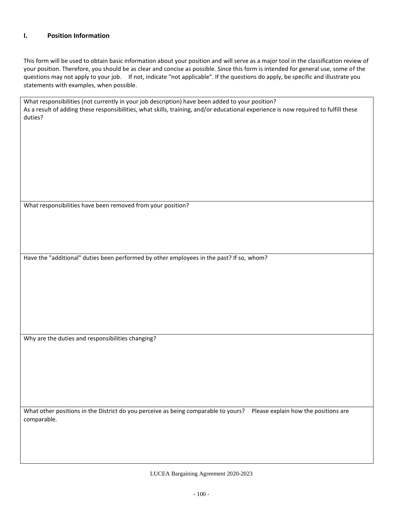#### **I. Position Information**

This form will be used to obtain basic information about your position and will serve as a major tool in the classification review of your position. Therefore, you should be as clear and concise as possible. Since this form is intended for general use, some of the questions may not apply to your job. If not, indicate "not applicable". If the questions do apply, be specific and illustrate you statements with examples, when possible.

| What responsibilities (not currently in your job description) have been added to your position?<br>As a result of adding these responsibilities, what skills, training, and/or educational experience is now required to fulfill these<br>duties? |
|---------------------------------------------------------------------------------------------------------------------------------------------------------------------------------------------------------------------------------------------------|
|                                                                                                                                                                                                                                                   |
|                                                                                                                                                                                                                                                   |
|                                                                                                                                                                                                                                                   |
|                                                                                                                                                                                                                                                   |
| What responsibilities have been removed from your position?                                                                                                                                                                                       |
|                                                                                                                                                                                                                                                   |
|                                                                                                                                                                                                                                                   |
| Have the "additional" duties been performed by other employees in the past? If so, whom?                                                                                                                                                          |
|                                                                                                                                                                                                                                                   |
|                                                                                                                                                                                                                                                   |
|                                                                                                                                                                                                                                                   |
|                                                                                                                                                                                                                                                   |
|                                                                                                                                                                                                                                                   |
| Why are the duties and responsibilities changing?                                                                                                                                                                                                 |
|                                                                                                                                                                                                                                                   |
|                                                                                                                                                                                                                                                   |
|                                                                                                                                                                                                                                                   |
|                                                                                                                                                                                                                                                   |
| What other positions in the District do you perceive as being comparable to yours? Please explain how the positions are<br>comparable.                                                                                                            |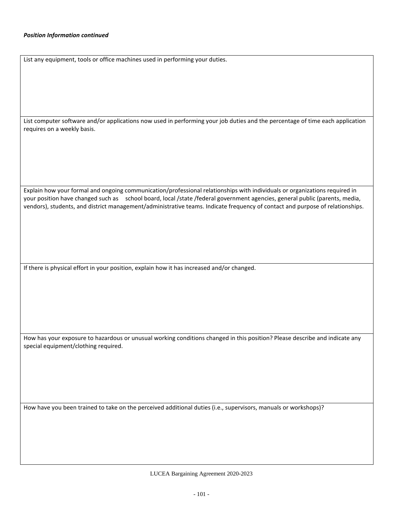List any equipment, tools or office machines used in performing your duties.

List computer software and/or applications now used in performing your job duties and the percentage of time each application requires on a weekly basis.

Explain how your formal and ongoing communication/professional relationships with individuals or organizations required in your position have changed such as school board, local /state /federal government agencies, general public (parents, media, vendors), students, and district management/administrative teams. Indicate frequency of contact and purpose of relationships.

If there is physical effort in your position, explain how it has increased and/or changed.

How has your exposure to hazardous or unusual working conditions changed in this position? Please describe and indicate any special equipment/clothing required.

How have you been trained to take on the perceived additional duties (i.e., supervisors, manuals or workshops)?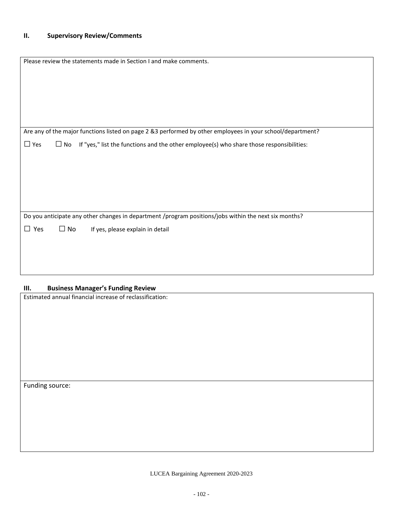| Please review the statements made in Section I and make comments.                                                   |
|---------------------------------------------------------------------------------------------------------------------|
|                                                                                                                     |
|                                                                                                                     |
|                                                                                                                     |
|                                                                                                                     |
|                                                                                                                     |
| Are any of the major functions listed on page 2 &3 performed by other employees in your school/department?          |
| $\Box$ Yes<br>If "yes," list the functions and the other employee(s) who share those responsibilities:<br>$\Box$ No |
|                                                                                                                     |
|                                                                                                                     |
|                                                                                                                     |
|                                                                                                                     |
|                                                                                                                     |
| Do you anticipate any other changes in department /program positions/jobs within the next six months?               |
| $\Box$ Yes<br>$\Box$ No<br>If yes, please explain in detail                                                         |
|                                                                                                                     |
|                                                                                                                     |
|                                                                                                                     |
|                                                                                                                     |
| <b>Ducingse Managar's Funding Davigue</b><br>                                                                       |

#### **III. Business Manager's Funding Review**

Estimated annual financial increase of reclassification:

Funding source: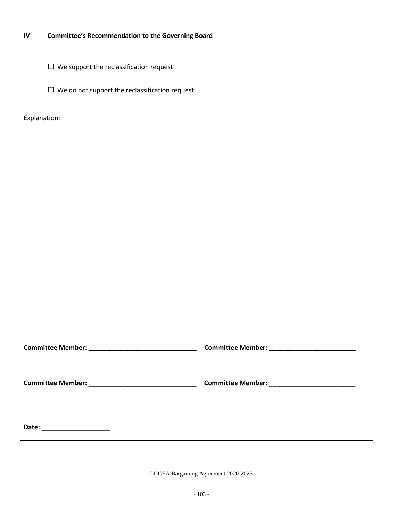### **IV Committee's Recommendation to the Governing Board**

| $\Box$ We support the reclassification request        |  |
|-------------------------------------------------------|--|
| $\Box$ We do not support the reclassification request |  |
| Explanation:                                          |  |
|                                                       |  |
|                                                       |  |
|                                                       |  |
|                                                       |  |
|                                                       |  |
|                                                       |  |
|                                                       |  |
|                                                       |  |
|                                                       |  |
|                                                       |  |
|                                                       |  |
|                                                       |  |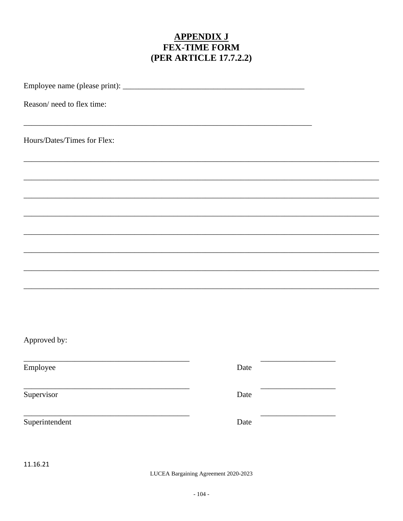# **APPENDIX J<br>FEX-TIME FORM** (PER ARTICLE 17.7.2.2)

| Reason/ need to flex time:                                                                            |      |  |
|-------------------------------------------------------------------------------------------------------|------|--|
| Hours/Dates/Times for Flex:                                                                           |      |  |
|                                                                                                       |      |  |
|                                                                                                       |      |  |
|                                                                                                       |      |  |
|                                                                                                       |      |  |
|                                                                                                       |      |  |
|                                                                                                       |      |  |
| Approved by:                                                                                          |      |  |
| the control of the control of the control of the control of the control of the control of<br>Employee | Date |  |
| Supervisor                                                                                            | Date |  |
| Superintendent                                                                                        | Date |  |
| 11.16.21                                                                                              |      |  |